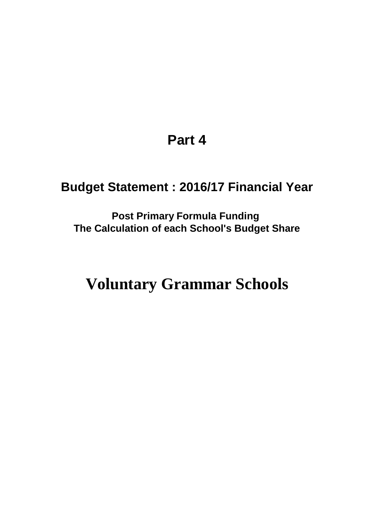# **Part 4**

# **Budget Statement : 2016/17 Financial Year**

**Post Primary Formula Funding The Calculation of each School's Budget Share**

# **Voluntary Grammar Schools**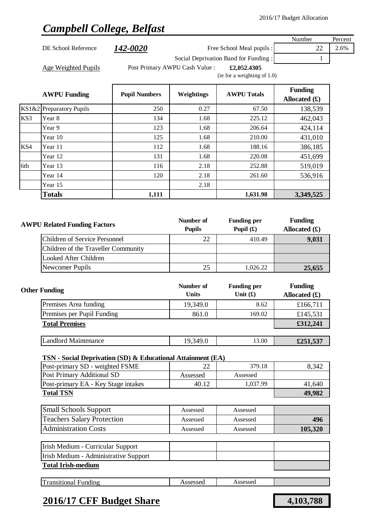# *Campbell College, Belfast*

|     |                                                             |                            |                                   |                                      | Number          | Percent |
|-----|-------------------------------------------------------------|----------------------------|-----------------------------------|--------------------------------------|-----------------|---------|
|     | DE School Reference                                         | <i><b>142-0020</b></i>     |                                   | Free School Meal pupils :            | 22              | 2.6%    |
|     |                                                             |                            |                                   | Social Deprivation Band for Funding: | 1               |         |
|     | <b>Age Weighted Pupils</b>                                  |                            | Post Primary AWPU Cash Value :    | £2,052.4305                          |                 |         |
|     |                                                             |                            |                                   | (ie for a weighting of $1.0$ )       |                 |         |
|     |                                                             |                            |                                   |                                      | <b>Funding</b>  |         |
|     | <b>AWPU Funding</b>                                         | <b>Pupil Numbers</b>       | Weightings                        | <b>AWPU Totals</b>                   | Allocated $(f)$ |         |
|     | KS1&2 Preparatory Pupils                                    | 250                        | 0.27                              | 67.50                                | 138,539         |         |
| KS3 | Year 8                                                      | 134                        | 1.68                              | 225.12                               | 462,043         |         |
|     | Year 9                                                      | 123                        | 1.68                              | 206.64                               | 424,114         |         |
|     | Year 10                                                     | 125                        | 1.68                              | 210.00                               | 431,010         |         |
| KS4 | Year 11                                                     | 112                        | 1.68                              | 188.16                               | 386,185         |         |
|     | Year 12                                                     | 131                        | 1.68                              | 220.08                               | 451,699         |         |
| 6th | Year 13                                                     | 116                        | 2.18                              | 252.88                               | 519,019         |         |
|     | Year 14                                                     | 120                        | 2.18                              | 261.60                               | 536,916         |         |
|     | Year 15                                                     |                            | 2.18                              |                                      |                 |         |
|     | <b>Totals</b>                                               | 1,111                      |                                   | 1,631.98                             | 3,349,525       |         |
|     |                                                             |                            |                                   |                                      |                 |         |
|     |                                                             |                            |                                   |                                      | <b>Funding</b>  |         |
|     | <b>AWPU Related Funding Factors</b>                         | Number of<br><b>Pupils</b> | <b>Funding per</b><br>Pupil $(f)$ | Allocated $(\pounds)$                |                 |         |
|     | <b>Children of Service Personnel</b>                        |                            | 22                                | 410.49                               | 9,031           |         |
|     | Children of the Traveller Community                         |                            |                                   |                                      |                 |         |
|     | <b>Looked After Children</b>                                |                            |                                   |                                      |                 |         |
|     | Newcomer Pupils                                             |                            | 25                                | 1,026.22                             | 25,655          |         |
|     |                                                             |                            |                                   |                                      |                 |         |
|     |                                                             |                            | Number of                         | <b>Funding per</b>                   | <b>Funding</b>  |         |
|     | <b>Other Funding</b>                                        |                            | <b>Units</b>                      | Unit $(f)$                           | Allocated $(f)$ |         |
|     | Premises Area funding                                       |                            | 19,349.0                          | 8.62                                 | £166,711        |         |
|     | Premises per Pupil Funding                                  |                            | 861.0                             | 169.02                               | £145,531        |         |
|     | <b>Total Premises</b>                                       |                            |                                   |                                      | £312,241        |         |
|     |                                                             |                            |                                   |                                      |                 |         |
|     | <b>Landlord Maintenance</b>                                 |                            | 19,349.0                          | 13.00                                | £251,537        |         |
|     | TSN - Social Deprivation (SD) & Educational Attainment (EA) |                            |                                   |                                      |                 |         |
|     | Post-primary SD - weighted FSME                             |                            | 22                                | 379.18                               | 8,342           |         |
|     | <b>Post Primary Additional SD</b>                           |                            | Assessed                          | Assessed                             |                 |         |
|     | Post-primary EA - Key Stage intakes                         |                            | 40.12                             | 1,037.99                             | 41,640          |         |
|     | <b>Total TSN</b>                                            |                            |                                   |                                      | 49,982          |         |
|     |                                                             |                            |                                   |                                      |                 |         |
|     | <b>Small Schools Support</b>                                |                            | Assessed                          | Assessed                             |                 |         |
|     | <b>Teachers Salary Protection</b>                           |                            | Assessed                          | Assessed                             | 496             |         |
|     | <b>Administration Costs</b>                                 |                            | Assessed                          | Assessed                             | 105,320         |         |
|     | Irish Medium - Curricular Support                           |                            |                                   |                                      |                 |         |
|     | Irish Medium - Administrative Support                       |                            |                                   |                                      |                 |         |
|     | <b>Total Irish-medium</b>                                   |                            |                                   |                                      |                 |         |
|     |                                                             |                            |                                   |                                      |                 |         |
|     | <b>Transitional Funding</b>                                 |                            | Assessed                          | Assessed                             |                 |         |
|     |                                                             |                            |                                   |                                      |                 |         |

### **2016/17 CFF Budget Share 4,103,788**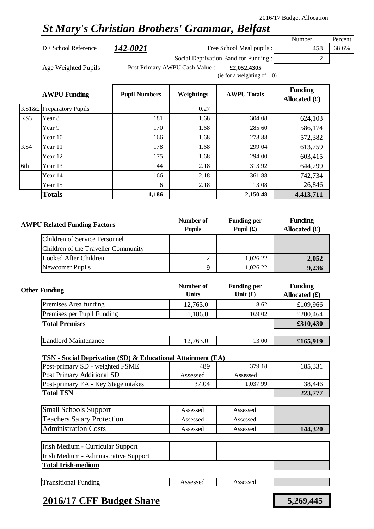### *St Mary's Christian Brothers' Grammar, Belfast*

DE School Reference **142-0021** Free School Meal pupils : 458 38.6% Social Deprivation Band for Funding : 2

Number Percent

Age Weighted Pupils **Filter Post Primary AWPU Cash Value** : **£2,052.4305** 

(ie for a weighting of 1.0)

|     | <b>AWPU Funding</b>      | <b>Pupil Numbers</b> | Weightings | <b>AWPU Totals</b> | <b>Funding</b><br>Allocated $(f)$ |
|-----|--------------------------|----------------------|------------|--------------------|-----------------------------------|
|     | KS1&2 Preparatory Pupils |                      | 0.27       |                    |                                   |
| KS3 | Year 8                   | 181                  | 1.68       | 304.08             | 624,103                           |
|     | Year 9                   | 170                  | 1.68       | 285.60             | 586,174                           |
|     | Year 10                  | 166                  | 1.68       | 278.88             | 572,382                           |
| KS4 | Year 11                  | 178                  | 1.68       | 299.04             | 613,759                           |
|     | Year 12                  | 175                  | 1.68       | 294.00             | 603,415                           |
| 6th | Year 13                  | 144                  | 2.18       | 313.92             | 644,299                           |
|     | Year 14                  | 166                  | 2.18       | 361.88             | 742,734                           |
|     | Year 15                  | 6                    | 2.18       | 13.08              | 26,846                            |
|     | <b>Totals</b>            | 1,186                |            | 2,150.48           | 4,413,711                         |

| <b>AWPU Related Funding Factors</b> | Number of<br><b>Pupils</b> | <b>Funding per</b><br>Pupil $(f)$ | <b>Funding</b><br>Allocated $(f)$ |
|-------------------------------------|----------------------------|-----------------------------------|-----------------------------------|
| Children of Service Personnel       |                            |                                   |                                   |
| Children of the Traveller Community |                            |                                   |                                   |
| Looked After Children               |                            | 1,026.22                          | 2,052                             |
| Newcomer Pupils                     |                            | 1.026.22                          | 9,236                             |

| <b>Other Funding</b>        | Number of<br><b>Units</b> | <b>Funding per</b><br>Unit $(f)$ | <b>Funding</b><br>Allocated $(f)$ |
|-----------------------------|---------------------------|----------------------------------|-----------------------------------|
| Premises Area funding       | 12,763.0                  | 8.62                             | £109,966                          |
| Premises per Pupil Funding  | 1,186.0                   | 169.02                           | £200,464                          |
| <b>Total Premises</b>       |                           |                                  | £310,430                          |
|                             |                           |                                  |                                   |
| <b>Landlord Maintenance</b> | 12,763.0                  | 13.00                            | £165,919                          |

#### **TSN - Social Deprivation (SD) & Educational Attainment (EA)**

| Post-primary SD - weighted FSME     | 489      | 379.18   | 185.331 |
|-------------------------------------|----------|----------|---------|
| Post Primary Additional SD          | Assessed | Assessed |         |
| Post-primary EA - Key Stage intakes | 37.04    | 1.037.99 | 38.446  |
| <b>Total TSN</b>                    | 223,777  |          |         |

| <b>Small Schools Support</b>      | Assessed | Assessed |         |
|-----------------------------------|----------|----------|---------|
| <b>Teachers Salary Protection</b> | Assessed | Assessed |         |
| <b>Administration Costs</b>       | Assessed | Assessed | 144,320 |

| Irish Medium - Curricular Support     |  |  |
|---------------------------------------|--|--|
| Irish Medium - Administrative Support |  |  |
| <b>Total Irish-medium</b>             |  |  |

|  | œ<br>ransitional<br>Funding | ാലാലെ<br>$\sim$<br>700000U | ccaceae<br>. 19909904<br>. |  |
|--|-----------------------------|----------------------------|----------------------------|--|
|--|-----------------------------|----------------------------|----------------------------|--|

### **2016/17 CFF Budget Share 5,269,445**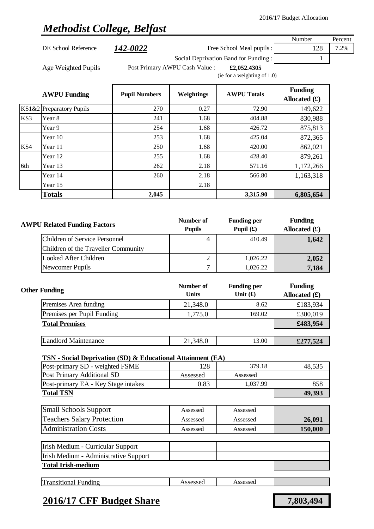## *Methodist College, Belfast*

| DE School Reference<br>Age Weighted Pupils<br><b>AWPU Funding</b><br>KS1&2 Preparatory Pupils<br>Year 8 | <u> 142-0022</u><br><b>Pupil Numbers</b><br>270                                                                                                                                      | Post Primary AWPU Cash Value :<br>Weightings                                                                                                                                                                                                                    | Free School Meal pupils :<br>Social Deprivation Band for Funding:<br>£2,052.4305<br>(ie for a weighting of 1.0)<br><b>AWPU Totals</b>                                | 128<br>1<br><b>Funding</b>                                                                                                                                                                                                | 7.2%                                                                                                                                                                                  |
|---------------------------------------------------------------------------------------------------------|--------------------------------------------------------------------------------------------------------------------------------------------------------------------------------------|-----------------------------------------------------------------------------------------------------------------------------------------------------------------------------------------------------------------------------------------------------------------|----------------------------------------------------------------------------------------------------------------------------------------------------------------------|---------------------------------------------------------------------------------------------------------------------------------------------------------------------------------------------------------------------------|---------------------------------------------------------------------------------------------------------------------------------------------------------------------------------------|
|                                                                                                         |                                                                                                                                                                                      |                                                                                                                                                                                                                                                                 |                                                                                                                                                                      |                                                                                                                                                                                                                           |                                                                                                                                                                                       |
|                                                                                                         |                                                                                                                                                                                      |                                                                                                                                                                                                                                                                 |                                                                                                                                                                      |                                                                                                                                                                                                                           |                                                                                                                                                                                       |
|                                                                                                         |                                                                                                                                                                                      |                                                                                                                                                                                                                                                                 |                                                                                                                                                                      |                                                                                                                                                                                                                           |                                                                                                                                                                                       |
|                                                                                                         |                                                                                                                                                                                      |                                                                                                                                                                                                                                                                 |                                                                                                                                                                      |                                                                                                                                                                                                                           |                                                                                                                                                                                       |
|                                                                                                         |                                                                                                                                                                                      |                                                                                                                                                                                                                                                                 |                                                                                                                                                                      |                                                                                                                                                                                                                           |                                                                                                                                                                                       |
|                                                                                                         |                                                                                                                                                                                      |                                                                                                                                                                                                                                                                 |                                                                                                                                                                      | Allocated $(\pounds)$                                                                                                                                                                                                     |                                                                                                                                                                                       |
|                                                                                                         |                                                                                                                                                                                      | 0.27                                                                                                                                                                                                                                                            | 72.90                                                                                                                                                                | 149,622                                                                                                                                                                                                                   |                                                                                                                                                                                       |
|                                                                                                         | 241                                                                                                                                                                                  | 1.68                                                                                                                                                                                                                                                            | 404.88                                                                                                                                                               | 830,988                                                                                                                                                                                                                   |                                                                                                                                                                                       |
| Year 9                                                                                                  | 254                                                                                                                                                                                  | 1.68                                                                                                                                                                                                                                                            | 426.72                                                                                                                                                               | 875,813                                                                                                                                                                                                                   |                                                                                                                                                                                       |
| Year 10                                                                                                 | 253                                                                                                                                                                                  | 1.68                                                                                                                                                                                                                                                            | 425.04                                                                                                                                                               | 872,365                                                                                                                                                                                                                   |                                                                                                                                                                                       |
| Year 11                                                                                                 | 250                                                                                                                                                                                  | 1.68                                                                                                                                                                                                                                                            | 420.00                                                                                                                                                               | 862,021                                                                                                                                                                                                                   |                                                                                                                                                                                       |
| Year 12                                                                                                 | 255                                                                                                                                                                                  | 1.68                                                                                                                                                                                                                                                            | 428.40                                                                                                                                                               | 879,261                                                                                                                                                                                                                   |                                                                                                                                                                                       |
| Year 13                                                                                                 | 262                                                                                                                                                                                  | 2.18                                                                                                                                                                                                                                                            | 571.16                                                                                                                                                               | 1,172,266                                                                                                                                                                                                                 |                                                                                                                                                                                       |
| Year 14                                                                                                 | 260                                                                                                                                                                                  | 2.18                                                                                                                                                                                                                                                            | 566.80                                                                                                                                                               | 1,163,318                                                                                                                                                                                                                 |                                                                                                                                                                                       |
| Year 15                                                                                                 |                                                                                                                                                                                      | 2.18                                                                                                                                                                                                                                                            |                                                                                                                                                                      |                                                                                                                                                                                                                           |                                                                                                                                                                                       |
| <b>Totals</b>                                                                                           | 2,045                                                                                                                                                                                |                                                                                                                                                                                                                                                                 | 3,315.90                                                                                                                                                             |                                                                                                                                                                                                                           |                                                                                                                                                                                       |
|                                                                                                         |                                                                                                                                                                                      |                                                                                                                                                                                                                                                                 |                                                                                                                                                                      |                                                                                                                                                                                                                           |                                                                                                                                                                                       |
|                                                                                                         |                                                                                                                                                                                      |                                                                                                                                                                                                                                                                 |                                                                                                                                                                      |                                                                                                                                                                                                                           |                                                                                                                                                                                       |
|                                                                                                         |                                                                                                                                                                                      |                                                                                                                                                                                                                                                                 |                                                                                                                                                                      |                                                                                                                                                                                                                           |                                                                                                                                                                                       |
|                                                                                                         |                                                                                                                                                                                      |                                                                                                                                                                                                                                                                 |                                                                                                                                                                      |                                                                                                                                                                                                                           |                                                                                                                                                                                       |
|                                                                                                         |                                                                                                                                                                                      |                                                                                                                                                                                                                                                                 |                                                                                                                                                                      |                                                                                                                                                                                                                           |                                                                                                                                                                                       |
|                                                                                                         |                                                                                                                                                                                      |                                                                                                                                                                                                                                                                 |                                                                                                                                                                      |                                                                                                                                                                                                                           |                                                                                                                                                                                       |
|                                                                                                         |                                                                                                                                                                                      |                                                                                                                                                                                                                                                                 |                                                                                                                                                                      |                                                                                                                                                                                                                           |                                                                                                                                                                                       |
|                                                                                                         |                                                                                                                                                                                      |                                                                                                                                                                                                                                                                 |                                                                                                                                                                      |                                                                                                                                                                                                                           |                                                                                                                                                                                       |
|                                                                                                         |                                                                                                                                                                                      |                                                                                                                                                                                                                                                                 |                                                                                                                                                                      |                                                                                                                                                                                                                           |                                                                                                                                                                                       |
| <b>Other Funding</b>                                                                                    |                                                                                                                                                                                      |                                                                                                                                                                                                                                                                 |                                                                                                                                                                      |                                                                                                                                                                                                                           |                                                                                                                                                                                       |
|                                                                                                         |                                                                                                                                                                                      |                                                                                                                                                                                                                                                                 |                                                                                                                                                                      |                                                                                                                                                                                                                           |                                                                                                                                                                                       |
|                                                                                                         |                                                                                                                                                                                      |                                                                                                                                                                                                                                                                 |                                                                                                                                                                      |                                                                                                                                                                                                                           |                                                                                                                                                                                       |
|                                                                                                         |                                                                                                                                                                                      |                                                                                                                                                                                                                                                                 |                                                                                                                                                                      |                                                                                                                                                                                                                           |                                                                                                                                                                                       |
|                                                                                                         |                                                                                                                                                                                      |                                                                                                                                                                                                                                                                 |                                                                                                                                                                      |                                                                                                                                                                                                                           |                                                                                                                                                                                       |
|                                                                                                         |                                                                                                                                                                                      |                                                                                                                                                                                                                                                                 |                                                                                                                                                                      |                                                                                                                                                                                                                           |                                                                                                                                                                                       |
|                                                                                                         |                                                                                                                                                                                      |                                                                                                                                                                                                                                                                 |                                                                                                                                                                      |                                                                                                                                                                                                                           |                                                                                                                                                                                       |
|                                                                                                         |                                                                                                                                                                                      |                                                                                                                                                                                                                                                                 |                                                                                                                                                                      |                                                                                                                                                                                                                           |                                                                                                                                                                                       |
|                                                                                                         |                                                                                                                                                                                      | 128                                                                                                                                                                                                                                                             | 379.18                                                                                                                                                               | 48,535                                                                                                                                                                                                                    |                                                                                                                                                                                       |
|                                                                                                         |                                                                                                                                                                                      | Assessed                                                                                                                                                                                                                                                        | Assessed                                                                                                                                                             |                                                                                                                                                                                                                           |                                                                                                                                                                                       |
|                                                                                                         |                                                                                                                                                                                      |                                                                                                                                                                                                                                                                 |                                                                                                                                                                      |                                                                                                                                                                                                                           |                                                                                                                                                                                       |
|                                                                                                         |                                                                                                                                                                                      |                                                                                                                                                                                                                                                                 |                                                                                                                                                                      |                                                                                                                                                                                                                           |                                                                                                                                                                                       |
|                                                                                                         |                                                                                                                                                                                      |                                                                                                                                                                                                                                                                 |                                                                                                                                                                      |                                                                                                                                                                                                                           |                                                                                                                                                                                       |
| <b>Teachers Salary Protection</b>                                                                       |                                                                                                                                                                                      | Assessed                                                                                                                                                                                                                                                        | Assessed                                                                                                                                                             |                                                                                                                                                                                                                           |                                                                                                                                                                                       |
|                                                                                                         |                                                                                                                                                                                      | Assessed                                                                                                                                                                                                                                                        | Assessed                                                                                                                                                             | 26,091                                                                                                                                                                                                                    |                                                                                                                                                                                       |
|                                                                                                         |                                                                                                                                                                                      |                                                                                                                                                                                                                                                                 |                                                                                                                                                                      | 150,000                                                                                                                                                                                                                   |                                                                                                                                                                                       |
| <b>Administration Costs</b>                                                                             |                                                                                                                                                                                      |                                                                                                                                                                                                                                                                 |                                                                                                                                                                      |                                                                                                                                                                                                                           |                                                                                                                                                                                       |
|                                                                                                         |                                                                                                                                                                                      |                                                                                                                                                                                                                                                                 |                                                                                                                                                                      |                                                                                                                                                                                                                           |                                                                                                                                                                                       |
| Irish Medium - Curricular Support                                                                       |                                                                                                                                                                                      |                                                                                                                                                                                                                                                                 |                                                                                                                                                                      |                                                                                                                                                                                                                           |                                                                                                                                                                                       |
| Irish Medium - Administrative Support                                                                   |                                                                                                                                                                                      |                                                                                                                                                                                                                                                                 |                                                                                                                                                                      |                                                                                                                                                                                                                           |                                                                                                                                                                                       |
| <b>Total Irish-medium</b>                                                                               |                                                                                                                                                                                      |                                                                                                                                                                                                                                                                 |                                                                                                                                                                      |                                                                                                                                                                                                                           |                                                                                                                                                                                       |
| <b>Transitional Funding</b>                                                                             |                                                                                                                                                                                      | Assessed                                                                                                                                                                                                                                                        | Assessed                                                                                                                                                             |                                                                                                                                                                                                                           |                                                                                                                                                                                       |
|                                                                                                         | <b>Looked After Children</b><br>Newcomer Pupils<br>Premises Area funding<br><b>Total Premises</b><br><b>Landlord Maintenance</b><br><b>Total TSN</b><br><b>Small Schools Support</b> | <b>AWPU Related Funding Factors</b><br><b>Children of Service Personnel</b><br>Children of the Traveller Community<br>Premises per Pupil Funding<br>Post-primary SD - weighted FSME<br><b>Post Primary Additional SD</b><br>Post-primary EA - Key Stage intakes | Number of<br><b>Pupils</b><br>$\overline{4}$<br>$\overline{c}$<br>$\overline{7}$<br>Number of<br><b>Units</b><br>21,348.0<br>1,775.0<br>21,348.0<br>0.83<br>Assessed | <b>Funding per</b><br>Pupil $(f)$<br>410.49<br>1,026.22<br>1,026.22<br><b>Funding per</b><br>Unit $(f)$<br>8.62<br>169.02<br>13.00<br>TSN - Social Deprivation (SD) & Educational Attainment (EA)<br>1,037.99<br>Assessed | 6,805,654<br><b>Funding</b><br>Allocated $(f)$<br>1,642<br>2,052<br>7,184<br><b>Funding</b><br>Allocated $(\pounds)$<br>£183,934<br>£300,019<br>£483,954<br>£277,524<br>858<br>49,393 |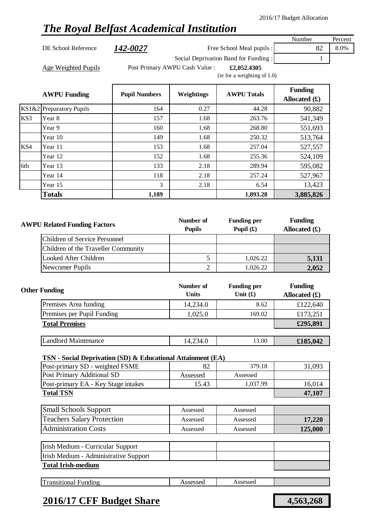## *The Royal Belfast Academical Institution*

Number Percent DE School Reference **142-0027** Free School Meal pupils : 82 8.0% Social Deprivation Band for Funding : 1 Age Weighted Pupils **Filter Post Primary AWPU Cash Value** : **£2,052.4305** (ie for a weighting of 1.0)

|     | <b>AWPU Funding</b>      | <b>Pupil Numbers</b> | Weightings | <b>AWPU Totals</b> | <b>Funding</b><br>Allocated $(f)$ |
|-----|--------------------------|----------------------|------------|--------------------|-----------------------------------|
|     | KS1&2 Preparatory Pupils | 164                  | 0.27       | 44.28              | 90,882                            |
| KS3 | Year 8                   | 157                  | 1.68       | 263.76             | 541,349                           |
|     | Year 9                   | 160                  | 1.68       | 268.80             | 551,693                           |
|     | Year 10                  | 149                  | 1.68       | 250.32             | 513,764                           |
| KS4 | Year 11                  | 153                  | 1.68       | 257.04             | 527,557                           |
|     | Year 12                  | 152                  | 1.68       | 255.36             | 524,109                           |
| 6th | Year 13                  | 133                  | 2.18       | 289.94             | 595,082                           |
|     | Year 14                  | 118                  | 2.18       | 257.24             | 527,967                           |
|     | Year 15                  | 3                    | 2.18       | 6.54               | 13,423                            |
|     | <b>Totals</b>            | 1,189                |            | 1,893.28           | 3,885,826                         |

| <b>AWPU Related Funding Factors</b> | Number of<br><b>Pupils</b> | <b>Funding per</b><br>Pupil $(f)$ | <b>Funding</b><br>Allocated $(f)$ |
|-------------------------------------|----------------------------|-----------------------------------|-----------------------------------|
| Children of Service Personnel       |                            |                                   |                                   |
| Children of the Traveller Community |                            |                                   |                                   |
| Looked After Children               |                            | 1,026.22                          | 5,131                             |
| Newcomer Pupils                     |                            | 1.026.22                          | 2,052                             |

| <b>Other Funding</b>        | Number of<br><b>Units</b> | <b>Funding per</b><br>Unit $(f)$ | <b>Funding</b><br>Allocated $(f)$ |
|-----------------------------|---------------------------|----------------------------------|-----------------------------------|
| Premises Area funding       | 14,234.0                  | 8.62                             | £122,640                          |
| Premises per Pupil Funding  | 1,025.0                   | 169.02                           | £173,251                          |
| <b>Total Premises</b>       |                           |                                  | £295,891                          |
|                             |                           |                                  |                                   |
| <b>Landlord Maintenance</b> | 14,234.0                  | 13.00                            | £185,042                          |

#### **TSN - Social Deprivation (SD) & Educational Attainment (EA)**

| Post-primary SD - weighted FSME     |          | 379.18   | 31,093 |
|-------------------------------------|----------|----------|--------|
| Post Primary Additional SD          | Assessed | Assessed |        |
| Post-primary EA - Key Stage intakes | 15.43    | 1,037.99 | 16.014 |
| <b>Total TSN</b>                    |          |          | 47,107 |

| <b>Small Schools Support</b>      | Assessed | Assessed |         |
|-----------------------------------|----------|----------|---------|
| <b>Teachers Salary Protection</b> | Assessed | Assessed | 17,220  |
| <b>Administration Costs</b>       | Assessed | Assessed | 125,000 |

| Irish Medium - Curricular Support     |  |  |
|---------------------------------------|--|--|
| Irish Medium - Administrative Support |  |  |
| <b>Total Irish-medium</b>             |  |  |

| Transitional<br>Assessed<br>Assessed<br>Funding |  |
|-------------------------------------------------|--|
|-------------------------------------------------|--|

### **2016/17 CFF Budget Share 4,563,268**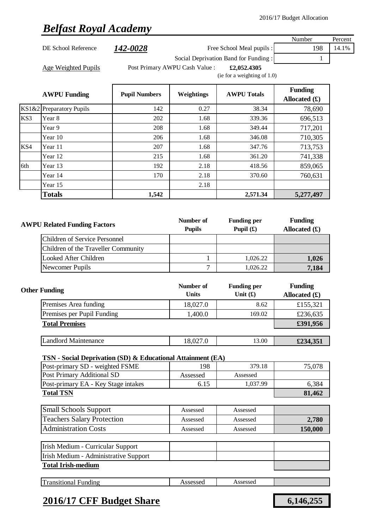# *Belfast Royal Academy*

|     |                                                                                                |                      |                                |                                      | Number                            | Percent |
|-----|------------------------------------------------------------------------------------------------|----------------------|--------------------------------|--------------------------------------|-----------------------------------|---------|
|     | DE School Reference                                                                            | 142-0028             |                                | Free School Meal pupils :            | 198                               | 14.1%   |
|     |                                                                                                |                      |                                | Social Deprivation Band for Funding: | 1                                 |         |
|     | Age Weighted Pupils                                                                            |                      | Post Primary AWPU Cash Value : | £2,052.4305                          |                                   |         |
|     |                                                                                                |                      |                                | (ie for a weighting of 1.0)          |                                   |         |
|     | <b>AWPU Funding</b>                                                                            | <b>Pupil Numbers</b> | Weightings                     | <b>AWPU Totals</b>                   | <b>Funding</b><br>Allocated $(f)$ |         |
|     | KS1&2 Preparatory Pupils                                                                       | 142                  | 0.27                           | 38.34                                | 78,690                            |         |
| KS3 | Year 8                                                                                         | 202                  | 1.68                           | 339.36                               | 696,513                           |         |
|     | Year 9                                                                                         | 208                  | 1.68                           | 349.44                               | 717,201                           |         |
|     | Year 10                                                                                        | 206                  | 1.68                           | 346.08                               | 710,305                           |         |
| KS4 | Year 11                                                                                        | 207                  | 1.68                           | 347.76                               | 713,753                           |         |
|     | Year 12                                                                                        | 215                  | 1.68                           | 361.20                               | 741,338                           |         |
| 6th | Year 13                                                                                        | 192                  | 2.18                           | 418.56                               | 859,065                           |         |
|     | Year 14                                                                                        | 170                  | 2.18                           | 370.60                               | 760,631                           |         |
|     | Year 15                                                                                        |                      | 2.18                           |                                      |                                   |         |
|     | <b>Totals</b>                                                                                  | 1,542                |                                | 2,571.34                             | 5,277,497                         |         |
|     |                                                                                                |                      |                                |                                      |                                   |         |
|     |                                                                                                |                      |                                |                                      |                                   |         |
|     | <b>AWPU Related Funding Factors</b>                                                            |                      | Number of                      | <b>Funding per</b>                   | <b>Funding</b>                    |         |
|     |                                                                                                |                      | <b>Pupils</b>                  | Pupil $(f)$                          | Allocated $(f)$                   |         |
|     | <b>Children of Service Personnel</b>                                                           |                      |                                |                                      |                                   |         |
|     | Children of the Traveller Community                                                            |                      |                                |                                      |                                   |         |
|     | <b>Looked After Children</b>                                                                   |                      | $\mathbf{1}$                   | 1,026.22                             | 1,026                             |         |
|     | Newcomer Pupils                                                                                |                      | $\overline{7}$                 | 1,026.22                             | 7,184                             |         |
|     | <b>Other Funding</b>                                                                           |                      | Number of<br><b>Units</b>      | <b>Funding per</b><br>Unit $(f)$     | <b>Funding</b><br>Allocated $(f)$ |         |
|     | Premises Area funding                                                                          |                      | 18,027.0                       | 8.62                                 | £155,321                          |         |
|     | Premises per Pupil Funding                                                                     |                      | 1,400.0                        | 169.02                               | £236,635                          |         |
|     | <b>Total Premises</b>                                                                          |                      |                                |                                      | £391,956                          |         |
|     |                                                                                                |                      |                                |                                      |                                   |         |
|     | <b>Landlord Maintenance</b>                                                                    |                      | 18,027.0                       | 13.00                                | £234,351                          |         |
|     |                                                                                                |                      |                                |                                      |                                   |         |
|     | TSN - Social Deprivation (SD) & Educational Attainment (EA)<br>Post-primary SD - weighted FSME |                      | 198                            | 379.18                               | 75,078                            |         |
|     | Post Primary Additional SD                                                                     |                      | Assessed                       | Assessed                             |                                   |         |
|     | Post-primary EA - Key Stage intakes                                                            |                      | 6.15                           | 1,037.99                             | 6,384                             |         |
|     | <b>Total TSN</b>                                                                               |                      |                                |                                      | 81,462                            |         |
|     | <b>Small Schools Support</b>                                                                   |                      | Assessed                       | Assessed                             |                                   |         |
|     |                                                                                                |                      |                                |                                      |                                   |         |
|     | <b>Teachers Salary Protection</b>                                                              |                      | Assessed                       | Assessed                             | 2,780                             |         |
|     | <b>Administration Costs</b>                                                                    |                      | Assessed                       | Assessed                             | 150,000                           |         |
|     | Irish Medium - Curricular Support                                                              |                      |                                |                                      |                                   |         |
|     | Irish Medium - Administrative Support                                                          |                      |                                |                                      |                                   |         |
|     | <b>Total Irish-medium</b>                                                                      |                      |                                |                                      |                                   |         |
|     | <b>Transitional Funding</b>                                                                    |                      | Assessed                       | Assessed                             |                                   |         |
|     |                                                                                                |                      |                                |                                      |                                   |         |

### **2016/17 CFF Budget Share 6,146,255**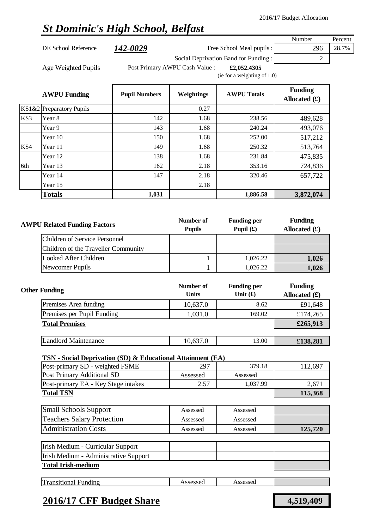# *St Dominic's High School, Belfast*

|       |                                                             |                      |                                |                                      | Number          | Percent |
|-------|-------------------------------------------------------------|----------------------|--------------------------------|--------------------------------------|-----------------|---------|
|       | DE School Reference                                         | 142-0029             |                                | Free School Meal pupils :            | 296             | 28.7%   |
|       |                                                             |                      |                                | Social Deprivation Band for Funding: | $\overline{c}$  |         |
|       | <b>Age Weighted Pupils</b>                                  |                      | Post Primary AWPU Cash Value : | £2,052.4305                          |                 |         |
|       |                                                             |                      |                                | (ie for a weighting of 1.0)          |                 |         |
|       |                                                             |                      |                                |                                      | <b>Funding</b>  |         |
|       | <b>AWPU Funding</b>                                         | <b>Pupil Numbers</b> | Weightings                     | <b>AWPU Totals</b>                   | Allocated $(f)$ |         |
| KS1&2 | <b>Preparatory Pupils</b>                                   |                      | 0.27                           |                                      |                 |         |
| KS3   | Year 8                                                      | 142                  | 1.68                           | 238.56                               | 489,628         |         |
|       | Year 9                                                      | 143                  | 1.68                           | 240.24                               | 493,076         |         |
|       | Year 10                                                     | 150                  | 1.68                           | 252.00                               | 517,212         |         |
| KS4   | Year 11                                                     | 149                  | 1.68                           | 250.32                               | 513,764         |         |
|       | Year 12                                                     | 138                  | 1.68                           | 231.84                               | 475,835         |         |
| 6th   | Year 13                                                     | 162                  | 2.18                           | 353.16                               | 724,836         |         |
|       | Year 14                                                     | 147                  | 2.18                           | 320.46                               | 657,722         |         |
|       | Year 15                                                     |                      | 2.18                           |                                      |                 |         |
|       | <b>Totals</b>                                               | 1,031                |                                | 1,886.58                             | 3,872,074       |         |
|       |                                                             |                      |                                |                                      |                 |         |
|       |                                                             |                      |                                |                                      |                 |         |
|       | <b>AWPU Related Funding Factors</b>                         |                      | Number of                      | <b>Funding per</b>                   | <b>Funding</b>  |         |
|       |                                                             |                      | <b>Pupils</b>                  | Pupil $(f)$                          | Allocated $(f)$ |         |
|       | <b>Children of Service Personnel</b>                        |                      |                                |                                      |                 |         |
|       | Children of the Traveller Community                         |                      |                                |                                      |                 |         |
|       | <b>Looked After Children</b>                                |                      | 1                              | 1,026.22                             | 1,026           |         |
|       | Newcomer Pupils                                             |                      | $\mathbf{1}$                   | 1,026.22                             | 1,026           |         |
|       |                                                             |                      |                                |                                      |                 |         |
|       | <b>Other Funding</b>                                        |                      | Number of                      | <b>Funding per</b>                   | <b>Funding</b>  |         |
|       |                                                             |                      | <b>Units</b>                   | Unit $(f)$                           | Allocated $(f)$ |         |
|       | Premises Area funding                                       |                      | 10,637.0                       | 8.62                                 | £91,648         |         |
|       | Premises per Pupil Funding                                  |                      | 1,031.0                        | 169.02                               | £174,265        |         |
|       | <b>Total Premises</b>                                       |                      |                                |                                      | £265,913        |         |
|       | <b>Landlord Maintenance</b>                                 |                      | 10,637.0                       | 13.00                                |                 |         |
|       |                                                             |                      |                                |                                      | £138,281        |         |
|       | TSN - Social Deprivation (SD) & Educational Attainment (EA) |                      |                                |                                      |                 |         |
|       | Post-primary SD - weighted FSME                             |                      | 297                            | 379.18                               | 112,697         |         |
|       | Post Primary Additional SD                                  |                      | Assessed                       | Assessed                             |                 |         |
|       | Post-primary EA - Key Stage intakes                         |                      | 2.57                           | 1,037.99                             | 2,671           |         |
|       | <b>Total TSN</b>                                            |                      |                                |                                      | 115,368         |         |
|       |                                                             |                      |                                |                                      |                 |         |
|       | <b>Small Schools Support</b>                                |                      | Assessed                       | Assessed                             |                 |         |
|       | <b>Teachers Salary Protection</b>                           |                      | Assessed                       | Assessed                             |                 |         |
|       | <b>Administration Costs</b>                                 |                      | Assessed                       | Assessed                             | 125,720         |         |
|       | Irish Medium - Curricular Support                           |                      |                                |                                      |                 |         |
|       | Irish Medium - Administrative Support                       |                      |                                |                                      |                 |         |
|       | <b>Total Irish-medium</b>                                   |                      |                                |                                      |                 |         |
|       |                                                             |                      |                                |                                      |                 |         |
|       | <b>Transitional Funding</b>                                 |                      | Assessed                       | Assessed                             |                 |         |

## **2016/17 CFF Budget Share 4,519,409**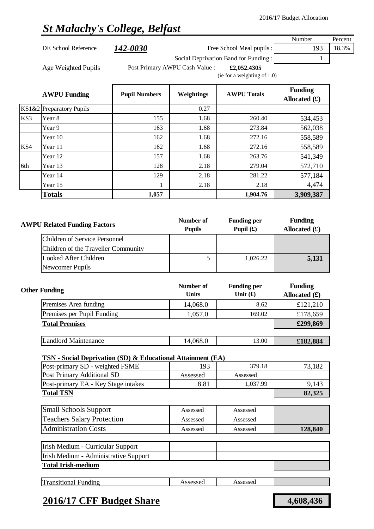# *St Malachy's College, Belfast*

| <b>AWPU Funding</b> | <b>Pupil Numbers</b> | Weightings                     | <b>AWPU Totals</b>                            | <b>Funding</b><br>Allocated $(f)$ |         |
|---------------------|----------------------|--------------------------------|-----------------------------------------------|-----------------------------------|---------|
| Age Weighted Pupils |                      | Post Primary AWPU Cash Value : | £2,052.4305<br>(ie for a weighting of $1.0$ ) |                                   |         |
|                     |                      |                                | Social Deprivation Band for Funding:          |                                   |         |
| DE School Reference | <i>142-0030</i>      |                                | Free School Meal pupils :                     | 193                               | 18.3%   |
|                     |                      |                                |                                               | Number                            | Percent |

|     | KS1&2 Preparatory Pupils |       | 0.27 |          |           |
|-----|--------------------------|-------|------|----------|-----------|
| KS3 | Year 8                   | 155   | 1.68 | 260.40   | 534,453   |
|     | Year 9                   | 163   | 1.68 | 273.84   | 562,038   |
|     | Year 10                  | 162   | 1.68 | 272.16   | 558,589   |
| KS4 | Year 11                  | 162   | 1.68 | 272.16   | 558,589   |
|     | Year 12                  | 157   | 1.68 | 263.76   | 541,349   |
| 6th | Year 13                  | 128   | 2.18 | 279.04   | 572,710   |
|     | Year 14                  | 129   | 2.18 | 281.22   | 577,184   |
|     | Year 15                  |       | 2.18 | 2.18     | 4,474     |
|     | <b>Totals</b>            | 1,057 |      | 1,904.76 | 3,909,387 |

| <b>AWPU Related Funding Factors</b>  | Number of<br><b>Pupils</b> | <b>Funding per</b><br>Pupil $(f)$ | <b>Funding</b><br>Allocated $(f)$ |
|--------------------------------------|----------------------------|-----------------------------------|-----------------------------------|
| <b>Children of Service Personnel</b> |                            |                                   |                                   |
| Children of the Traveller Community  |                            |                                   |                                   |
| Looked After Children                |                            | 1,026.22                          | 5,131                             |
| Newcomer Pupils                      |                            |                                   |                                   |

| <b>Other Funding</b>        | Number of<br><b>Units</b> | <b>Funding per</b><br>Unit $(f)$ | <b>Funding</b><br>Allocated $(f)$ |
|-----------------------------|---------------------------|----------------------------------|-----------------------------------|
| Premises Area funding       | 14,068.0                  | 8.62                             | £121,210                          |
| Premises per Pupil Funding  | 1,057.0                   | 169.02                           | £178,659                          |
| <b>Total Premises</b>       |                           |                                  | £299,869                          |
|                             |                           |                                  |                                   |
| <b>Landlord Maintenance</b> | 14,068.0                  | 13.00                            | £182,884                          |

### **TSN - Social Deprivation (SD) & Educational Attainment (EA)**

| Post-primary SD - weighted FSME     | 193      | 379.18   | 73,182 |
|-------------------------------------|----------|----------|--------|
| Post Primary Additional SD          | Assessed | Assessed |        |
| Post-primary EA - Key Stage intakes | 8.81     | 1,037.99 | 9.143  |
| <b>Total TSN</b>                    |          |          | 82,325 |

| <b>Small Schools Support</b>      | Assessed | Assessed |         |
|-----------------------------------|----------|----------|---------|
| <b>Teachers Salary Protection</b> | Assessed | Assessed |         |
| <b>Administration Costs</b>       | Assessed | Assessed | 128,840 |

| Irish Medium - Curricular Support     |  |  |
|---------------------------------------|--|--|
| Irish Medium - Administrative Support |  |  |
| <b>Total Irish-medium</b>             |  |  |
|                                       |  |  |

| Im<br>لمستمر متعارض<br>----<br>. .<br>unding<br>тонат<br> | -----<br>scosod.<br>$\cdot$ | 000000<br>.<br>$\sim$ |  |
|-----------------------------------------------------------|-----------------------------|-----------------------|--|
|                                                           |                             |                       |  |

### **2016/17 CFF Budget Share 4,608,436**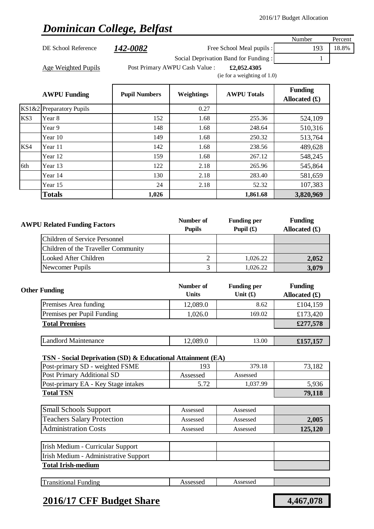# *Dominican College, Belfast*

|     |                                                                             |                      |                                                                                                                                                                                                                                                                                                                                                                                                                                                                                                                                                                                                                                                                                                                                                                                                                                                                                                                                                                                                                              |                    | Number                            | Percent |
|-----|-----------------------------------------------------------------------------|----------------------|------------------------------------------------------------------------------------------------------------------------------------------------------------------------------------------------------------------------------------------------------------------------------------------------------------------------------------------------------------------------------------------------------------------------------------------------------------------------------------------------------------------------------------------------------------------------------------------------------------------------------------------------------------------------------------------------------------------------------------------------------------------------------------------------------------------------------------------------------------------------------------------------------------------------------------------------------------------------------------------------------------------------------|--------------------|-----------------------------------|---------|
|     | DE School Reference                                                         | <u>142-0082</u>      |                                                                                                                                                                                                                                                                                                                                                                                                                                                                                                                                                                                                                                                                                                                                                                                                                                                                                                                                                                                                                              |                    | 193                               | 18.8%   |
|     |                                                                             |                      |                                                                                                                                                                                                                                                                                                                                                                                                                                                                                                                                                                                                                                                                                                                                                                                                                                                                                                                                                                                                                              |                    | 1                                 |         |
|     | <b>Age Weighted Pupils</b>                                                  |                      |                                                                                                                                                                                                                                                                                                                                                                                                                                                                                                                                                                                                                                                                                                                                                                                                                                                                                                                                                                                                                              | £2,052.4305        |                                   |         |
|     |                                                                             |                      |                                                                                                                                                                                                                                                                                                                                                                                                                                                                                                                                                                                                                                                                                                                                                                                                                                                                                                                                                                                                                              |                    |                                   |         |
|     | <b>AWPU Funding</b>                                                         | <b>Pupil Numbers</b> | Weightings                                                                                                                                                                                                                                                                                                                                                                                                                                                                                                                                                                                                                                                                                                                                                                                                                                                                                                                                                                                                                   | <b>AWPU Totals</b> | <b>Funding</b><br>Allocated $(f)$ |         |
|     | KS1&2 Preparatory Pupils                                                    |                      | 0.27                                                                                                                                                                                                                                                                                                                                                                                                                                                                                                                                                                                                                                                                                                                                                                                                                                                                                                                                                                                                                         |                    |                                   |         |
| KS3 | Year 8                                                                      | 152                  | Dominican College, Belfast<br>Free School Meal pupils :<br>Social Deprivation Band for Funding:<br>Post Primary AWPU Cash Value :<br>(ie for a weighting of 1.0)<br>1.68<br>255.36<br>524,109<br>148<br>248.64<br>1.68<br>510,316<br>149<br>1.68<br>250.32<br>513,764<br>142<br>1.68<br>238.56<br>489,628<br>267.12<br>159<br>1.68<br>548,245<br>122<br>2.18<br>265.96<br>545,864<br>2.18<br>130<br>283.40<br>581,659<br>24<br>52.32<br>2.18<br>107,383<br>1,861.68<br>3,820,969<br><b>Funding</b><br>Number of<br><b>Funding per</b><br>Pupil $(f)$<br><b>Pupils</b><br>Allocated $(f)$<br>$\mathfrak{2}$<br>1,026.22<br>2,052<br>3<br>1,026.22<br>3,079<br><b>Funding</b><br>Number of<br><b>Funding per</b><br><b>Units</b><br>Unit $(f)$<br>Allocated $(f)$<br>12,089.0<br>8.62<br>£104,159<br>1,026.0<br>169.02<br>£173,420<br>£277,578<br>12,089.0<br>13.00<br>£157,157<br>TSN - Social Deprivation (SD) & Educational Attainment (EA)<br>379.18<br>193<br>73,182<br>Assessed<br>Assessed<br>5.72<br>1,037.99<br>5,936 |                    |                                   |         |
|     | Year 9                                                                      |                      |                                                                                                                                                                                                                                                                                                                                                                                                                                                                                                                                                                                                                                                                                                                                                                                                                                                                                                                                                                                                                              |                    |                                   |         |
|     | Year 10                                                                     |                      |                                                                                                                                                                                                                                                                                                                                                                                                                                                                                                                                                                                                                                                                                                                                                                                                                                                                                                                                                                                                                              |                    |                                   |         |
| KS4 | Year 11                                                                     |                      |                                                                                                                                                                                                                                                                                                                                                                                                                                                                                                                                                                                                                                                                                                                                                                                                                                                                                                                                                                                                                              |                    |                                   |         |
|     | Year 12                                                                     |                      |                                                                                                                                                                                                                                                                                                                                                                                                                                                                                                                                                                                                                                                                                                                                                                                                                                                                                                                                                                                                                              |                    |                                   |         |
| 6th | Year 13                                                                     |                      |                                                                                                                                                                                                                                                                                                                                                                                                                                                                                                                                                                                                                                                                                                                                                                                                                                                                                                                                                                                                                              |                    |                                   |         |
|     | Year 14                                                                     |                      |                                                                                                                                                                                                                                                                                                                                                                                                                                                                                                                                                                                                                                                                                                                                                                                                                                                                                                                                                                                                                              |                    |                                   |         |
|     | Year 15                                                                     |                      |                                                                                                                                                                                                                                                                                                                                                                                                                                                                                                                                                                                                                                                                                                                                                                                                                                                                                                                                                                                                                              |                    |                                   |         |
|     | <b>Totals</b>                                                               | 1,026                |                                                                                                                                                                                                                                                                                                                                                                                                                                                                                                                                                                                                                                                                                                                                                                                                                                                                                                                                                                                                                              |                    |                                   |         |
|     |                                                                             |                      |                                                                                                                                                                                                                                                                                                                                                                                                                                                                                                                                                                                                                                                                                                                                                                                                                                                                                                                                                                                                                              |                    |                                   |         |
|     | <b>AWPU Related Funding Factors</b><br><b>Children of Service Personnel</b> |                      |                                                                                                                                                                                                                                                                                                                                                                                                                                                                                                                                                                                                                                                                                                                                                                                                                                                                                                                                                                                                                              |                    |                                   |         |
|     |                                                                             |                      |                                                                                                                                                                                                                                                                                                                                                                                                                                                                                                                                                                                                                                                                                                                                                                                                                                                                                                                                                                                                                              |                    |                                   |         |
|     |                                                                             |                      |                                                                                                                                                                                                                                                                                                                                                                                                                                                                                                                                                                                                                                                                                                                                                                                                                                                                                                                                                                                                                              |                    |                                   |         |
|     | Children of the Traveller Community                                         |                      |                                                                                                                                                                                                                                                                                                                                                                                                                                                                                                                                                                                                                                                                                                                                                                                                                                                                                                                                                                                                                              |                    |                                   |         |
|     | <b>Looked After Children</b>                                                |                      |                                                                                                                                                                                                                                                                                                                                                                                                                                                                                                                                                                                                                                                                                                                                                                                                                                                                                                                                                                                                                              |                    |                                   |         |
|     | Newcomer Pupils                                                             |                      |                                                                                                                                                                                                                                                                                                                                                                                                                                                                                                                                                                                                                                                                                                                                                                                                                                                                                                                                                                                                                              |                    |                                   |         |
|     | <b>Other Funding</b>                                                        |                      |                                                                                                                                                                                                                                                                                                                                                                                                                                                                                                                                                                                                                                                                                                                                                                                                                                                                                                                                                                                                                              |                    |                                   |         |
|     | Premises Area funding                                                       |                      |                                                                                                                                                                                                                                                                                                                                                                                                                                                                                                                                                                                                                                                                                                                                                                                                                                                                                                                                                                                                                              |                    |                                   |         |
|     | Premises per Pupil Funding                                                  |                      |                                                                                                                                                                                                                                                                                                                                                                                                                                                                                                                                                                                                                                                                                                                                                                                                                                                                                                                                                                                                                              |                    |                                   |         |
|     | <b>Total Premises</b>                                                       |                      |                                                                                                                                                                                                                                                                                                                                                                                                                                                                                                                                                                                                                                                                                                                                                                                                                                                                                                                                                                                                                              |                    |                                   |         |
|     | <b>Landlord Maintenance</b>                                                 |                      |                                                                                                                                                                                                                                                                                                                                                                                                                                                                                                                                                                                                                                                                                                                                                                                                                                                                                                                                                                                                                              |                    |                                   |         |
|     |                                                                             |                      |                                                                                                                                                                                                                                                                                                                                                                                                                                                                                                                                                                                                                                                                                                                                                                                                                                                                                                                                                                                                                              |                    |                                   |         |
|     |                                                                             |                      |                                                                                                                                                                                                                                                                                                                                                                                                                                                                                                                                                                                                                                                                                                                                                                                                                                                                                                                                                                                                                              |                    |                                   |         |
|     | Post-primary SD - weighted FSME<br><b>Post Primary Additional SD</b>        |                      |                                                                                                                                                                                                                                                                                                                                                                                                                                                                                                                                                                                                                                                                                                                                                                                                                                                                                                                                                                                                                              |                    |                                   |         |
|     | Post-primary EA - Key Stage intakes                                         |                      |                                                                                                                                                                                                                                                                                                                                                                                                                                                                                                                                                                                                                                                                                                                                                                                                                                                                                                                                                                                                                              |                    |                                   |         |
|     | <b>Total TSN</b>                                                            |                      |                                                                                                                                                                                                                                                                                                                                                                                                                                                                                                                                                                                                                                                                                                                                                                                                                                                                                                                                                                                                                              |                    | 79,118                            |         |
|     |                                                                             |                      |                                                                                                                                                                                                                                                                                                                                                                                                                                                                                                                                                                                                                                                                                                                                                                                                                                                                                                                                                                                                                              |                    |                                   |         |
|     | <b>Small Schools Support</b><br><b>Teachers Salary Protection</b>           |                      | Assessed                                                                                                                                                                                                                                                                                                                                                                                                                                                                                                                                                                                                                                                                                                                                                                                                                                                                                                                                                                                                                     | Assessed           |                                   |         |

| Irish Medium - Curricular Support     |  |
|---------------------------------------|--|
| Irish Medium - Administrative Support |  |
| <b>Total Irish-medium</b>             |  |

| $\mathbf{r}$<br><b>issessed</b><br>ransitional<br>Assessed<br>⊦undıng<br>. |  |
|----------------------------------------------------------------------------|--|
|----------------------------------------------------------------------------|--|

## **2016/17 CFF Budget Share 4,467,078**

Administration Costs

Assessed Assessed **125,120**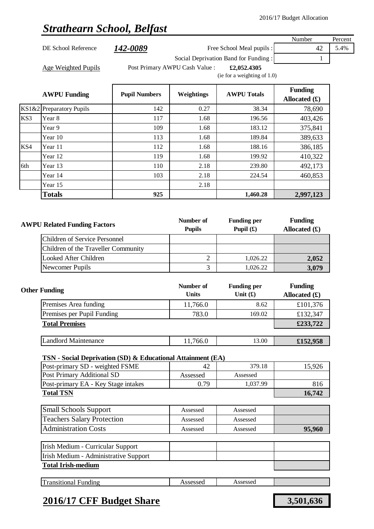# *Strathearn School, Belfast*

|       |                                                                                                |                            |                                   |                                      | Number          | Percent |
|-------|------------------------------------------------------------------------------------------------|----------------------------|-----------------------------------|--------------------------------------|-----------------|---------|
|       | DE School Reference                                                                            | <u>142-0089</u>            |                                   | Free School Meal pupils :            | 42              | 5.4%    |
|       |                                                                                                |                            |                                   | Social Deprivation Band for Funding: | 1               |         |
|       | <b>Age Weighted Pupils</b>                                                                     |                            | Post Primary AWPU Cash Value :    | £2,052.4305                          |                 |         |
|       |                                                                                                |                            |                                   | (ie for a weighting of 1.0)          |                 |         |
|       |                                                                                                |                            |                                   |                                      | <b>Funding</b>  |         |
|       | <b>AWPU Funding</b>                                                                            | <b>Pupil Numbers</b>       | Weightings                        | <b>AWPU Totals</b>                   | Allocated $(f)$ |         |
| KS1&2 | <b>Preparatory Pupils</b>                                                                      | 142                        | 0.27                              | 38.34                                | 78,690          |         |
| KS3   | Year 8                                                                                         | 117                        | 1.68                              | 196.56                               | 403,426         |         |
|       | Year 9                                                                                         | 109                        | 1.68                              | 183.12                               | 375,841         |         |
|       | Year 10                                                                                        | 113                        | 1.68                              | 189.84                               | 389,633         |         |
| KS4   | Year 11                                                                                        | 112                        | 1.68                              | 188.16                               | 386,185         |         |
|       | Year 12                                                                                        | 119                        | 1.68                              | 199.92                               | 410,322         |         |
| 6th   | Year 13                                                                                        | 110                        | 2.18                              | 239.80                               | 492,173         |         |
|       | Year 14                                                                                        | 103                        | 2.18                              | 224.54                               | 460,853         |         |
|       | Year 15                                                                                        |                            | 2.18                              |                                      |                 |         |
|       | <b>Totals</b>                                                                                  | 925                        |                                   | 1,460.28                             | 2,997,123       |         |
|       |                                                                                                |                            |                                   |                                      |                 |         |
|       |                                                                                                |                            |                                   |                                      |                 |         |
|       | <b>AWPU Related Funding Factors</b>                                                            | Number of<br><b>Pupils</b> | <b>Funding per</b><br>Pupil $(f)$ | <b>Funding</b>                       |                 |         |
|       | <b>Children of Service Personnel</b>                                                           |                            |                                   |                                      | Allocated $(f)$ |         |
|       | Children of the Traveller Community                                                            |                            |                                   |                                      |                 |         |
|       | <b>Looked After Children</b>                                                                   |                            | $\overline{c}$                    | 1,026.22                             |                 |         |
|       | Newcomer Pupils                                                                                |                            | 3                                 | 1,026.22                             | 2,052<br>3,079  |         |
|       |                                                                                                |                            |                                   |                                      |                 |         |
|       |                                                                                                |                            | Number of                         | <b>Funding per</b>                   | <b>Funding</b>  |         |
|       | <b>Other Funding</b>                                                                           |                            | <b>Units</b>                      | Unit $(f)$                           | Allocated $(f)$ |         |
|       | Premises Area funding                                                                          |                            | 11,766.0                          | 8.62                                 | £101,376        |         |
|       | Premises per Pupil Funding                                                                     |                            | 783.0                             | 169.02                               | £132,347        |         |
|       | <b>Total Premises</b>                                                                          |                            |                                   |                                      | £233,722        |         |
|       |                                                                                                |                            |                                   |                                      |                 |         |
|       | <b>Landlord Maintenance</b>                                                                    |                            | 11,766.0                          | 13.00                                | £152,958        |         |
|       |                                                                                                |                            |                                   |                                      |                 |         |
|       | TSN - Social Deprivation (SD) & Educational Attainment (EA)<br>Post-primary SD - weighted FSME |                            | 42                                | 379.18                               | 15,926          |         |
|       | Post Primary Additional SD                                                                     |                            | Assessed                          | Assessed                             |                 |         |
|       | Post-primary EA - Key Stage intakes                                                            |                            | 0.79                              | 1,037.99                             | 816             |         |
|       | <b>Total TSN</b>                                                                               |                            |                                   |                                      | 16,742          |         |
|       |                                                                                                |                            |                                   |                                      |                 |         |
|       | <b>Small Schools Support</b>                                                                   |                            | Assessed                          | Assessed                             |                 |         |
|       | <b>Teachers Salary Protection</b>                                                              |                            | Assessed                          | Assessed                             |                 |         |
|       | <b>Administration Costs</b>                                                                    |                            | Assessed                          | Assessed                             | 95,960          |         |
|       | Irish Medium - Curricular Support                                                              |                            |                                   |                                      |                 |         |
|       | Irish Medium - Administrative Support                                                          |                            |                                   |                                      |                 |         |
|       | <b>Total Irish-medium</b>                                                                      |                            |                                   |                                      |                 |         |
|       |                                                                                                |                            |                                   |                                      |                 |         |
|       | <b>Transitional Funding</b>                                                                    |                            | Assessed                          | Assessed                             |                 |         |
|       |                                                                                                |                            |                                   |                                      |                 |         |

### **2016/17 CFF Budget Share 3,501,636**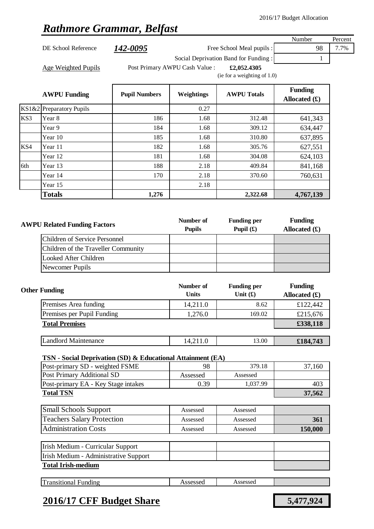### *Rathmore Grammar, Belfast*

|       |                                                             |                      |                                |                                      | Number                            | Percent |
|-------|-------------------------------------------------------------|----------------------|--------------------------------|--------------------------------------|-----------------------------------|---------|
|       | DE School Reference                                         | 142-0095             |                                | Free School Meal pupils :            | 98                                | 7.7%    |
|       |                                                             |                      |                                | Social Deprivation Band for Funding: | 1                                 |         |
|       | Age Weighted Pupils                                         |                      | Post Primary AWPU Cash Value : | £2,052.4305                          |                                   |         |
|       |                                                             |                      |                                | (ie for a weighting of 1.0)          |                                   |         |
|       | <b>AWPU Funding</b>                                         | <b>Pupil Numbers</b> | Weightings                     | <b>AWPU Totals</b>                   | <b>Funding</b><br>Allocated $(f)$ |         |
| KS1&2 | <b>Preparatory Pupils</b>                                   |                      | 0.27                           |                                      |                                   |         |
| KS3   | Year 8                                                      | 186                  | 1.68                           | 312.48                               | 641,343                           |         |
|       | Year 9                                                      | 184                  | 1.68                           | 309.12                               | 634,447                           |         |
|       | Year 10                                                     | 185                  | 1.68                           | 310.80                               | 637,895                           |         |
| KS4   | Year 11                                                     | 182                  | 1.68                           | 305.76                               | 627,551                           |         |
|       | Year 12                                                     | 181                  | 1.68                           | 304.08                               | 624,103                           |         |
| 6th   | Year 13                                                     | 188                  | 2.18                           | 409.84                               | 841,168                           |         |
|       | Year 14                                                     | 170                  | 2.18                           | 370.60                               | 760,631                           |         |
|       | Year 15                                                     |                      | 2.18                           |                                      |                                   |         |
|       | <b>Totals</b>                                               | 1,276                |                                | 2,322.68                             | 4,767,139                         |         |
|       | <b>Children of Service Personnel</b>                        |                      | <b>Pupils</b>                  | Pupil $(f)$                          | Allocated $(f)$                   |         |
|       | Children of the Traveller Community                         |                      |                                |                                      |                                   |         |
|       | <b>Looked After Children</b>                                |                      |                                |                                      |                                   |         |
|       | Newcomer Pupils                                             |                      |                                |                                      |                                   |         |
|       | <b>Other Funding</b>                                        |                      | Number of<br><b>Units</b>      | <b>Funding per</b><br>Unit $(f)$     | <b>Funding</b><br>Allocated $(f)$ |         |
|       | Premises Area funding                                       |                      | 14,211.0                       | 8.62                                 | £122,442                          |         |
|       | Premises per Pupil Funding                                  |                      | 1,276.0                        | 169.02                               | £215,676                          |         |
|       | <b>Total Premises</b>                                       |                      |                                |                                      | £338,118                          |         |
|       | <b>Landlord Maintenance</b>                                 |                      | 14,211.0                       | 13.00                                | £184,743                          |         |
|       | TSN - Social Deprivation (SD) & Educational Attainment (EA) |                      |                                |                                      |                                   |         |
|       | Post-primary SD - weighted FSME                             |                      | 98                             | 379.18                               | 37,160                            |         |
|       | Post Primary Additional SD                                  |                      | Assessed                       | Assessed                             |                                   |         |
|       | Post-primary EA - Key Stage intakes                         |                      | 0.39                           | 1,037.99                             | 403                               |         |
|       | <b>Total TSN</b>                                            |                      |                                |                                      | 37,562                            |         |
|       | <b>Small Schools Support</b>                                |                      | Assessed                       | Assessed                             |                                   |         |

| <b>Small Schools Support</b>      | Assessed | Assessed |         |
|-----------------------------------|----------|----------|---------|
| <b>Teachers Salary Protection</b> | Assessed | Assessed | 361     |
| <b>Administration Costs</b>       | Assessed | Assessed | 150,000 |

| Irish Medium - Curricular Support     |  |  |
|---------------------------------------|--|--|
| Irish Medium - Administrative Support |  |  |
| <b>Total Irish-medium</b>             |  |  |

| ransitional<br>Funding<br>7990990U<br>. ISSCSSCU<br>. | $\sim$<br>$^{\prime}$<br>.000000<br>ccaccad |
|-------------------------------------------------------|---------------------------------------------|
|-------------------------------------------------------|---------------------------------------------|

# **2016/17 CFF Budget Share 5,477,924**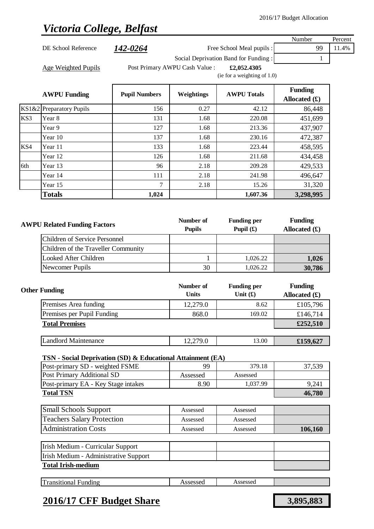# *Victoria College, Belfast*

|                                     |                                                             |                      |                                |                                      | Number          | Percent |
|-------------------------------------|-------------------------------------------------------------|----------------------|--------------------------------|--------------------------------------|-----------------|---------|
|                                     | DE School Reference                                         | <u>142-0264</u>      |                                | Free School Meal pupils :            | 99              | 11.4%   |
|                                     |                                                             |                      |                                | Social Deprivation Band for Funding: | $\mathbf{1}$    |         |
|                                     | <b>Age Weighted Pupils</b>                                  |                      | Post Primary AWPU Cash Value : | £2,052.4305                          |                 |         |
|                                     |                                                             |                      |                                | (ie for a weighting of 1.0)          |                 |         |
|                                     |                                                             |                      |                                |                                      | <b>Funding</b>  |         |
|                                     | <b>AWPU Funding</b>                                         | <b>Pupil Numbers</b> | Weightings                     | <b>AWPU Totals</b>                   | Allocated $(f)$ |         |
| KS1&2                               | <b>Preparatory Pupils</b>                                   | 156                  | 0.27                           | 42.12                                | 86,448          |         |
| KS3                                 | Year 8                                                      | 131                  | 1.68                           | 220.08                               | 451,699         |         |
|                                     | Year 9                                                      | 127                  | 1.68                           | 213.36                               | 437,907         |         |
|                                     | Year 10                                                     | 137                  | 1.68                           | 230.16                               | 472,387         |         |
| KS4                                 | Year 11                                                     | 133                  | 1.68                           | 223.44                               | 458,595         |         |
|                                     | Year 12                                                     | 126                  | 1.68                           | 211.68                               | 434,458         |         |
| 6th                                 | Year 13                                                     | 96                   | 2.18                           | 209.28                               | 429,533         |         |
|                                     | Year 14                                                     | 111                  | 2.18                           | 241.98                               | 496,647         |         |
|                                     | Year 15                                                     | 7                    | 2.18                           | 15.26                                | 31,320          |         |
|                                     | <b>Totals</b>                                               | 1,024                |                                | 1,607.36                             | 3,298,995       |         |
|                                     |                                                             |                      |                                |                                      |                 |         |
|                                     |                                                             |                      |                                |                                      |                 |         |
|                                     | <b>AWPU Related Funding Factors</b>                         |                      | Number of                      | <b>Funding per</b>                   | <b>Funding</b>  |         |
|                                     |                                                             |                      | <b>Pupils</b>                  | Pupil $(f)$                          | Allocated $(f)$ |         |
|                                     | <b>Children of Service Personnel</b>                        |                      |                                |                                      |                 |         |
|                                     | Children of the Traveller Community                         |                      |                                |                                      |                 |         |
| <b>Looked After Children</b>        |                                                             |                      | $\mathbf{1}$                   | 1,026.22                             | 1,026           |         |
|                                     | Newcomer Pupils                                             |                      | 30                             | 1,026.22                             | 30,786          |         |
|                                     |                                                             |                      |                                |                                      |                 |         |
|                                     | <b>Other Funding</b>                                        |                      | Number of                      | <b>Funding per</b><br>Unit $(f)$     | <b>Funding</b>  |         |
|                                     |                                                             |                      | <b>Units</b>                   |                                      | Allocated $(f)$ |         |
|                                     | Premises Area funding                                       |                      | 12,279.0                       | 8.62                                 | £105,796        |         |
|                                     | Premises per Pupil Funding                                  |                      | 868.0                          | 169.02                               | £146,714        |         |
|                                     | <b>Total Premises</b>                                       |                      |                                |                                      | £252,510        |         |
|                                     | <b>Landlord Maintenance</b>                                 |                      | 12,279.0                       | 13.00                                | £159,627        |         |
|                                     |                                                             |                      |                                |                                      |                 |         |
|                                     | TSN - Social Deprivation (SD) & Educational Attainment (EA) |                      |                                |                                      |                 |         |
|                                     |                                                             |                      |                                |                                      |                 |         |
|                                     | Post-primary SD - weighted FSME                             |                      | 99                             | 379.18                               | 37,539          |         |
| Post-primary EA - Key Stage intakes |                                                             |                      | Assessed                       | Assessed                             |                 |         |
|                                     | Post Primary Additional SD                                  |                      | 8.90                           | 1,037.99                             | 9,241           |         |
|                                     | <b>Total TSN</b>                                            |                      |                                |                                      | 46,780          |         |
|                                     |                                                             |                      |                                |                                      |                 |         |
|                                     | <b>Small Schools Support</b>                                |                      | Assessed                       | Assessed                             |                 |         |
|                                     | <b>Teachers Salary Protection</b>                           |                      | Assessed                       | Assessed                             |                 |         |
|                                     | <b>Administration Costs</b>                                 |                      | Assessed                       | Assessed                             | 106,160         |         |
|                                     |                                                             |                      |                                |                                      |                 |         |
|                                     | Irish Medium - Curricular Support                           |                      |                                |                                      |                 |         |
|                                     | Irish Medium - Administrative Support                       |                      |                                |                                      |                 |         |
|                                     | <b>Total Irish-medium</b>                                   |                      |                                |                                      |                 |         |
|                                     | <b>Transitional Funding</b>                                 |                      | Assessed                       | Assessed                             |                 |         |

### **2016/17 CFF Budget Share 3,895,883**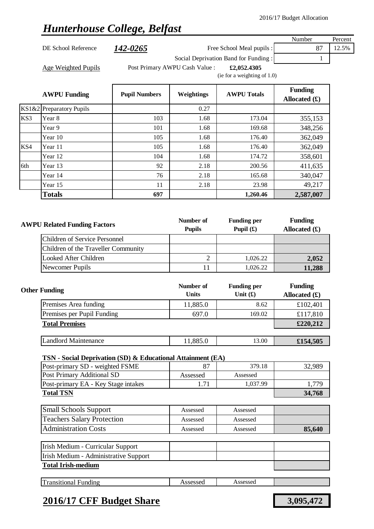## *Hunterhouse College, Belfast*

|                          |                      |                                |                                      | Number          | Percent |
|--------------------------|----------------------|--------------------------------|--------------------------------------|-----------------|---------|
| DE School Reference      | 142-0265             |                                | Free School Meal pupils :            | 87              | 12.5%   |
|                          |                      |                                | Social Deprivation Band for Funding: |                 |         |
| Age Weighted Pupils      |                      | Post Primary AWPU Cash Value : | £2,052.4305                          |                 |         |
|                          |                      |                                | (ie for a weighting of $1.0$ )       |                 |         |
|                          |                      |                                |                                      | <b>Funding</b>  |         |
| <b>AWPU Funding</b>      | <b>Pupil Numbers</b> | Weightings                     | <b>AWPU Totals</b>                   | Allocated $(f)$ |         |
| KS1&2 Preparatory Pupils |                      | 0.27                           |                                      |                 |         |

|     | <b>Totals</b> | 697 |      | 1,260.46 | 2,587,007 |
|-----|---------------|-----|------|----------|-----------|
|     | Year 15       | 11  | 2.18 | 23.98    | 49,217    |
|     | Year 14       | 76  | 2.18 | 165.68   | 340,047   |
| 6th | Year 13       | 92  | 2.18 | 200.56   | 411,635   |
|     | Year 12       | 104 | 1.68 | 174.72   | 358,601   |
| KS4 | Year 11       | 105 | 1.68 | 176.40   | 362,049   |
|     | Year 10       | 105 | 1.68 | 176.40   | 362,049   |
|     | Year 9        | 101 | 1.68 | 169.68   | 348,256   |

KS3 Year 8 103 103 1.68 173.04 355,153

| <b>AWPU Related Funding Factors</b> | Number of<br><b>Pupils</b> | <b>Funding per</b><br>Pupil $(f)$ | <b>Funding</b><br>Allocated $(f)$ |
|-------------------------------------|----------------------------|-----------------------------------|-----------------------------------|
| Children of Service Personnel       |                            |                                   |                                   |
| Children of the Traveller Community |                            |                                   |                                   |
| Looked After Children               |                            | 1,026.22                          | 2,052                             |
| Newcomer Pupils                     |                            | 1.026.22                          | 11,288                            |

| <b>Other Funding</b>        | Number of<br><b>Units</b> | <b>Funding per</b><br>Unit $(f)$ | <b>Funding</b><br>Allocated $(\pounds)$ |
|-----------------------------|---------------------------|----------------------------------|-----------------------------------------|
| Premises Area funding       | 11,885.0                  | 8.62                             | £102,401                                |
| Premises per Pupil Funding  | 697.0                     | 169.02                           | £117,810                                |
| <b>Total Premises</b>       |                           |                                  | £220,212                                |
|                             |                           |                                  |                                         |
| <b>Landlord Maintenance</b> | 11,885.0                  | 13.00                            | £154,505                                |

### **TSN - Social Deprivation (SD) & Educational Attainment (EA)**

| Post-primary SD - weighted FSME     |              | 379.18   | 32,989 |
|-------------------------------------|--------------|----------|--------|
| <b>Post Primary Additional SD</b>   | Assessed     | Assessed |        |
| Post-primary EA - Key Stage intakes | $\mathbf{z}$ | 1.037.99 | .779   |
| <b>Total TSN</b>                    |              |          | 34,768 |

| <b>Small Schools Support</b>      | Assessed | Assessed |        |
|-----------------------------------|----------|----------|--------|
| <b>Teachers Salary Protection</b> | Assessed | Assessed |        |
| <b>Administration Costs</b>       | Assessed | Assessed | 85,640 |

| Irish Medium - Curricular Support     |  |  |
|---------------------------------------|--|--|
| Irish Medium - Administrative Support |  |  |
| <b>Total Irish-medium</b>             |  |  |

| --<br>nsitional<br>∹undıng<br>l'al | ാമാറെ | 0000000<br>rsscsscu<br>-------- |  |
|------------------------------------|-------|---------------------------------|--|
|                                    |       |                                 |  |

### **2016/17 CFF Budget Share 3,095,472**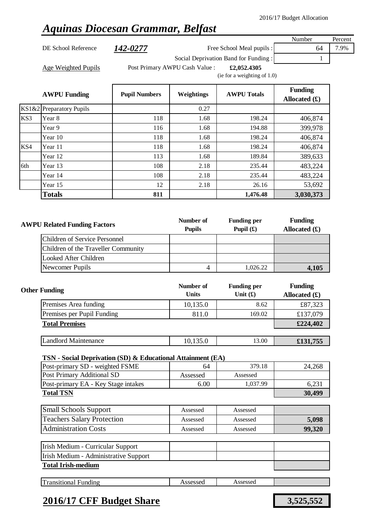# *Aquinas Diocesan Grammar, Belfast*

DE School Reference **142-0277** Free School Meal pupils : 64 7.9%

Number Percent

Age Weighted Pupils **Filter Post Primary AWPU Cash Value** : **£2,052.4305** 

Social Deprivation Band for Funding : 1

(ie for a weighting of 1.0)

|     | <b>AWPU Funding</b>      | <b>Pupil Numbers</b> | Weightings | <b>AWPU Totals</b> | <b>Funding</b><br>Allocated $(f)$ |
|-----|--------------------------|----------------------|------------|--------------------|-----------------------------------|
|     | KS1&2 Preparatory Pupils |                      | 0.27       |                    |                                   |
| KS3 | Year 8                   | 118                  | 1.68       | 198.24             | 406,874                           |
|     | Year 9                   | 116                  | 1.68       | 194.88             | 399,978                           |
|     | Year 10                  | 118                  | 1.68       | 198.24             | 406,874                           |
| KS4 | Year 11                  | 118                  | 1.68       | 198.24             | 406,874                           |
|     | Year 12                  | 113                  | 1.68       | 189.84             | 389,633                           |
| 6th | Year 13                  | 108                  | 2.18       | 235.44             | 483,224                           |
|     | Year 14                  | 108                  | 2.18       | 235.44             | 483,224                           |
|     | Year 15                  | 12                   | 2.18       | 26.16              | 53,692                            |
|     | <b>Totals</b>            | 811                  |            | 1,476.48           | 3,030,373                         |

| <b>AWPU Related Funding Factors</b> | Number of<br><b>Pupils</b> | <b>Funding per</b><br>Pupil $(\mathbf{\hat{E}})$ | <b>Funding</b><br>Allocated $(f)$ |
|-------------------------------------|----------------------------|--------------------------------------------------|-----------------------------------|
| Children of Service Personnel       |                            |                                                  |                                   |
| Children of the Traveller Community |                            |                                                  |                                   |
| Looked After Children               |                            |                                                  |                                   |
| Newcomer Pupils                     |                            | 1.026.22                                         | 4,105                             |

| <b>Other Funding</b>        | Number of<br><b>Units</b> | <b>Funding per</b><br>Unit $(f)$ | <b>Funding</b><br>Allocated $(f)$ |
|-----------------------------|---------------------------|----------------------------------|-----------------------------------|
| Premises Area funding       | 10,135.0                  | 8.62                             | £87,323                           |
| Premises per Pupil Funding  | 811.0                     | 169.02                           | £137,079                          |
| <b>Total Premises</b>       |                           |                                  | £224,402                          |
|                             |                           |                                  |                                   |
| <b>Landlord Maintenance</b> | 10,135.0                  | 13.00                            | £131,755                          |

#### **TSN - Social Deprivation (SD) & Educational Attainment (EA)**

| Post-primary SD - weighted FSME     | 64       | 379.18   | 24.268 |
|-------------------------------------|----------|----------|--------|
| Post Primary Additional SD          | Assessed | Assessed |        |
| Post-primary EA - Key Stage intakes | 6.00     | 1.037.99 | 6.231  |
| <b>Total TSN</b>                    |          |          | 30,499 |

| <b>Small Schools Support</b>      | Assessed | Assessed |        |
|-----------------------------------|----------|----------|--------|
| <b>Teachers Salary Protection</b> | Assessed | Assessed | 5,098  |
| <b>Administration Costs</b>       | Assessed | Assessed | 99,320 |

| Irish Medium - Curricular Support     |  |  |
|---------------------------------------|--|--|
| Irish Medium - Administrative Support |  |  |
| <b>Total Irish-medium</b>             |  |  |

|  | œ<br>ransitional<br>Funding | 'CACCAC<br>SSESSEU | <b>CCACCAC</b><br>л с<br>7330330U<br>. |  |
|--|-----------------------------|--------------------|----------------------------------------|--|
|--|-----------------------------|--------------------|----------------------------------------|--|

### **2016/17 CFF Budget Share 3,525,552**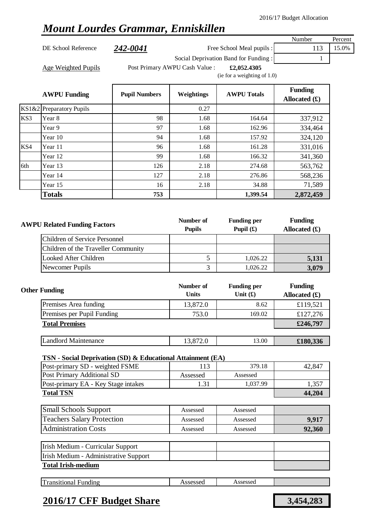## *Mount Lourdes Grammar, Enniskillen*

DE School Reference 242-0041 Free School Meal pupils : 113 15.0%

Number Percent

Age Weighted Pupils **Filter Post Primary AWPU Cash Value** : **£2,052.4305** 

Social Deprivation Band for Funding : 1

(ie for a weighting of 1.0)

|     | <b>AWPU Funding</b>      | <b>Pupil Numbers</b> | Weightings | <b>AWPU Totals</b> | <b>Funding</b><br>Allocated $(f)$ |
|-----|--------------------------|----------------------|------------|--------------------|-----------------------------------|
|     | KS1&2 Preparatory Pupils |                      | 0.27       |                    |                                   |
| KS3 | Year 8                   | 98                   | 1.68       | 164.64             | 337,912                           |
|     | Year 9                   | 97                   | 1.68       | 162.96             | 334,464                           |
|     | Year 10                  | 94                   | 1.68       | 157.92             | 324,120                           |
| KS4 | Year 11                  | 96                   | 1.68       | 161.28             | 331,016                           |
|     | Year 12                  | 99                   | 1.68       | 166.32             | 341,360                           |
| 6th | Year 13                  | 126                  | 2.18       | 274.68             | 563,762                           |
|     | Year 14                  | 127                  | 2.18       | 276.86             | 568,236                           |
|     | Year 15                  | 16                   | 2.18       | 34.88              | 71,589                            |
|     | <b>Totals</b>            | 753                  |            | 1,399.54           | 2,872,459                         |
|     |                          |                      |            |                    |                                   |

| <b>AWPU Related Funding Factors</b> | Number of<br><b>Pupils</b> | <b>Funding per</b><br>Pupil $(f)$ | <b>Funding</b><br>Allocated $(f)$ |
|-------------------------------------|----------------------------|-----------------------------------|-----------------------------------|
| Children of Service Personnel       |                            |                                   |                                   |
| Children of the Traveller Community |                            |                                   |                                   |
| Looked After Children               |                            | 1,026.22                          | 5,131                             |
| Newcomer Pupils                     |                            | 1.026.22                          | 3,079                             |

| <b>Other Funding</b>        | Number of<br><b>Units</b> | <b>Funding per</b><br>Unit $(f)$ | <b>Funding</b><br>Allocated $(f)$ |
|-----------------------------|---------------------------|----------------------------------|-----------------------------------|
| Premises Area funding       | 13,872.0                  | 8.62                             | £119,521                          |
| Premises per Pupil Funding  | 753.0                     | 169.02                           | £127,276                          |
| <b>Total Premises</b>       |                           |                                  | £246,797                          |
|                             |                           |                                  |                                   |
| <b>Landlord Maintenance</b> | 13,872.0                  | 13.00                            | £180,336                          |

### **TSN - Social Deprivation (SD) & Educational Attainment (EA)**

| Post-primary SD - weighted FSME     |          | 379.18   | 42.847 |
|-------------------------------------|----------|----------|--------|
| Post Primary Additional SD          | Assessed | Assessed |        |
| Post-primary EA - Key Stage intakes |          | 1.037.99 | 1,357  |
| <b>Total TSN</b>                    | 44.204   |          |        |

| <b>Small Schools Support</b>      | Assessed | Assessed |        |
|-----------------------------------|----------|----------|--------|
| <b>Teachers Salary Protection</b> | Assessed | Assessed | 9.917  |
| <b>Administration Costs</b>       | Assessed | Assessed | 92,360 |

| Irish Medium - Curricular Support     |  |  |
|---------------------------------------|--|--|
| Irish Medium - Administrative Support |  |  |
| <b>Total Irish-medium</b>             |  |  |

| <b>TT</b><br>ransıtıonal<br>∹undıng | 'മലൈല<br>, ,<br>scssu<br> | ccoccoc<br>79909904<br>. |  |
|-------------------------------------|---------------------------|--------------------------|--|
|                                     |                           |                          |  |

### **2016/17 CFF Budget Share 3,454,283**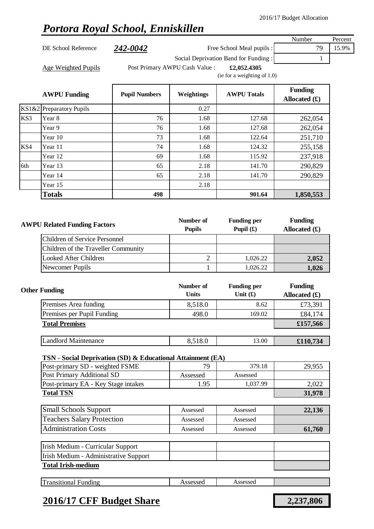## *Portora Royal School, Enniskillen*

Number Percent DE School Reference 242-0042 Free School Meal pupils : 79 15.9% Social Deprivation Band for Funding : 1 Age Weighted Pupils **Filter Post Primary AWPU Cash Value** : **£2,052.4305** (ie for a weighting of 1.0) **AWPU Funding Pupil Numbers Weightings AWPU Totals Funding** 

|     | AWPU Funding             | <b>Pupil Numbers</b> | Weightings | <b>AWPU</b> Totals | $\overline{\phantom{a}}$<br>Allocated $(f)$ |
|-----|--------------------------|----------------------|------------|--------------------|---------------------------------------------|
|     | KS1&2 Preparatory Pupils |                      | 0.27       |                    |                                             |
| KS3 | Year 8                   | 76                   | 1.68       | 127.68             | 262,054                                     |
|     | Year 9                   | 76                   | 1.68       | 127.68             | 262,054                                     |
|     | Year 10                  | 73                   | 1.68       | 122.64             | 251,710                                     |
| KS4 | Year 11                  | 74                   | 1.68       | 124.32             | 255,158                                     |
|     | Year 12                  | 69                   | 1.68       | 115.92             | 237,918                                     |
| 6th | Year 13                  | 65                   | 2.18       | 141.70             | 290,829                                     |
|     | Year 14                  | 65                   | 2.18       | 141.70             | 290,829                                     |
|     | Year 15                  |                      | 2.18       |                    |                                             |
|     | <b>Totals</b>            | 498                  |            | 901.64             | 1,850,553                                   |

| <b>AWPU Related Funding Factors</b> | Number of<br><b>Pupils</b> | <b>Funding per</b><br>Pupil $(f)$ | <b>Funding</b><br>Allocated $(f)$ |
|-------------------------------------|----------------------------|-----------------------------------|-----------------------------------|
| Children of Service Personnel       |                            |                                   |                                   |
| Children of the Traveller Community |                            |                                   |                                   |
| Looked After Children               |                            | 1,026.22                          | 2,052                             |
| Newcomer Pupils                     |                            | 1.026.22                          | 1,026                             |

| <b>Other Funding</b>        | Number of<br><b>Units</b> | <b>Funding per</b><br>Unit $(f)$ | <b>Funding</b><br>Allocated $(f)$ |
|-----------------------------|---------------------------|----------------------------------|-----------------------------------|
| Premises Area funding       | 8,518.0                   | 8.62                             | £73,391                           |
| Premises per Pupil Funding  | 498.0                     | 169.02                           | £84,174                           |
| <b>Total Premises</b>       |                           |                                  | £157,566                          |
|                             |                           |                                  |                                   |
| <b>Landlord Maintenance</b> | 8,518.0                   | 13.00                            | £110,734                          |

#### **TSN - Social Deprivation (SD) & Educational Attainment (EA)**

| 79       | 379.18   | 29,955 |
|----------|----------|--------|
| Assessed | Assessed |        |
| 1.95     | 1,037.99 | 2,022  |
|          |          | 31,978 |
|          |          |        |
| Assessed | Assessed | 22,136 |
| Assessed | Assessed |        |
| Assessed | Assessed | 61,760 |
|          |          |        |
|          |          |        |
|          |          |        |
|          |          |        |
|          |          |        |
|          |          |        |

| $\mathbf{r}$<br>ansitiona.<br>∹undıng | 0000<br>330 | ccaccad<br>ASSCSSCL |  |
|---------------------------------------|-------------|---------------------|--|
|                                       |             |                     |  |

### **2016/17 CFF Budget Share 2,237,806**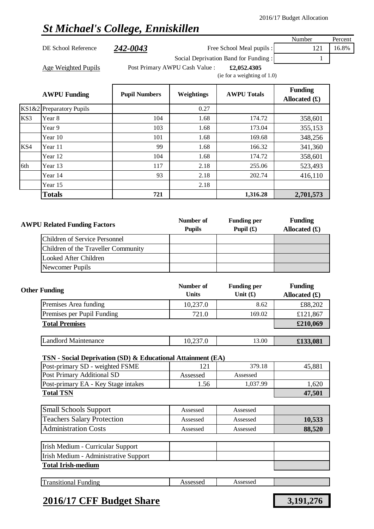# *St Michael's College, Enniskillen*

|                                     |                                                                    |                                |               |                                      | Number          | Percent |
|-------------------------------------|--------------------------------------------------------------------|--------------------------------|---------------|--------------------------------------|-----------------|---------|
|                                     | DE School Reference                                                | 242-0043                       |               | Free School Meal pupils :            | 121             | 16.8%   |
|                                     |                                                                    |                                |               | Social Deprivation Band for Funding: | 1               |         |
|                                     | <b>Age Weighted Pupils</b>                                         | Post Primary AWPU Cash Value : | £2,052.4305   |                                      |                 |         |
|                                     |                                                                    |                                |               | (ie for a weighting of $1.0$ )       |                 |         |
|                                     |                                                                    |                                |               |                                      | <b>Funding</b>  |         |
|                                     | <b>AWPU Funding</b>                                                | <b>Pupil Numbers</b>           | Weightings    | <b>AWPU Totals</b>                   | Allocated $(f)$ |         |
|                                     | KS1&2 Preparatory Pupils                                           |                                | 0.27          |                                      |                 |         |
| KS3                                 | Year 8                                                             | 104                            | 1.68          | 174.72                               | 358,601         |         |
|                                     | Year 9                                                             | 103                            | 1.68          | 173.04                               | 355,153         |         |
|                                     | Year 10                                                            | 101                            | 1.68          | 169.68                               | 348,256         |         |
| KS4                                 | Year 11                                                            | 99                             | 1.68          | 166.32                               | 341,360         |         |
|                                     | Year 12                                                            | 104                            | 1.68          | 174.72                               | 358,601         |         |
| 6th                                 | Year 13                                                            | 117                            | 2.18          | 255.06                               | 523,493         |         |
|                                     | Year 14                                                            | 93                             | 2.18          | 202.74                               | 416,110         |         |
|                                     | Year 15                                                            |                                | 2.18          |                                      |                 |         |
|                                     | <b>Totals</b>                                                      | 721                            |               | 1,316.28                             | 2,701,573       |         |
|                                     |                                                                    |                                |               |                                      |                 |         |
|                                     |                                                                    |                                | Number of     |                                      | <b>Funding</b>  |         |
| <b>AWPU Related Funding Factors</b> |                                                                    |                                | <b>Pupils</b> | <b>Funding per</b><br>Pupil $(f)$    | Allocated $(f)$ |         |
|                                     | <b>Children of Service Personnel</b>                               |                                |               |                                      |                 |         |
|                                     | Children of the Traveller Community                                |                                |               |                                      |                 |         |
|                                     | <b>Looked After Children</b>                                       |                                |               |                                      |                 |         |
|                                     | Newcomer Pupils                                                    |                                |               |                                      |                 |         |
|                                     |                                                                    |                                |               |                                      |                 |         |
|                                     |                                                                    |                                | Number of     | <b>Funding per</b>                   | <b>Funding</b>  |         |
|                                     | <b>Other Funding</b>                                               |                                | <b>Units</b>  | Unit $(f)$                           | Allocated $(f)$ |         |
|                                     | Premises Area funding                                              |                                | 10,237.0      | 8.62                                 | £88,202         |         |
|                                     | Premises per Pupil Funding                                         |                                | 721.0         | 169.02                               | £121,867        |         |
|                                     | <b>Total Premises</b>                                              |                                |               |                                      | £210,069        |         |
|                                     |                                                                    |                                |               |                                      |                 |         |
|                                     | <b>Landlord Maintenance</b>                                        |                                | 10,237.0      | 13.00                                | £133,081        |         |
|                                     | TSN - Social Deprivation (SD) & Educational Attainment (EA)        |                                |               |                                      |                 |         |
|                                     | Post-primary SD - weighted FSME                                    |                                | 121           | 379.18                               | 45,881          |         |
|                                     | <b>Post Primary Additional SD</b>                                  |                                | Assessed      | Assessed                             |                 |         |
|                                     | Post-primary EA - Key Stage intakes                                |                                | 1.56          | 1,037.99                             | 1,620           |         |
|                                     | <b>Total TSN</b>                                                   |                                |               |                                      | 47,501          |         |
|                                     |                                                                    |                                |               |                                      |                 |         |
|                                     | <b>Small Schools Support</b>                                       |                                | Assessed      | Assessed                             |                 |         |
|                                     | <b>Teachers Salary Protection</b>                                  |                                | Assessed      | Assessed                             | 10,533          |         |
|                                     | <b>Administration Costs</b>                                        |                                | Assessed      | Assessed                             | 88,520          |         |
|                                     |                                                                    |                                |               |                                      |                 |         |
|                                     | Irish Medium - Curricular Support                                  |                                |               |                                      |                 |         |
|                                     | Irish Medium - Administrative Support<br><b>Total Irish-medium</b> |                                |               |                                      |                 |         |
|                                     |                                                                    |                                |               |                                      |                 |         |
|                                     | <b>Transitional Funding</b>                                        |                                | Assessed      | Assessed                             |                 |         |

## **2016/17 CFF Budget Share 3,191,276**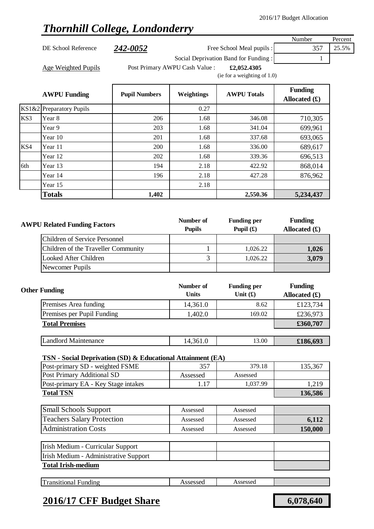## *Thornhill College, Londonderry*

|                     |          |                                               | Number | Percent |
|---------------------|----------|-----------------------------------------------|--------|---------|
| DE School Reference | 242-0052 | Free School Meal pupils :                     | 357    | 25.5%   |
|                     |          | Social Deprivation Band for Funding:          |        |         |
| Age Weighted Pupils |          | Post Primary AWPU Cash Value :<br>£2,052,4305 |        |         |
|                     |          | (ie for a weighting of $1.0$ )                |        |         |

|     | <b>AWPU Funding</b>      | <b>Pupil Numbers</b> | Weightings | <b>AWPU Totals</b> | <b>Funding</b><br>Allocated $(f)$ |
|-----|--------------------------|----------------------|------------|--------------------|-----------------------------------|
|     | KS1&2 Preparatory Pupils |                      | 0.27       |                    |                                   |
| KS3 | Year 8                   | 206                  | 1.68       | 346.08             | 710,305                           |
|     | Year 9                   | 203                  | 1.68       | 341.04             | 699,961                           |
|     | Year 10                  | 201                  | 1.68       | 337.68             | 693,065                           |
| KS4 | Year 11                  | 200                  | 1.68       | 336.00             | 689,617                           |
|     | Year 12                  | 202                  | 1.68       | 339.36             | 696,513                           |
| 6th | Year 13                  | 194                  | 2.18       | 422.92             | 868,014                           |
|     | Year 14                  | 196                  | 2.18       | 427.28             | 876,962                           |
|     | Year 15                  |                      | 2.18       |                    |                                   |
|     | <b>Totals</b>            | 1,402                |            | 2,550.36           | 5,234,437                         |

| <b>AWPU Related Funding Factors</b> |                                     | Number of<br><b>Pupils</b> | <b>Funding per</b><br>Pupil $(\mathbf{\hat{E}})$ | <b>Funding</b><br>Allocated $(f)$ |
|-------------------------------------|-------------------------------------|----------------------------|--------------------------------------------------|-----------------------------------|
|                                     | Children of Service Personnel       |                            |                                                  |                                   |
|                                     | Children of the Traveller Community |                            | 1,026.22                                         | 1,026                             |
|                                     | Looked After Children               |                            | 1,026.22                                         | 3,079                             |
|                                     | Newcomer Pupils                     |                            |                                                  |                                   |

| <b>Other Funding</b>        | Number of<br><b>Units</b> | <b>Funding per</b><br>Unit $(f)$ | <b>Funding</b><br>Allocated $(f)$ |
|-----------------------------|---------------------------|----------------------------------|-----------------------------------|
| Premises Area funding       | 14,361.0                  | 8.62                             | £123,734                          |
| Premises per Pupil Funding  | 1,402.0                   | 169.02                           | £236,973                          |
| <b>Total Premises</b>       |                           |                                  | £360,707                          |
|                             |                           |                                  |                                   |
| <b>Landlord Maintenance</b> | 14,361.0                  | 13.00                            | £186,693                          |

### **TSN - Social Deprivation (SD) & Educational Attainment (EA)**

| Post-primary SD - weighted FSME     | 357      | 379.18   | 135,367 |
|-------------------------------------|----------|----------|---------|
| Post Primary Additional SD          | Assessed | Assessed |         |
| Post-primary EA - Key Stage intakes |          | 1.037.99 | 1.219   |
| <b>Total TSN</b>                    | 136,586  |          |         |

| <b>Small Schools Support</b>      | Assessed | Assessed |         |
|-----------------------------------|----------|----------|---------|
| <b>Teachers Salary Protection</b> | Assessed | Assessed | 6.112   |
| <b>Administration Costs</b>       | Assessed | Assessed | 150,000 |

| Irish Medium - Curricular Support     |  |  |
|---------------------------------------|--|--|
| Irish Medium - Administrative Support |  |  |
| <b>Total Irish-medium</b>             |  |  |

| Transitional<br>Assessed<br>Assessed<br>Funding |  |
|-------------------------------------------------|--|
|-------------------------------------------------|--|

### **2016/17 CFF Budget Share 6,078,640**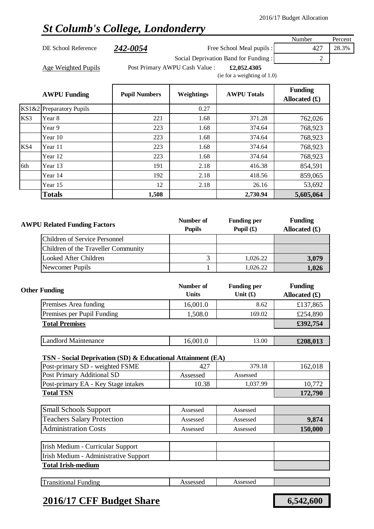# *St Columb's College, Londonderry*

|       |                                                               |                      |                                |                                      | Number          | Percent |
|-------|---------------------------------------------------------------|----------------------|--------------------------------|--------------------------------------|-----------------|---------|
|       | DE School Reference                                           | <u>242-0054</u>      |                                | Free School Meal pupils :            | 427             | 28.3%   |
|       |                                                               |                      |                                | Social Deprivation Band for Funding: | 2               |         |
|       | <b>Age Weighted Pupils</b>                                    |                      | Post Primary AWPU Cash Value : | £2,052.4305                          |                 |         |
|       |                                                               |                      |                                | (ie for a weighting of 1.0)          |                 |         |
|       |                                                               |                      |                                |                                      | <b>Funding</b>  |         |
|       | <b>AWPU Funding</b>                                           | <b>Pupil Numbers</b> | Weightings                     | <b>AWPU Totals</b>                   | Allocated $(f)$ |         |
| KS1&2 | <b>Preparatory Pupils</b>                                     |                      | 0.27                           |                                      |                 |         |
| KS3   | Year 8                                                        | 221                  | 1.68                           | 371.28                               | 762,026         |         |
|       | Year 9                                                        | 223                  | 1.68                           | 374.64                               | 768,923         |         |
|       | Year 10                                                       | 223                  | 1.68                           | 374.64                               | 768,923         |         |
| KS4   | Year 11                                                       | 223                  | 1.68                           | 374.64                               | 768,923         |         |
|       | Year 12                                                       | 223                  | 1.68                           | 374.64                               | 768,923         |         |
| 6th   | Year 13                                                       | 191                  | 2.18                           | 416.38                               | 854,591         |         |
|       | Year 14                                                       | 192                  | 2.18                           | 418.56                               | 859,065         |         |
|       | Year 15                                                       | 12                   | 2.18                           | 26.16                                | 53,692          |         |
|       | <b>Totals</b>                                                 | 1,508                |                                | 2,730.94                             | 5,605,064       |         |
|       |                                                               |                      |                                |                                      |                 |         |
|       |                                                               |                      |                                |                                      |                 |         |
|       | <b>AWPU Related Funding Factors</b>                           | Number of            | <b>Funding per</b>             | <b>Funding</b>                       |                 |         |
|       |                                                               |                      | <b>Pupils</b>                  | Pupil $(f)$                          | Allocated $(f)$ |         |
|       | <b>Children of Service Personnel</b>                          |                      |                                |                                      |                 |         |
|       | Children of the Traveller Community                           |                      | 3                              |                                      |                 |         |
|       | <b>Looked After Children</b>                                  |                      |                                | 1,026.22                             | 3,079           |         |
|       | Newcomer Pupils                                               |                      | $\mathbf{1}$                   | 1,026.22                             | 1,026           |         |
|       |                                                               |                      | Number of                      | <b>Funding per</b>                   | <b>Funding</b>  |         |
|       | <b>Other Funding</b>                                          |                      | <b>Units</b>                   | Unit $(f)$                           | Allocated $(f)$ |         |
|       | Premises Area funding                                         |                      | 16,001.0                       | 8.62                                 | £137,865        |         |
|       | Premises per Pupil Funding                                    |                      | 1,508.0                        | 169.02                               | £254,890        |         |
|       | <b>Total Premises</b>                                         |                      |                                |                                      | £392,754        |         |
|       |                                                               |                      |                                |                                      |                 |         |
|       | <b>Landlord Maintenance</b>                                   |                      | 16,001.0                       | 13.00                                | £208,013        |         |
|       |                                                               |                      |                                |                                      |                 |         |
|       | TSN - Social Deprivation (SD) & Educational Attainment (EA)   |                      | 427                            | 379.18                               |                 |         |
|       | Post-primary SD - weighted FSME<br>Post Primary Additional SD |                      | Assessed                       | Assessed                             | 162,018         |         |
|       | Post-primary EA - Key Stage intakes                           |                      | 10.38                          | 1,037.99                             | 10,772          |         |
|       | <b>Total TSN</b>                                              |                      |                                |                                      | 172,790         |         |
|       |                                                               |                      |                                |                                      |                 |         |
|       | <b>Small Schools Support</b>                                  |                      | Assessed                       | Assessed                             |                 |         |
|       | <b>Teachers Salary Protection</b>                             |                      | Assessed                       | Assessed                             | 9,874           |         |
|       | <b>Administration Costs</b>                                   |                      | Assessed                       | Assessed                             | 150,000         |         |
|       | Irish Medium - Curricular Support                             |                      |                                |                                      |                 |         |
|       | Irish Medium - Administrative Support                         |                      |                                |                                      |                 |         |
|       | <b>Total Irish-medium</b>                                     |                      |                                |                                      |                 |         |
|       |                                                               |                      |                                |                                      |                 |         |
|       | <b>Transitional Funding</b>                                   |                      | Assessed                       | Assessed                             |                 |         |

### **2016/17 CFF Budget Share 6,542,600**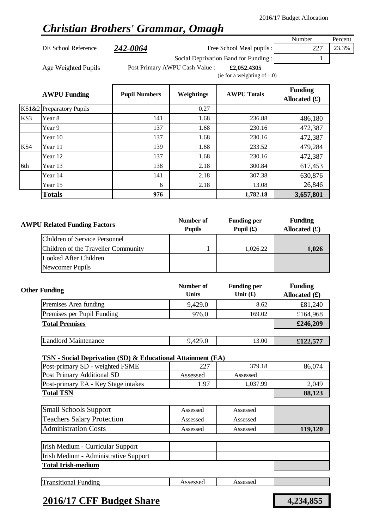## *Christian Brothers' Grammar, Omagh*

DE School Reference 242-0064 Free School Meal pupils : 227 23.3%

Number Percent

Social Deprivation Band for Funding : 1

Age Weighted Pupils **Filter Post Primary AWPU Cash Value** : **£2,052.4305** 

(ie for a weighting of 1.0)

|     | <b>AWPU Funding</b>      | <b>Pupil Numbers</b> | Weightings | <b>AWPU Totals</b> | <b>Funding</b><br>Allocated $(f)$ |
|-----|--------------------------|----------------------|------------|--------------------|-----------------------------------|
|     | KS1&2 Preparatory Pupils |                      | 0.27       |                    |                                   |
| KS3 | Year 8                   | 141                  | 1.68       | 236.88             | 486,180                           |
|     | Year 9                   | 137                  | 1.68       | 230.16             | 472,387                           |
|     | Year 10                  | 137                  | 1.68       | 230.16             | 472,387                           |
| KS4 | Year 11                  | 139                  | 1.68       | 233.52             | 479,284                           |
|     | Year 12                  | 137                  | 1.68       | 230.16             | 472,387                           |
| 6th | Year 13                  | 138                  | 2.18       | 300.84             | 617,453                           |
|     | Year 14                  | 141                  | 2.18       | 307.38             | 630,876                           |
|     | Year 15                  | 6                    | 2.18       | 13.08              | 26,846                            |
|     | <b>Totals</b>            | 976                  |            | 1,782.18           | 3,657,801                         |

| <b>AWPU Related Funding Factors</b> | Number of<br><b>Pupils</b> | <b>Funding per</b><br>Pupil $(f)$ | <b>Funding</b><br>Allocated $(f)$ |
|-------------------------------------|----------------------------|-----------------------------------|-----------------------------------|
| Children of Service Personnel       |                            |                                   |                                   |
| Children of the Traveller Community |                            | 1,026.22                          | 1,026                             |
| Looked After Children               |                            |                                   |                                   |
| Newcomer Pupils                     |                            |                                   |                                   |

| <b>Other Funding</b>        | Number of<br><b>Units</b> | <b>Funding per</b><br>Unit $(f)$ | <b>Funding</b><br>Allocated $(f)$ |
|-----------------------------|---------------------------|----------------------------------|-----------------------------------|
| Premises Area funding       | 9,429.0                   | 8.62                             | £81,240                           |
| Premises per Pupil Funding  | 976.0                     | 169.02                           | £164,968                          |
| <b>Total Premises</b>       |                           |                                  | £246,209                          |
|                             |                           |                                  |                                   |
| <b>Landlord Maintenance</b> | 9,429.0                   | 13.00                            | £122,577                          |

#### **TSN - Social Deprivation (SD) & Educational Attainment (EA)**

| Post-primary SD - weighted FSME     | 227      | 379.18   | 86.074 |
|-------------------------------------|----------|----------|--------|
| Post Primary Additional SD          | Assessed | Assessed |        |
| Post-primary EA - Key Stage intakes | 1.97     | 1.037.99 | 2.049  |
| <b>Total TSN</b>                    | 88,123   |          |        |

| <b>Small Schools Support</b>      | Assessed | Assessed |         |
|-----------------------------------|----------|----------|---------|
| <b>Teachers Salary Protection</b> | Assessed | Assessed |         |
| <b>Administration Costs</b>       | Assessed | Assessed | 119,120 |

| Irish Medium - Curricular Support     |  |  |  |  |
|---------------------------------------|--|--|--|--|
| Irish Medium - Administrative Support |  |  |  |  |
| <b>Total Irish-medium</b>             |  |  |  |  |

|  | œ<br>ransitional<br>∹undıng | $\Lambda$ ccaccac<br>noocooch | Assessed<br>. |  |
|--|-----------------------------|-------------------------------|---------------|--|
|--|-----------------------------|-------------------------------|---------------|--|

### **2016/17 CFF Budget Share 4,234,855**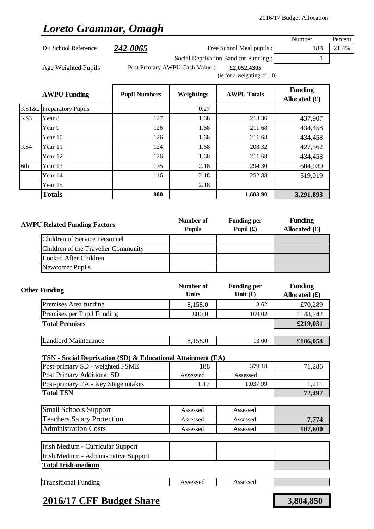## *Loreto Grammar, Omagh*

|                                                                     |                                                                                                |                      |                                |                                      | Number                            | Percent |
|---------------------------------------------------------------------|------------------------------------------------------------------------------------------------|----------------------|--------------------------------|--------------------------------------|-----------------------------------|---------|
|                                                                     | DE School Reference                                                                            | 242-0065             | Free School Meal pupils :      | 188                                  | 21.4%                             |         |
|                                                                     |                                                                                                |                      |                                | Social Deprivation Band for Funding: | 1                                 |         |
|                                                                     | <b>Age Weighted Pupils</b>                                                                     |                      | Post Primary AWPU Cash Value : | £2,052.4305                          |                                   |         |
|                                                                     |                                                                                                |                      |                                | (ie for a weighting of 1.0)          |                                   |         |
|                                                                     |                                                                                                |                      |                                |                                      | <b>Funding</b>                    |         |
|                                                                     | <b>AWPU Funding</b>                                                                            | <b>Pupil Numbers</b> | Weightings                     | <b>AWPU Totals</b>                   | Allocated $(f)$                   |         |
|                                                                     | KS1&2 Preparatory Pupils                                                                       |                      | 0.27                           |                                      |                                   |         |
| KS3                                                                 | Year 8                                                                                         | 127                  | 1.68                           | 213.36                               | 437,907                           |         |
|                                                                     | Year 9                                                                                         | 126                  | 1.68                           | 211.68                               | 434,458                           |         |
|                                                                     | Year 10                                                                                        | 126                  | 1.68                           | 211.68                               | 434,458                           |         |
| KS4                                                                 | Year 11                                                                                        | 124                  | 1.68                           | 208.32                               | 427,562                           |         |
|                                                                     | Year 12                                                                                        | 126                  | 1.68                           | 211.68                               | 434,458                           |         |
| 6th                                                                 | Year 13                                                                                        | 135                  | 2.18                           | 294.30                               | 604,030                           |         |
|                                                                     | Year 14                                                                                        | 116                  | 2.18                           | 252.88                               | 519,019                           |         |
|                                                                     | Year 15                                                                                        |                      | 2.18                           |                                      |                                   |         |
|                                                                     | <b>Totals</b>                                                                                  | 880                  |                                | 1,603.90                             | 3,291,893                         |         |
|                                                                     |                                                                                                |                      |                                |                                      |                                   |         |
|                                                                     |                                                                                                |                      |                                |                                      |                                   |         |
|                                                                     | <b>AWPU Related Funding Factors</b>                                                            |                      | Number of<br><b>Pupils</b>     | <b>Funding per</b><br>Pupil $(f)$    | <b>Funding</b><br>Allocated $(f)$ |         |
|                                                                     | <b>Children of Service Personnel</b>                                                           |                      |                                |                                      |                                   |         |
|                                                                     |                                                                                                |                      |                                |                                      |                                   |         |
| Children of the Traveller Community<br><b>Looked After Children</b> |                                                                                                |                      |                                |                                      |                                   |         |
|                                                                     | Newcomer Pupils                                                                                |                      |                                |                                      |                                   |         |
|                                                                     |                                                                                                |                      |                                |                                      |                                   |         |
|                                                                     |                                                                                                |                      | Number of                      | <b>Funding per</b>                   | <b>Funding</b>                    |         |
|                                                                     | <b>Other Funding</b>                                                                           |                      | <b>Units</b>                   | Unit $(f)$                           | Allocated $(f)$                   |         |
|                                                                     | Premises Area funding                                                                          |                      | 8,158.0                        | 8.62                                 | £70,289                           |         |
|                                                                     | Premises per Pupil Funding                                                                     |                      | 880.0                          | 169.02                               | £148,742                          |         |
|                                                                     | <b>Total Premises</b>                                                                          |                      |                                |                                      | £219,031                          |         |
|                                                                     |                                                                                                |                      |                                |                                      |                                   |         |
|                                                                     | <b>Landlord Maintenance</b>                                                                    |                      | 8,158.0                        | 13.00                                | £106,054                          |         |
|                                                                     |                                                                                                |                      |                                |                                      |                                   |         |
|                                                                     | TSN - Social Deprivation (SD) & Educational Attainment (EA)<br>Post-primary SD - weighted FSME |                      | 188                            | 379.18                               | 71,286                            |         |
|                                                                     | <b>Post Primary Additional SD</b>                                                              |                      | Assessed                       | Assessed                             |                                   |         |
|                                                                     | Post-primary EA - Key Stage intakes                                                            |                      | 1.17                           | 1,037.99                             | 1,211                             |         |
|                                                                     | <b>Total TSN</b>                                                                               |                      |                                |                                      | 72,497                            |         |
|                                                                     |                                                                                                |                      |                                |                                      |                                   |         |
|                                                                     | <b>Small Schools Support</b>                                                                   |                      | Assessed                       | Assessed                             |                                   |         |
|                                                                     | <b>Teachers Salary Protection</b>                                                              |                      | Assessed                       | Assessed                             | 7,774                             |         |
|                                                                     | <b>Administration Costs</b>                                                                    |                      | Assessed                       | Assessed                             | 107,600                           |         |
|                                                                     | Irish Medium - Curricular Support                                                              |                      |                                |                                      |                                   |         |
|                                                                     | Irish Medium - Administrative Support                                                          |                      |                                |                                      |                                   |         |
|                                                                     | <b>Total Irish-medium</b>                                                                      |                      |                                |                                      |                                   |         |
|                                                                     |                                                                                                |                      |                                |                                      |                                   |         |
|                                                                     |                                                                                                |                      | Assessed                       |                                      |                                   |         |
|                                                                     | <b>Transitional Funding</b>                                                                    |                      |                                | Assessed                             |                                   |         |

## **2016/17 CFF Budget Share 3,804,850**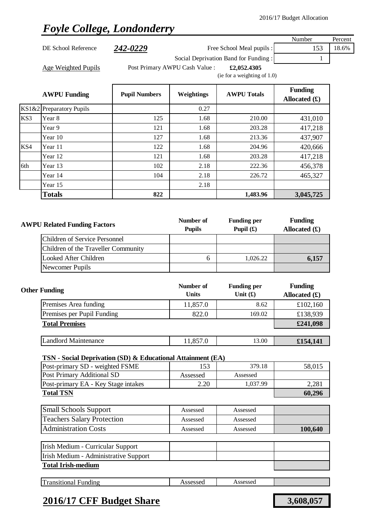# *Foyle College, Londonderry*

|       |                                                               |                      |                                |                                      | Number          | Percent |
|-------|---------------------------------------------------------------|----------------------|--------------------------------|--------------------------------------|-----------------|---------|
|       | DE School Reference                                           | <u>242-0229</u>      |                                | Free School Meal pupils :            | 153             | 18.6%   |
|       |                                                               |                      |                                | Social Deprivation Band for Funding: | 1               |         |
|       | <b>Age Weighted Pupils</b>                                    |                      | Post Primary AWPU Cash Value : | £2,052.4305                          |                 |         |
|       |                                                               |                      |                                | (ie for a weighting of 1.0)          |                 |         |
|       |                                                               |                      |                                |                                      | <b>Funding</b>  |         |
|       | <b>AWPU Funding</b>                                           | <b>Pupil Numbers</b> | Weightings                     | <b>AWPU Totals</b>                   | Allocated $(f)$ |         |
| KS1&2 | <b>Preparatory Pupils</b>                                     |                      | 0.27                           |                                      |                 |         |
| KS3   | Year 8                                                        | 125                  | 1.68                           | 210.00                               | 431,010         |         |
|       | Year 9                                                        | 121                  | 1.68                           | 203.28                               | 417,218         |         |
|       | Year 10                                                       | 127                  | 1.68                           | 213.36                               | 437,907         |         |
| KS4   | Year 11                                                       | 122                  | 1.68                           | 204.96                               | 420,666         |         |
|       | Year 12                                                       | 121                  | 1.68                           | 203.28                               | 417,218         |         |
| 6th   | Year 13                                                       | 102                  | 2.18                           | 222.36                               | 456,378         |         |
|       | Year 14                                                       | 104                  | 2.18                           | 226.72                               | 465,327         |         |
|       | Year 15                                                       |                      | 2.18                           |                                      |                 |         |
|       | <b>Totals</b>                                                 | 822                  |                                | 1,483.96                             | 3,045,725       |         |
|       |                                                               |                      |                                |                                      |                 |         |
|       | <b>AWPU Related Funding Factors</b>                           |                      | Number of                      | <b>Funding per</b>                   | <b>Funding</b>  |         |
|       |                                                               |                      | <b>Pupils</b>                  | Pupil $(f)$                          | Allocated $(f)$ |         |
|       | <b>Children of Service Personnel</b>                          |                      |                                |                                      |                 |         |
|       | Children of the Traveller Community                           |                      |                                |                                      |                 |         |
|       | Looked After Children                                         |                      | 6                              | 1,026.22                             | 6,157           |         |
|       | Newcomer Pupils                                               |                      |                                |                                      |                 |         |
|       |                                                               |                      | Number of                      | <b>Funding per</b>                   | <b>Funding</b>  |         |
|       | <b>Other Funding</b>                                          |                      | <b>Units</b>                   | Unit $(f)$                           | Allocated $(f)$ |         |
|       | Premises Area funding                                         |                      | 11,857.0                       | 8.62                                 | £102,160        |         |
|       | Premises per Pupil Funding                                    |                      | 822.0                          | 169.02                               | £138,939        |         |
|       | <b>Total Premises</b>                                         |                      |                                |                                      | £241,098        |         |
|       |                                                               |                      |                                |                                      |                 |         |
|       | <b>Landlord Maintenance</b>                                   |                      | 11,857.0                       | 13.00                                | £154,141        |         |
|       |                                                               |                      |                                |                                      |                 |         |
|       | TSN - Social Deprivation (SD) & Educational Attainment (EA)   |                      |                                |                                      |                 |         |
|       | Post-primary SD - weighted FSME<br>Post Primary Additional SD |                      | 153<br>Assessed                | 379.18<br>Assessed                   | 58,015          |         |
|       | Post-primary EA - Key Stage intakes                           |                      | 2.20                           | 1,037.99                             | 2,281           |         |
|       | <b>Total TSN</b>                                              |                      |                                |                                      | 60,296          |         |
|       |                                                               |                      |                                |                                      |                 |         |
|       | <b>Small Schools Support</b>                                  |                      | Assessed                       | Assessed                             |                 |         |
|       | <b>Teachers Salary Protection</b>                             |                      | Assessed                       | Assessed                             |                 |         |
|       | <b>Administration Costs</b>                                   |                      | Assessed                       | Assessed                             | 100,640         |         |
|       | Irish Medium - Curricular Support                             |                      |                                |                                      |                 |         |
|       | Irish Medium - Administrative Support                         |                      |                                |                                      |                 |         |
|       | <b>Total Irish-medium</b>                                     |                      |                                |                                      |                 |         |
|       |                                                               |                      |                                |                                      |                 |         |

|  | œ<br>ransitional<br>Funding | ASSessed | Assessed |  |
|--|-----------------------------|----------|----------|--|
|--|-----------------------------|----------|----------|--|

# **2016/17 CFF Budget Share 3,608,057**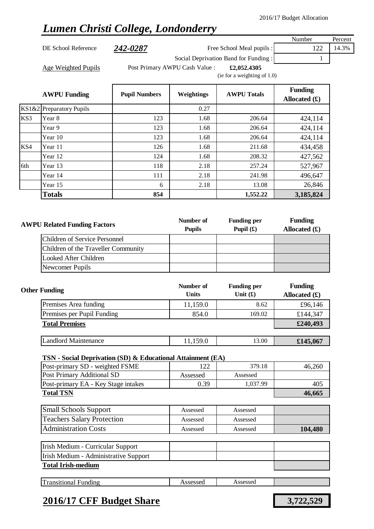## *Lumen Christi College, Londonderry*

DE School Reference 242-0287 Free School Meal pupils : 122 14.3%

Number Percent

Social Deprivation Band for Funding : 1

Age Weighted Pupils **Filter Post Primary AWPU Cash Value** : **£2,052.4305** 

(ie for a weighting of 1.0)

|     | <b>AWPU Funding</b>      | <b>Pupil Numbers</b> | Weightings | <b>AWPU Totals</b> | <b>Funding</b><br>Allocated $(f)$ |
|-----|--------------------------|----------------------|------------|--------------------|-----------------------------------|
|     | KS1&2 Preparatory Pupils |                      | 0.27       |                    |                                   |
| KS3 | Year 8                   | 123                  | 1.68       | 206.64             | 424,114                           |
|     | Year 9                   | 123                  | 1.68       | 206.64             | 424,114                           |
|     | Year 10                  | 123                  | 1.68       | 206.64             | 424,114                           |
| KS4 | Year 11                  | 126                  | 1.68       | 211.68             | 434,458                           |
|     | Year 12                  | 124                  | 1.68       | 208.32             | 427,562                           |
| 6th | Year 13                  | 118                  | 2.18       | 257.24             | 527,967                           |
|     | Year 14                  | 111                  | 2.18       | 241.98             | 496,647                           |
|     | Year 15                  | 6                    | 2.18       | 13.08              | 26,846                            |
|     | <b>Totals</b>            | 854                  |            | 1,552.22           | 3,185,824                         |

| <b>AWPU Related Funding Factors</b> | Number of<br><b>Pupils</b> | <b>Funding per</b><br>Pupil $(f)$ | <b>Funding</b><br>Allocated $(f)$ |
|-------------------------------------|----------------------------|-----------------------------------|-----------------------------------|
| Children of Service Personnel       |                            |                                   |                                   |
| Children of the Traveller Community |                            |                                   |                                   |
| Looked After Children               |                            |                                   |                                   |
| Newcomer Pupils                     |                            |                                   |                                   |

| <b>Other Funding</b>        | Number of<br><b>Units</b> | <b>Funding per</b><br>Unit $(f)$ | <b>Funding</b><br>Allocated $(f)$ |
|-----------------------------|---------------------------|----------------------------------|-----------------------------------|
| Premises Area funding       | 11,159.0                  | 8.62                             | £96,146                           |
| Premises per Pupil Funding  | 854.0                     | 169.02                           | £144,347                          |
| <b>Total Premises</b>       |                           |                                  | £240,493                          |
|                             |                           |                                  |                                   |
| <b>Landlord Maintenance</b> | 11,159.0                  | 13.00                            | £145,067                          |

### **TSN - Social Deprivation (SD) & Educational Attainment (EA)**

| Post-primary SD - weighted FSME     |          | 379.18   | 46.260 |
|-------------------------------------|----------|----------|--------|
| Post Primary Additional SD          | Assessed | Assessed |        |
| Post-primary EA - Key Stage intakes | 0.39     | 1.037.99 | 405    |
| <b>Total TSN</b>                    |          |          | 46,665 |

| <b>Small Schools Support</b>      | Assessed | Assessed |         |
|-----------------------------------|----------|----------|---------|
| <b>Teachers Salary Protection</b> | Assessed | Assessed |         |
| <b>Administration Costs</b>       | Assessed | Assessed | 104,480 |

| Irish Medium - Curricular Support     |  |  |
|---------------------------------------|--|--|
| Irish Medium - Administrative Support |  |  |
| <b>Total Irish-medium</b>             |  |  |

|--|

### **2016/17 CFF Budget Share 3,722,529**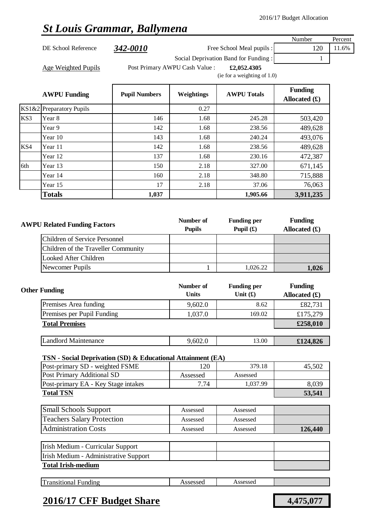## *St Louis Grammar, Ballymena*

|                     |          |                                |                                      | Number                                   | Percent |
|---------------------|----------|--------------------------------|--------------------------------------|------------------------------------------|---------|
| DE School Reference | 342-0010 |                                | Free School Meal pupils :            | 120                                      | 1.6%    |
|                     |          |                                | Social Deprivation Band for Funding: |                                          |         |
| Age Weighted Pupils |          | Post Primary AWPU Cash Value : | £2,052.4305                          |                                          |         |
|                     |          |                                | (ie for a weighting of $1.0$ )       |                                          |         |
|                     |          |                                |                                      | $\mathbf{v}$<br>$\overline{\phantom{a}}$ |         |

|     | <b>AWPU Funding</b>      | <b>Pupil Numbers</b> | Weightings | <b>AWPU Totals</b> | <b>Funding</b><br>Allocated $(f)$ |
|-----|--------------------------|----------------------|------------|--------------------|-----------------------------------|
|     | KS1&2 Preparatory Pupils |                      | 0.27       |                    |                                   |
| KS3 | Year 8                   | 146                  | 1.68       | 245.28             | 503,420                           |
|     | Year 9                   | 142                  | 1.68       | 238.56             | 489,628                           |
|     | Year 10                  | 143                  | 1.68       | 240.24             | 493,076                           |
| KS4 | Year 11                  | 142                  | 1.68       | 238.56             | 489,628                           |
|     | Year 12                  | 137                  | 1.68       | 230.16             | 472,387                           |
| 6th | Year 13                  | 150                  | 2.18       | 327.00             | 671,145                           |
|     | Year 14                  | 160                  | 2.18       | 348.80             | 715,888                           |
|     | Year 15                  | 17                   | 2.18       | 37.06              | 76,063                            |
|     | <b>Totals</b>            | 1,037                |            | 1,905.66           | 3,911,235                         |

| <b>AWPU Related Funding Factors</b>  | Number of<br><b>Pupils</b> | <b>Funding per</b><br>Pupil $(f)$ | <b>Funding</b><br>Allocated $(f)$ |
|--------------------------------------|----------------------------|-----------------------------------|-----------------------------------|
| <b>Children of Service Personnel</b> |                            |                                   |                                   |
| Children of the Traveller Community  |                            |                                   |                                   |
| Looked After Children                |                            |                                   |                                   |
| Newcomer Pupils                      |                            | 1,026.22                          | 1.026                             |

| <b>Other Funding</b>        | Number of<br><b>Units</b> | <b>Funding per</b><br>Unit $(f)$ | <b>Funding</b><br>Allocated $(f)$ |
|-----------------------------|---------------------------|----------------------------------|-----------------------------------|
| Premises Area funding       | 9,602.0                   | 8.62                             | £82,731                           |
| Premises per Pupil Funding  | 1,037.0                   | 169.02                           | £175,279                          |
| <b>Total Premises</b>       |                           |                                  | £258,010                          |
|                             |                           |                                  |                                   |
| <b>Landlord Maintenance</b> | 9,602.0                   | 13.00                            | £124,826                          |

#### **TSN - Social Deprivation (SD) & Educational Attainment (EA)**

| Post-primary SD - weighted FSME     | 120      | 379.18   | 45.502 |
|-------------------------------------|----------|----------|--------|
| Post Primary Additional SD          | Assessed | Assessed |        |
| Post-primary EA - Key Stage intakes | 7.74     | 1.037.99 | 8.039  |
| <b>Total TSN</b>                    |          |          | 53.541 |

| <b>Small Schools Support</b>      | Assessed | Assessed |         |
|-----------------------------------|----------|----------|---------|
| <b>Teachers Salary Protection</b> | Assessed | Assessed |         |
| <b>Administration Costs</b>       | Assessed | Assessed | 126,440 |

| Irish Medium - Curricular Support     |  |  |  |
|---------------------------------------|--|--|--|
| Irish Medium - Administrative Support |  |  |  |
| <b>Total Irish-medium</b>             |  |  |  |

|--|

### **2016/17 CFF Budget Share 4,475,077**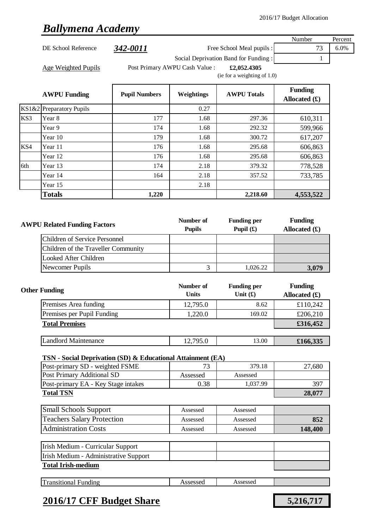## *Ballymena Academy*

|     |                                                             |                      |                                |                                      | Number                         | Percent |
|-----|-------------------------------------------------------------|----------------------|--------------------------------|--------------------------------------|--------------------------------|---------|
|     | DE School Reference                                         | 342-0011             |                                | Free School Meal pupils :            | 73                             | 6.0%    |
|     |                                                             |                      |                                | Social Deprivation Band for Funding: | 1                              |         |
|     | Age Weighted Pupils                                         |                      | Post Primary AWPU Cash Value : | £2,052.4305                          |                                |         |
|     |                                                             |                      |                                | (ie for a weighting of 1.0)          |                                |         |
|     |                                                             |                      |                                |                                      | <b>Funding</b>                 |         |
|     | <b>AWPU Funding</b>                                         | <b>Pupil Numbers</b> | Weightings                     | <b>AWPU Totals</b>                   | Allocated $(f)$                |         |
|     | KS1&2 Preparatory Pupils                                    |                      | 0.27                           |                                      |                                |         |
| KS3 | Year 8                                                      | 177                  | 1.68                           | 297.36                               | 610,311                        |         |
|     | Year 9                                                      | 174                  | 1.68                           | 292.32                               | 599,966                        |         |
|     | Year 10                                                     | 179                  | 1.68                           | 300.72                               | 617,207                        |         |
| KS4 | Year 11                                                     | 176                  | 1.68                           | 295.68                               | 606,863                        |         |
|     | Year 12                                                     | 176                  | 1.68                           | 295.68                               | 606,863                        |         |
| 6th | Year 13                                                     | 174                  | 2.18                           | 379.32                               | 778,528                        |         |
|     | Year 14                                                     | 164                  | 2.18                           | 357.52                               | 733,785                        |         |
|     | Year 15                                                     |                      | 2.18                           |                                      |                                |         |
|     | <b>Totals</b>                                               | 1,220                |                                | 2,218.60                             | 4,553,522                      |         |
|     |                                                             |                      |                                |                                      |                                |         |
|     |                                                             |                      |                                |                                      |                                |         |
|     | <b>AWPU Related Funding Factors</b>                         | Number of            | <b>Funding per</b>             | <b>Funding</b>                       |                                |         |
|     |                                                             |                      | <b>Pupils</b>                  | Pupil $(f)$                          | Allocated $(f)$                |         |
|     | <b>Children of Service Personnel</b>                        |                      |                                |                                      |                                |         |
|     | Children of the Traveller Community                         |                      |                                |                                      |                                |         |
|     | <b>Looked After Children</b>                                |                      |                                |                                      |                                |         |
|     | Newcomer Pupils                                             |                      | 3                              | 1,026.22                             | 3,079                          |         |
|     |                                                             |                      |                                |                                      |                                |         |
|     | <b>Other Funding</b>                                        |                      | Number of                      | <b>Funding per</b>                   | <b>Funding</b>                 |         |
|     |                                                             |                      | <b>Units</b>                   | Unit $(f)$                           | Allocated $(\mathbf{\pounds})$ |         |
|     | Premises Area funding                                       |                      | 12,795.0                       | 8.62                                 | £110,242                       |         |
|     | Premises per Pupil Funding                                  |                      | 1,220.0                        | 169.02                               | £206,210                       |         |
|     | <b>Total Premises</b>                                       |                      |                                |                                      | £316,452                       |         |
|     | <b>Landlord Maintenance</b>                                 |                      | 12,795.0                       | 13.00                                | £166,335                       |         |
|     |                                                             |                      |                                |                                      |                                |         |
|     | TSN - Social Deprivation (SD) & Educational Attainment (EA) |                      |                                |                                      |                                |         |
|     | Post-primary SD - weighted FSME                             |                      | 73                             | 379.18                               | 27,680                         |         |
|     | Post Primary Additional SD                                  |                      | Assessed                       | Assessed                             |                                |         |
|     | Post-primary EA - Key Stage intakes                         |                      | 0.38                           | 1,037.99                             | 397                            |         |
|     | <b>Total TSN</b>                                            |                      |                                |                                      | 28,077                         |         |
|     | <b>Small Schools Support</b>                                |                      | Assessed                       | Assessed                             |                                |         |
|     | <b>Teachers Salary Protection</b>                           |                      | Assessed                       | Assessed                             | 852                            |         |
|     | <b>Administration Costs</b>                                 |                      | Assessed                       | Assessed                             | 148,400                        |         |
|     |                                                             |                      |                                |                                      |                                |         |
|     | Irish Medium - Curricular Support                           |                      |                                |                                      |                                |         |
|     | Irish Medium - Administrative Support                       |                      |                                |                                      |                                |         |
|     | <b>Total Irish-medium</b>                                   |                      |                                |                                      |                                |         |
|     |                                                             |                      |                                |                                      |                                |         |

| Im<br>ransitional<br>≁undıng | ccoccod<br>79969964 | Assessed |  |
|------------------------------|---------------------|----------|--|
|                              |                     |          |  |

# **2016/17 CFF Budget Share 5,216,717**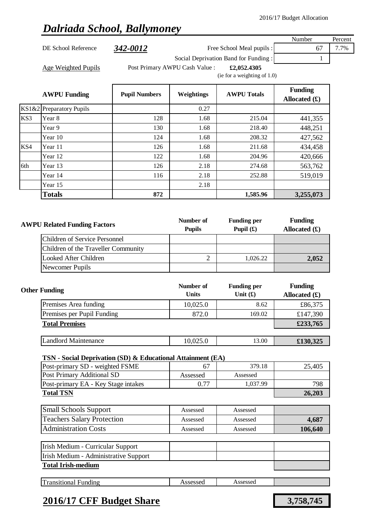### *Dalriada School, Ballymoney*

|                          |                                               |            |                                      | Number          | Percent |
|--------------------------|-----------------------------------------------|------------|--------------------------------------|-----------------|---------|
| DE School Reference      | 342-0012                                      |            | Free School Meal pupils :            | 67              | 7.7%    |
|                          |                                               |            | Social Deprivation Band for Funding: |                 |         |
| Age Weighted Pupils      | Post Primary AWPU Cash Value :<br>£2,052.4305 |            |                                      |                 |         |
|                          |                                               |            | (ie for a weighting of $1.0$ )       |                 |         |
| <b>AWPU Funding</b>      |                                               |            | <b>AWPU Totals</b>                   | <b>Funding</b>  |         |
|                          | <b>Pupil Numbers</b>                          | Weightings |                                      | Allocated $(f)$ |         |
| KS1&2 Preparatory Pupils |                                               | 0.27       |                                      |                 |         |

KS3 Year 8 128 1.68 215.04 441,355

KS4 Year 11 126 1.68 211.68 434,458

6th Year 13 126 2.18 274.68 563,762

Year 9 130 130 1.68 218.40 218.40 448,251 Year 10 124 1.68 208.32 427,562

Year 12 122 1.68 204.96 204.96 420,666

Year 14 116 116 2.18 2.18 252.88 519,019

| Year 15                              |     | 2.18                       |                                   |                                   |
|--------------------------------------|-----|----------------------------|-----------------------------------|-----------------------------------|
| <b>Totals</b>                        | 872 |                            | 1,585.96                          | 3,255,073                         |
| <b>AWPU Related Funding Factors</b>  |     | Number of<br><b>Pupils</b> | <b>Funding per</b><br>Pupil $(f)$ | <b>Funding</b><br>Allocated $(f)$ |
| <b>Children of Service Personnel</b> |     |                            |                                   |                                   |
| Children of the Traveller Community  |     |                            |                                   |                                   |
| Looked After Children                |     | ◠                          | 1,026.22                          | 2,052                             |
| Newcomer Pupils                      |     |                            |                                   |                                   |

| <b>Other Funding</b>        | Number of<br><b>Units</b> | <b>Funding per</b><br>Unit $(f)$ | <b>Funding</b><br>Allocated $(f)$ |
|-----------------------------|---------------------------|----------------------------------|-----------------------------------|
| Premises Area funding       | 10,025.0                  | 8.62                             | £86,375                           |
| Premises per Pupil Funding  | 872.0                     | 169.02                           | £147,390                          |
| <b>Total Premises</b>       |                           |                                  | £233,765                          |
| <b>Landlord Maintenance</b> | 10,025.0                  | 13.00                            | £130,325                          |

#### **TSN - Social Deprivation (SD) & Educational Attainment (EA)**

| Post-primary SD - weighted FSME     |          | 379.18   | 25,405 |
|-------------------------------------|----------|----------|--------|
| Post Primary Additional SD          | Assessed | Assessed |        |
| Post-primary EA - Key Stage intakes | 0.77     | 1.037.99 | 798    |
| <b>Total TSN</b>                    |          |          | 26,203 |

| <b>Small Schools Support</b>      | Assessed | Assessed |         |
|-----------------------------------|----------|----------|---------|
| <b>Teachers Salary Protection</b> | Assessed | Assessed | 4,687   |
| <b>Administration Costs</b>       | Assessed | Assessed | 106,640 |

| Irish Medium - Curricular Support     |  |  |
|---------------------------------------|--|--|
| Irish Medium - Administrative Support |  |  |
| <b>Total Irish-medium</b>             |  |  |

| <b>Transitional Funding</b> | Assessed | Assessed |
|-----------------------------|----------|----------|
|                             |          |          |

### **2016/17 CFF Budget Share 3,758,745**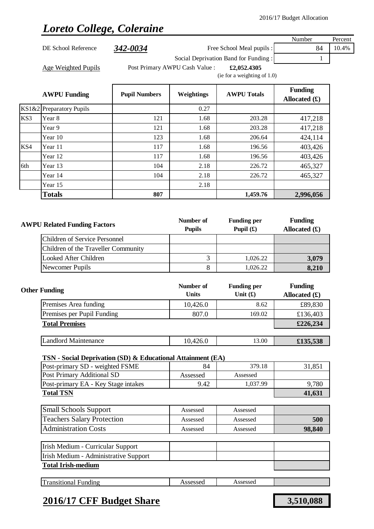# *Loreto College, Coleraine*

|     |                                                             |                            |                                   |                                      | Number                            | Percent |
|-----|-------------------------------------------------------------|----------------------------|-----------------------------------|--------------------------------------|-----------------------------------|---------|
|     | DE School Reference                                         | 342-0034                   |                                   | Free School Meal pupils :            | 84                                | 10.4%   |
|     |                                                             |                            |                                   | Social Deprivation Band for Funding: | 1                                 |         |
|     | Age Weighted Pupils                                         |                            | Post Primary AWPU Cash Value :    | £2,052.4305                          |                                   |         |
|     |                                                             |                            |                                   | (ie for a weighting of 1.0)          |                                   |         |
|     | <b>AWPU Funding</b>                                         | <b>Pupil Numbers</b>       | Weightings                        | <b>AWPU Totals</b>                   | <b>Funding</b><br>Allocated $(f)$ |         |
|     | KS1&2 Preparatory Pupils                                    |                            | 0.27                              |                                      |                                   |         |
| KS3 | Year 8                                                      | 121                        | 1.68                              | 203.28                               | 417,218                           |         |
|     | Year 9                                                      | 121                        | 1.68                              | 203.28                               | 417,218                           |         |
|     | Year 10                                                     | 123                        | 1.68                              | 206.64                               | 424,114                           |         |
| KS4 | Year 11                                                     | 117                        | 1.68                              | 196.56                               | 403,426                           |         |
|     | Year 12                                                     | 117                        | 1.68                              | 196.56                               | 403,426                           |         |
| 6th | Year 13                                                     | 104                        | 2.18                              | 226.72                               | 465,327                           |         |
|     | Year 14                                                     | 104                        | 2.18                              | 226.72                               | 465,327                           |         |
|     | Year 15                                                     |                            | 2.18                              |                                      |                                   |         |
|     | <b>Totals</b>                                               | 807                        |                                   | 1,459.76                             | 2,996,056                         |         |
|     |                                                             |                            |                                   |                                      |                                   |         |
|     |                                                             |                            |                                   |                                      |                                   |         |
|     | <b>AWPU Related Funding Factors</b>                         | Number of<br><b>Pupils</b> | <b>Funding per</b><br>Pupil $(f)$ | <b>Funding</b><br>Allocated $(f)$    |                                   |         |
|     | <b>Children of Service Personnel</b>                        |                            |                                   |                                      |                                   |         |
|     | Children of the Traveller Community                         |                            |                                   |                                      |                                   |         |
|     | <b>Looked After Children</b>                                |                            | 3                                 | 1,026.22                             | 3,079                             |         |
|     | Newcomer Pupils                                             |                            | 8                                 | 1,026.22                             | 8,210                             |         |
|     |                                                             |                            |                                   |                                      |                                   |         |
|     | <b>Other Funding</b>                                        |                            | Number of                         | <b>Funding per</b>                   | <b>Funding</b>                    |         |
|     |                                                             |                            | <b>Units</b>                      | Unit $(f)$                           | Allocated $(\mathbf{\pounds})$    |         |
|     | Premises Area funding                                       |                            | 10,426.0                          | 8.62                                 | £89,830                           |         |
|     | Premises per Pupil Funding                                  |                            | 807.0                             | 169.02                               | £136,403                          |         |
|     | <b>Total Premises</b>                                       |                            |                                   |                                      | £226,234                          |         |
|     | <b>Landlord Maintenance</b>                                 |                            | 10,426.0                          | 13.00                                | £135,538                          |         |
|     |                                                             |                            |                                   |                                      |                                   |         |
|     | TSN - Social Deprivation (SD) & Educational Attainment (EA) |                            |                                   |                                      |                                   |         |
|     | Post-primary SD - weighted FSME                             |                            | 84                                | 379.18                               | 31,851                            |         |
|     | Post Primary Additional SD                                  |                            | Assessed                          | Assessed                             |                                   |         |
|     | Post-primary EA - Key Stage intakes                         |                            | 9.42                              | 1,037.99                             | 9,780                             |         |
|     | <b>Total TSN</b>                                            |                            |                                   |                                      | 41,631                            |         |
|     | <b>Small Schools Support</b>                                |                            | Assessed                          | Assessed                             |                                   |         |
|     | <b>Teachers Salary Protection</b>                           |                            | Assessed                          | Assessed                             | 500                               |         |
|     | <b>Administration Costs</b>                                 |                            | Assessed                          | Assessed                             | 98,840                            |         |
|     | Irish Medium - Curricular Support                           |                            |                                   |                                      |                                   |         |
|     | Irish Medium - Administrative Support                       |                            |                                   |                                      |                                   |         |
|     | <b>Total Irish-medium</b>                                   |                            |                                   |                                      |                                   |         |
|     | <b>Transitional Funding</b>                                 |                            | Assessed                          | Assessed                             |                                   |         |
|     |                                                             |                            |                                   |                                      |                                   |         |

## **2016/17 CFF Budget Share 3,510,088**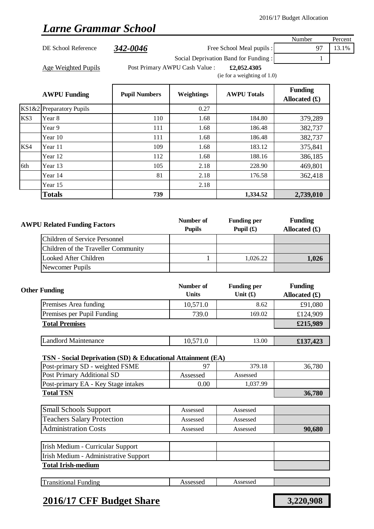## *Larne Grammar School*

|     |                                     |                      |                                |                                      | Number                            | Percent |
|-----|-------------------------------------|----------------------|--------------------------------|--------------------------------------|-----------------------------------|---------|
|     | DE School Reference                 | 342-0046             |                                | Free School Meal pupils :            | 97                                | 13.1%   |
|     |                                     |                      |                                | Social Deprivation Band for Funding: | 1                                 |         |
|     | <b>Age Weighted Pupils</b>          |                      | Post Primary AWPU Cash Value : | £2,052.4305                          |                                   |         |
|     |                                     |                      |                                | (ie for a weighting of $1.0$ )       |                                   |         |
|     | <b>AWPU Funding</b>                 | <b>Pupil Numbers</b> | Weightings                     | <b>AWPU Totals</b>                   | <b>Funding</b><br>Allocated $(f)$ |         |
|     | KS1&2 Preparatory Pupils            |                      | 0.27                           |                                      |                                   |         |
| KS3 | Year 8                              | 110                  | 1.68                           | 184.80                               | 379,289                           |         |
|     | Year 9                              | 111                  | 1.68                           | 186.48                               | 382,737                           |         |
|     | Year 10                             | 111                  | 1.68                           | 186.48                               | 382,737                           |         |
| KS4 | Year 11                             | 109                  | 1.68                           | 183.12                               | 375,841                           |         |
|     | Year 12                             | 112                  | 1.68                           | 188.16                               | 386,185                           |         |
| 6th | Year 13                             | 105                  | 2.18                           | 228.90                               | 469,801                           |         |
|     | Year 14                             | 81                   | 2.18                           | 176.58                               | 362,418                           |         |
|     | Year 15                             |                      | 2.18                           |                                      |                                   |         |
|     | <b>Totals</b>                       | 739                  |                                | 1,334.52                             | 2,739,010                         |         |
|     |                                     |                      |                                |                                      |                                   |         |
|     | <b>AWPU Related Funding Factors</b> |                      | Number of<br><b>Pupils</b>     | <b>Funding per</b><br>Pupil $(f)$    | <b>Funding</b><br>Allocated $(f)$ |         |

| U INCIANCU FUNUME FACIOIS            | <b>Pupils</b> | Pupil $(f)$ | Allocated $(f)$ |
|--------------------------------------|---------------|-------------|-----------------|
| <b>Children of Service Personnel</b> |               |             |                 |
| Children of the Traveller Community  |               |             |                 |
| Looked After Children                |               | 1.026.22    | 1,026           |
| Newcomer Pupils                      |               |             |                 |

| <b>Other Funding</b>        | Number of<br><b>Units</b> | <b>Funding per</b><br>Unit $(f)$ | <b>Funding</b><br>Allocated $(\pounds)$ |
|-----------------------------|---------------------------|----------------------------------|-----------------------------------------|
| Premises Area funding       | 10,571.0                  | 8.62                             | £91,080                                 |
| Premises per Pupil Funding  | 739.0                     | 169.02                           | £124,909                                |
| <b>Total Premises</b>       |                           |                                  | £215,989                                |
|                             |                           |                                  |                                         |
| <b>Landlord Maintenance</b> | 10,571.0                  | 13.00                            | £137,423                                |

### **TSN - Social Deprivation (SD) & Educational Attainment (EA)**

| Post-primary SD - weighted FSME     |          | 379.18   | 36,780 |
|-------------------------------------|----------|----------|--------|
| Post Primary Additional SD          | Assessed | Assessed |        |
| Post-primary EA - Key Stage intakes | $0.00\,$ | 1.037.99 |        |
| <b>Total TSN</b>                    |          |          | 36,780 |
|                                     |          |          |        |

| <b>Small Schools Support</b>      | Assessed | Assessed |        |
|-----------------------------------|----------|----------|--------|
| <b>Teachers Salary Protection</b> | Assessed | Assessed |        |
| <b>Administration Costs</b>       | Assessed | Assessed | 90,680 |

| Irish Medium - Curricular Support     |  |  |
|---------------------------------------|--|--|
| Irish Medium - Administrative Support |  |  |
| <b>Total Irish-medium</b>             |  |  |

| ᡣ<br>Transitional Funding | Assessed | Assessed |  |
|---------------------------|----------|----------|--|
|                           |          |          |  |

### **2016/17 CFF Budget Share 3,220,908**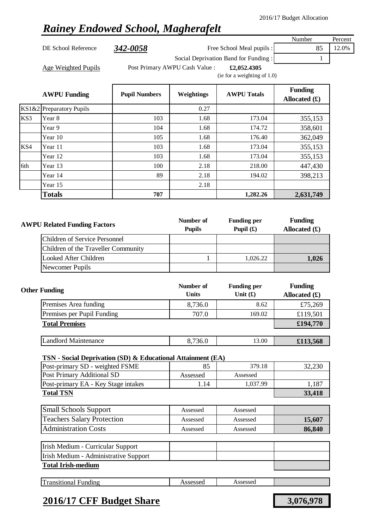## *Rainey Endowed School, Magherafelt*

DE School Reference **342-0058** Free School Meal pupils : 85 12.0%

Number Percent

Social Deprivation Band for Funding : 1

Age Weighted Pupils **Filter Post Primary AWPU Cash Value** : **£2,052.4305** 

(ie for a weighting of 1.0)

|     | <b>AWPU Funding</b>      | <b>Pupil Numbers</b> | Weightings | <b>AWPU Totals</b> | <b>Funding</b><br>Allocated $(f)$ |
|-----|--------------------------|----------------------|------------|--------------------|-----------------------------------|
|     | KS1&2 Preparatory Pupils |                      | 0.27       |                    |                                   |
| KS3 | Year 8                   | 103                  | 1.68       | 173.04             | 355,153                           |
|     | Year 9                   | 104                  | 1.68       | 174.72             | 358,601                           |
|     | Year 10                  | 105                  | 1.68       | 176.40             | 362,049                           |
| KS4 | Year 11                  | 103                  | 1.68       | 173.04             | 355,153                           |
|     | Year 12                  | 103                  | 1.68       | 173.04             | 355,153                           |
| 6th | Year 13                  | 100                  | 2.18       | 218.00             | 447,430                           |
|     | Year 14                  | 89                   | 2.18       | 194.02             | 398,213                           |
|     | Year 15                  |                      | 2.18       |                    |                                   |
|     | <b>Totals</b>            | 707                  |            | 1,282.26           | 2,631,749                         |

| <b>AWPU Related Funding Factors</b> | Number of<br><b>Pupils</b> | <b>Funding per</b><br>Pupil $(f)$ | <b>Funding</b><br>Allocated $(f)$ |
|-------------------------------------|----------------------------|-----------------------------------|-----------------------------------|
| Children of Service Personnel       |                            |                                   |                                   |
| Children of the Traveller Community |                            |                                   |                                   |
| Looked After Children               |                            | 1.026.22                          | 1,026                             |
| Newcomer Pupils                     |                            |                                   |                                   |

| <b>Other Funding</b>        | Number of<br><b>Units</b> | <b>Funding per</b><br>Unit $(f)$ | <b>Funding</b><br>Allocated $(f)$ |
|-----------------------------|---------------------------|----------------------------------|-----------------------------------|
| Premises Area funding       | 8,736.0                   | 8.62                             | £75,269                           |
| Premises per Pupil Funding  | 707.0                     | 169.02                           | £119,501                          |
| <b>Total Premises</b>       |                           |                                  | £194,770                          |
|                             |                           |                                  |                                   |
| <b>Landlord Maintenance</b> | 8,736.0                   | 13.00                            | £113,568                          |

#### **TSN - Social Deprivation (SD) & Educational Attainment (EA)**

| Post-primary SD - weighted FSME     |          | 379.18   | 32.230 |
|-------------------------------------|----------|----------|--------|
| Post Primary Additional SD          | Assessed | Assessed |        |
| Post-primary EA - Key Stage intakes | . . 14   | 1,037.99 | 1.187  |
| <b>Total TSN</b>                    |          |          | 33,418 |

| Small Schools Support             | Assessed | Assessed |        |
|-----------------------------------|----------|----------|--------|
| <b>Teachers Salary Protection</b> | Assessed | Assessed | 15,607 |
| <b>Administration Costs</b>       | Assessed | Assessed | 86,840 |

| Irish Medium - Curricular Support     |  |  |
|---------------------------------------|--|--|
| Irish Medium - Administrative Support |  |  |
| <b>Total Irish-medium</b>             |  |  |

|--|

### **2016/17 CFF Budget Share 3,076,978**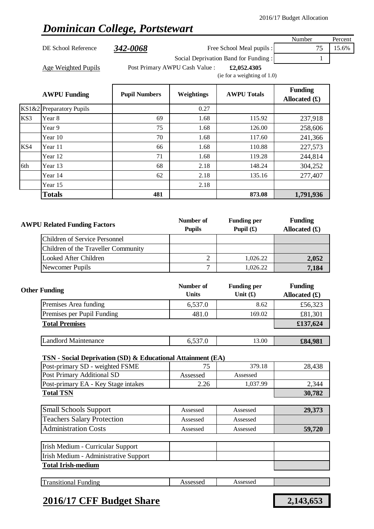## *Dominican College, Portstewart*

Year 15 2.18

|     |                          |                      |                                                                                 |                                      | Number                            | Percent |
|-----|--------------------------|----------------------|---------------------------------------------------------------------------------|--------------------------------------|-----------------------------------|---------|
|     | DE School Reference      | 342-0068             |                                                                                 | Free School Meal pupils :            | 75                                | 15.6%   |
|     |                          |                      |                                                                                 | Social Deprivation Band for Funding: |                                   |         |
|     | Age Weighted Pupils      |                      | Post Primary AWPU Cash Value :<br>£2,052.4305<br>(ie for a weighting of $1.0$ ) |                                      |                                   |         |
|     | <b>AWPU Funding</b>      | <b>Pupil Numbers</b> | Weightings                                                                      | <b>AWPU Totals</b>                   | <b>Funding</b><br>Allocated $(f)$ |         |
|     | KS1&2 Preparatory Pupils |                      | 0.27                                                                            |                                      |                                   |         |
| KS3 | Year 8                   | 69                   | 1.68                                                                            | 115.92                               | 237,918                           |         |
|     | Year 9                   | 75                   | 1.68                                                                            | 126.00                               | 258,606                           |         |
|     | Year 10                  | 70                   | 1.68                                                                            | 117.60                               | 241,366                           |         |

| <b>AWPU Related Funding Factors</b> | Number of<br><b>Pupils</b> | <b>Funding per</b><br>Pupil $(f)$ | <b>Funding</b><br>Allocated $(f)$ |
|-------------------------------------|----------------------------|-----------------------------------|-----------------------------------|
| Children of Service Personnel       |                            |                                   |                                   |
| Children of the Traveller Community |                            |                                   |                                   |
| Looked After Children               |                            | 1.026.22                          | 2,052                             |
| Newcomer Pupils                     |                            | 1,026.22                          | 7,184                             |

KS4 Year 11 66 1.68 110.88 227,573

6th Year 13 148.24 304,252

Year 12 244,814

Year 14 62 62 2.18 135.16 277,407

**Totals 481 873.08 1,791,936**

| <b>Other Funding</b>        | Number of<br><b>Units</b> | <b>Funding per</b><br>Unit $(f)$ | <b>Funding</b><br>Allocated $(f)$ |
|-----------------------------|---------------------------|----------------------------------|-----------------------------------|
| Premises Area funding       | 6,537.0                   | 8.62                             | £56,323                           |
| Premises per Pupil Funding  | 481.0                     | 169.02                           | £81,301                           |
| <b>Total Premises</b>       |                           |                                  | £137,624                          |
|                             |                           |                                  |                                   |
| <b>Landlord Maintenance</b> | 6,537.0                   | 13.00                            | £84,981                           |

#### **TSN - Social Deprivation (SD) & Educational Attainment (EA)**

| Post-primary SD - weighted FSME       | 75       | 379.18   | 28,438 |
|---------------------------------------|----------|----------|--------|
| Post Primary Additional SD            | Assessed | Assessed |        |
| Post-primary EA - Key Stage intakes   | 2.26     | 1,037.99 | 2,344  |
| <b>Total TSN</b>                      |          |          | 30,782 |
|                                       |          |          |        |
| <b>Small Schools Support</b>          | Assessed | Assessed | 29,373 |
| <b>Teachers Salary Protection</b>     | Assessed | Assessed |        |
| <b>Administration Costs</b>           | Assessed | Assessed | 59,720 |
|                                       |          |          |        |
| Irish Medium - Curricular Support     |          |          |        |
| Irish Medium - Administrative Support |          |          |        |
| <b>Total Irish-medium</b>             |          |          |        |
|                                       |          |          |        |
| <b>Transitional Funding</b>           | Assessed | Assessed |        |

### **2016/17 CFF Budget Share 2,143,653**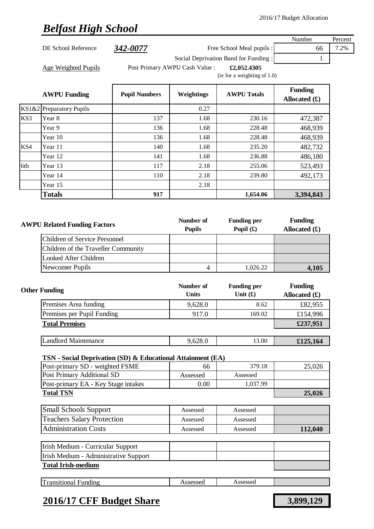# *Belfast High School*

|     |                                                             |                      |                                |                                      | Number                            | Percent |
|-----|-------------------------------------------------------------|----------------------|--------------------------------|--------------------------------------|-----------------------------------|---------|
|     | DE School Reference                                         | 342-0077             |                                | Free School Meal pupils :            | 66                                | 7.2%    |
|     |                                                             |                      |                                | Social Deprivation Band for Funding: | 1                                 |         |
|     | Age Weighted Pupils                                         |                      | Post Primary AWPU Cash Value : | £2,052.4305                          |                                   |         |
|     |                                                             |                      |                                | (ie for a weighting of 1.0)          |                                   |         |
|     |                                                             |                      |                                |                                      | <b>Funding</b>                    |         |
|     | <b>AWPU Funding</b>                                         | <b>Pupil Numbers</b> | Weightings                     | <b>AWPU Totals</b>                   | Allocated $(f)$                   |         |
|     | KS1&2 Preparatory Pupils                                    |                      | 0.27                           |                                      |                                   |         |
| KS3 | Year 8                                                      | 137                  | 1.68                           | 230.16                               | 472,387                           |         |
|     | Year 9                                                      | 136                  | 1.68                           | 228.48                               | 468,939                           |         |
|     | Year 10                                                     | 136                  | 1.68                           | 228.48                               | 468,939                           |         |
| KS4 | Year 11                                                     | 140                  | 1.68                           | 235.20                               | 482,732                           |         |
|     | Year 12                                                     | 141                  | 1.68                           | 236.88                               | 486,180                           |         |
| 6th | Year 13                                                     | 117                  | 2.18                           | 255.06                               | 523,493                           |         |
|     | Year 14                                                     | 110                  | 2.18                           | 239.80                               | 492,173                           |         |
|     | Year 15                                                     |                      | 2.18                           |                                      |                                   |         |
|     | <b>Totals</b>                                               | 917                  |                                | 1,654.06                             | 3,394,843                         |         |
|     |                                                             |                      |                                |                                      |                                   |         |
|     |                                                             |                      |                                |                                      |                                   |         |
|     | <b>AWPU Related Funding Factors</b>                         |                      | Number of<br><b>Pupils</b>     | <b>Funding per</b><br>Pupil $(f)$    | <b>Funding</b><br>Allocated $(f)$ |         |
|     | <b>Children of Service Personnel</b>                        |                      |                                |                                      |                                   |         |
|     | Children of the Traveller Community                         |                      |                                |                                      |                                   |         |
|     | <b>Looked After Children</b>                                |                      |                                |                                      |                                   |         |
|     | Newcomer Pupils                                             |                      | $\overline{4}$                 | 1,026.22                             | 4,105                             |         |
|     |                                                             |                      |                                |                                      |                                   |         |
|     | <b>Other Funding</b>                                        |                      | Number of<br><b>Units</b>      | <b>Funding per</b><br>Unit $(f)$     | <b>Funding</b><br>Allocated $(f)$ |         |
|     | Premises Area funding                                       |                      | 9,628.0                        | 8.62                                 | £82,955                           |         |
|     | Premises per Pupil Funding                                  |                      | 917.0                          | 169.02                               | £154,996                          |         |
|     | <b>Total Premises</b>                                       |                      |                                |                                      | £237,951                          |         |
|     |                                                             |                      |                                |                                      |                                   |         |
|     | <b>Landlord Maintenance</b>                                 |                      | 9,628.0                        | 13.00                                | £125,164                          |         |
|     | TSN - Social Deprivation (SD) & Educational Attainment (EA) |                      |                                |                                      |                                   |         |
|     | Post-primary SD - weighted FSME                             |                      | 66                             | 379.18                               | 25,026                            |         |
|     | Post Primary Additional SD                                  |                      | Assessed                       | Assessed                             |                                   |         |
|     | Post-primary EA - Key Stage intakes                         |                      | 0.00                           | 1,037.99                             |                                   |         |
|     | <b>Total TSN</b>                                            |                      |                                | 25,026                               |                                   |         |
|     |                                                             |                      |                                |                                      |                                   |         |
|     | <b>Small Schools Support</b>                                |                      | Assessed                       | Assessed                             |                                   |         |
|     | <b>Teachers Salary Protection</b>                           |                      | Assessed                       | Assessed                             |                                   |         |
|     | <b>Administration Costs</b>                                 |                      | Assessed                       | Assessed                             | 112,040                           |         |
|     |                                                             |                      |                                |                                      |                                   |         |
|     | Irish Medium - Curricular Support                           |                      |                                |                                      |                                   |         |
|     | Irish Medium - Administrative Support                       |                      |                                |                                      |                                   |         |
|     | <b>Total Irish-medium</b>                                   |                      |                                |                                      |                                   |         |
|     |                                                             |                      |                                |                                      |                                   |         |
|     | <b>Transitional Funding</b>                                 |                      | Assessed                       | Assessed                             |                                   |         |

## **2016/17 CFF Budget Share 3,899,129**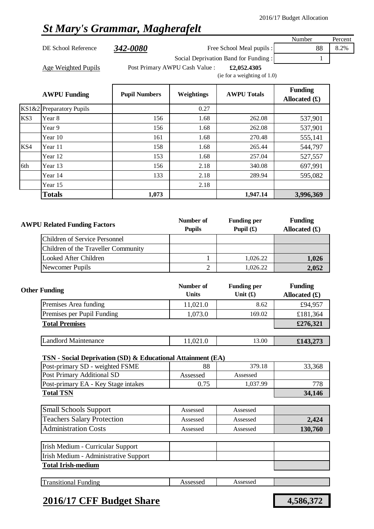# *St Mary's Grammar, Magherafelt*

|       |                                                             |                        |                                |                                      | Number          | Percent |
|-------|-------------------------------------------------------------|------------------------|--------------------------------|--------------------------------------|-----------------|---------|
|       | DE School Reference                                         | <i><b>342-0080</b></i> |                                | Free School Meal pupils :            | 88              | 8.2%    |
|       |                                                             |                        |                                | Social Deprivation Band for Funding: | $\mathbf{1}$    |         |
|       | <b>Age Weighted Pupils</b>                                  |                        | Post Primary AWPU Cash Value : | £2,052.4305                          |                 |         |
|       |                                                             |                        |                                | (ie for a weighting of 1.0)          |                 |         |
|       |                                                             |                        |                                |                                      | <b>Funding</b>  |         |
|       | <b>AWPU Funding</b>                                         | <b>Pupil Numbers</b>   | Weightings                     | <b>AWPU Totals</b>                   | Allocated $(f)$ |         |
| KS1&2 | <b>Preparatory Pupils</b>                                   |                        | 0.27                           |                                      |                 |         |
| KS3   | Year 8                                                      | 156                    | 1.68                           | 262.08                               | 537,901         |         |
|       | Year 9                                                      | 156                    | 1.68                           | 262.08                               | 537,901         |         |
|       | Year 10                                                     | 161                    | 1.68                           | 270.48                               | 555,141         |         |
| KS4   | Year 11                                                     | 158                    | 1.68                           | 265.44                               | 544,797         |         |
|       | Year 12                                                     | 153                    | 1.68                           | 257.04                               | 527,557         |         |
| 6th   | Year 13                                                     | 156                    | 2.18                           | 340.08                               | 697,991         |         |
|       | Year 14                                                     | 133                    | 2.18                           | 289.94                               | 595,082         |         |
|       | Year 15                                                     |                        | 2.18                           |                                      |                 |         |
|       | <b>Totals</b>                                               | 1,073                  |                                | 1,947.14                             | 3,996,369       |         |
|       |                                                             |                        |                                |                                      |                 |         |
|       |                                                             |                        |                                |                                      |                 |         |
|       | <b>AWPU Related Funding Factors</b>                         |                        | Number of                      | <b>Funding per</b>                   | <b>Funding</b>  |         |
|       |                                                             |                        | <b>Pupils</b>                  | Pupil $(f)$                          | Allocated $(f)$ |         |
|       | <b>Children of Service Personnel</b>                        |                        |                                |                                      |                 |         |
|       | Children of the Traveller Community                         |                        |                                |                                      |                 |         |
|       | <b>Looked After Children</b>                                |                        | $\mathbf{1}$                   | 1,026.22                             | 1,026           |         |
|       | Newcomer Pupils                                             |                        | $\mathfrak{2}$                 | 1,026.22                             | 2,052           |         |
|       |                                                             |                        | Number of                      |                                      | <b>Funding</b>  |         |
|       | <b>Other Funding</b>                                        |                        | <b>Units</b>                   | <b>Funding per</b><br>Unit $(f)$     | Allocated $(f)$ |         |
|       | Premises Area funding                                       |                        | 11,021.0                       | 8.62                                 | £94,957         |         |
|       | Premises per Pupil Funding                                  |                        | 1,073.0                        | 169.02                               | £181,364        |         |
|       | <b>Total Premises</b>                                       |                        |                                |                                      | £276,321        |         |
|       |                                                             |                        |                                |                                      |                 |         |
|       | <b>Landlord Maintenance</b>                                 |                        | 11,021.0                       | 13.00                                | £143,273        |         |
|       |                                                             |                        |                                |                                      |                 |         |
|       | TSN - Social Deprivation (SD) & Educational Attainment (EA) |                        |                                |                                      |                 |         |
|       | Post-primary SD - weighted FSME                             |                        | 88                             | 379.18                               | 33,368          |         |
|       | Post Primary Additional SD                                  |                        | Assessed                       | Assessed                             |                 |         |
|       | Post-primary EA - Key Stage intakes                         |                        | 0.75                           | 1,037.99                             | 778             |         |
|       | <b>Total TSN</b>                                            |                        |                                |                                      | 34,146          |         |
|       | <b>Small Schools Support</b>                                | Assessed               | Assessed                       |                                      |                 |         |
|       | <b>Teachers Salary Protection</b>                           |                        | Assessed                       | Assessed                             | 2,424           |         |
|       | <b>Administration Costs</b>                                 |                        | Assessed                       | Assessed                             | 130,760         |         |
|       |                                                             |                        |                                |                                      |                 |         |
|       | Irish Medium - Curricular Support                           |                        |                                |                                      |                 |         |
|       | Irish Medium - Administrative Support                       |                        |                                |                                      |                 |         |
|       | <b>Total Irish-medium</b>                                   |                        |                                |                                      |                 |         |
|       |                                                             |                        |                                |                                      |                 |         |
|       | <b>Transitional Funding</b>                                 |                        | Assessed                       | Assessed                             |                 |         |

## **2016/17 CFF Budget Share 4,586,372**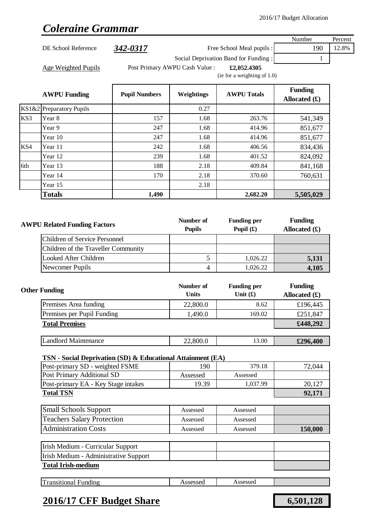# $\overline{\phantom{a}}$

|     |                                      |                      |                                               |                                   | Number                            | Percent |  |
|-----|--------------------------------------|----------------------|-----------------------------------------------|-----------------------------------|-----------------------------------|---------|--|
|     | DE School Reference                  | 342-0317             |                                               | Free School Meal pupils :         | 190                               | 12.8%   |  |
|     |                                      |                      | Social Deprivation Band for Funding:          | 1                                 |                                   |         |  |
|     | Age Weighted Pupils                  |                      | Post Primary AWPU Cash Value :<br>£2,052.4305 |                                   |                                   |         |  |
|     |                                      |                      |                                               | (ie for a weighting of 1.0)       |                                   |         |  |
|     | <b>AWPU Funding</b>                  | <b>Pupil Numbers</b> | Weightings                                    | <b>AWPU Totals</b>                | <b>Funding</b><br>Allocated $(f)$ |         |  |
|     | KS1&2 Preparatory Pupils             |                      | 0.27                                          |                                   |                                   |         |  |
| KS3 | Year 8                               | 157                  | 1.68                                          | 263.76                            | 541,349                           |         |  |
|     | Year 9                               | 247                  | 1.68                                          | 414.96                            | 851,677                           |         |  |
|     | Year 10                              | 247                  | 1.68                                          | 414.96                            | 851,677                           |         |  |
| KS4 | Year 11                              | 242                  | 1.68                                          | 406.56                            | 834,436                           |         |  |
|     | Year 12                              | 239                  | 1.68                                          | 401.52                            | 824,092                           |         |  |
| 6th | Year 13                              | 188                  | 2.18                                          | 409.84                            | 841,168                           |         |  |
|     | Year 14                              | 170                  | 2.18                                          | 370.60                            | 760,631                           |         |  |
|     | Year 15                              |                      | 2.18                                          |                                   |                                   |         |  |
|     | <b>Totals</b>                        | 1,490                |                                               | 2,682.20                          | 5,505,029                         |         |  |
|     | <b>AWPU Related Funding Factors</b>  |                      | Number of<br><b>Pupils</b>                    | <b>Funding per</b><br>Pupil $(f)$ | <b>Funding</b>                    |         |  |
|     |                                      |                      |                                               |                                   | Allocated $(f)$                   |         |  |
|     | <b>Children of Service Personnel</b> |                      |                                               |                                   |                                   |         |  |
|     | Children of the Traveller Community  |                      |                                               |                                   |                                   |         |  |
|     | <b>Looked After Children</b>         |                      | 5                                             | 1,026.22                          | 5,131                             |         |  |
|     | Newcomer Pupils                      |                      | 4                                             | 1,026.22                          | 4,105                             |         |  |
|     | <b>Other Funding</b>                 |                      | Number of<br><b>Units</b>                     | <b>Funding per</b><br>Unit $(f)$  | <b>Funding</b><br>Allocated $(f)$ |         |  |
|     | Premises Area funding                |                      | 22,800.0                                      | 8.62                              | £196,445                          |         |  |
|     | Premises per Pupil Funding           |                      | 1,490.0                                       | 169.02                            | £251,847                          |         |  |

| Landlord           | 22,800.0 | 13.00 | 400  |
|--------------------|----------|-------|------|
| <b>Maintenance</b> |          |       | ደኅበ∠ |
|                    |          |       |      |

### **TSN - Social Deprivation (SD) & Educational Attainment (EA)**

| Post-primary SD - weighted FSME     | 190      | 379.18   | 72,044 |
|-------------------------------------|----------|----------|--------|
| <b>Post Primary Additional SD</b>   | Assessed | Assessed |        |
| Post-primary EA - Key Stage intakes | 19.39    | 1,037.99 | 20.127 |
| <b>Total TSN</b>                    |          |          | 92,171 |

| <b>Small Schools Support</b>      | Assessed | Assessed |         |
|-----------------------------------|----------|----------|---------|
| <b>Teachers Salary Protection</b> | Assessed | Assessed |         |
| <b>Administration Costs</b>       | Assessed | Assessed | 150,000 |

| Irish Medium - Curricular Support     |  |  |
|---------------------------------------|--|--|
| Irish Medium - Administrative Support |  |  |
| <b>Total Irish-medium</b>             |  |  |
|                                       |  |  |

| --<br>$-1$ . $-1$<br>∹undıng<br>rıt<br>эпат<br>ansın | 0.000<br>700000U | 200000<br>.<br>. |  |
|------------------------------------------------------|------------------|------------------|--|
|                                                      |                  |                  |  |

## **2016/17 CFF Budget Share 6,501,128**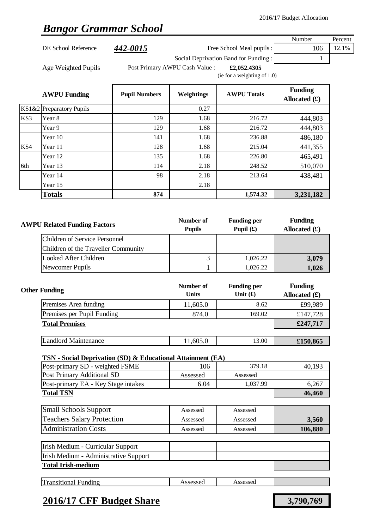# *Bangor Grammar School*

|     |                                                             |                      |                                |                                      | Number                         | Percent |
|-----|-------------------------------------------------------------|----------------------|--------------------------------|--------------------------------------|--------------------------------|---------|
|     | DE School Reference                                         | 442-0015             |                                | Free School Meal pupils :            | 106                            | 12.1%   |
|     |                                                             |                      |                                | Social Deprivation Band for Funding: | 1                              |         |
|     | Age Weighted Pupils                                         |                      | Post Primary AWPU Cash Value : | £2,052.4305                          |                                |         |
|     |                                                             |                      |                                | (ie for a weighting of $1.0$ )       |                                |         |
|     |                                                             |                      |                                |                                      | <b>Funding</b>                 |         |
|     | <b>AWPU Funding</b>                                         | <b>Pupil Numbers</b> | Weightings                     | <b>AWPU Totals</b>                   | Allocated $(f)$                |         |
|     | KS1&2 Preparatory Pupils                                    |                      | 0.27                           |                                      |                                |         |
| KS3 | Year 8                                                      | 129                  | 1.68                           | 216.72                               | 444,803                        |         |
|     | Year 9                                                      | 129                  | 1.68                           | 216.72                               | 444,803                        |         |
|     | Year 10                                                     | 141                  | 1.68                           | 236.88                               | 486,180                        |         |
| KS4 | Year 11                                                     | 128                  | 1.68                           | 215.04                               | 441,355                        |         |
|     | Year 12                                                     | 135                  | 1.68                           | 226.80                               | 465,491                        |         |
| 6th | Year 13                                                     | 114                  | 2.18                           | 248.52                               | 510,070                        |         |
|     | Year 14                                                     | 98                   | 2.18                           | 213.64                               | 438,481                        |         |
|     | Year 15                                                     |                      | 2.18                           |                                      |                                |         |
|     | <b>Totals</b>                                               | 874                  |                                | 1,574.32                             | 3,231,182                      |         |
|     |                                                             |                      |                                |                                      |                                |         |
|     |                                                             |                      |                                |                                      |                                |         |
|     | <b>AWPU Related Funding Factors</b>                         |                      | Number of                      | <b>Funding per</b>                   | <b>Funding</b>                 |         |
|     |                                                             |                      | <b>Pupils</b>                  | Pupil $(f)$                          | Allocated $(f)$                |         |
|     | <b>Children of Service Personnel</b>                        |                      |                                |                                      |                                |         |
|     | Children of the Traveller Community                         |                      |                                |                                      |                                |         |
|     | <b>Looked After Children</b>                                |                      | 3                              | 1,026.22                             | 3,079                          |         |
|     | Newcomer Pupils                                             |                      | $\mathbf{1}$                   | 1,026.22                             | 1,026                          |         |
|     |                                                             |                      |                                |                                      |                                |         |
|     | <b>Other Funding</b>                                        |                      | Number of                      | <b>Funding per</b>                   | <b>Funding</b>                 |         |
|     |                                                             |                      | <b>Units</b>                   | Unit $(f)$                           | Allocated $(\mathbf{\pounds})$ |         |
|     | Premises Area funding                                       |                      | 11,605.0                       | 8.62                                 | £99,989                        |         |
|     | Premises per Pupil Funding                                  |                      | 874.0                          | 169.02                               | £147,728                       |         |
|     | <b>Total Premises</b>                                       |                      |                                |                                      | £247,717                       |         |
|     | <b>Landlord Maintenance</b>                                 |                      |                                | 13.00                                |                                |         |
|     |                                                             |                      | 11,605.0                       |                                      | £150,865                       |         |
|     | TSN - Social Deprivation (SD) & Educational Attainment (EA) |                      |                                |                                      |                                |         |
|     | Post-primary SD - weighted FSME                             |                      | 106                            | 379.18                               | 40,193                         |         |
|     | Post Primary Additional SD                                  |                      | Assessed                       | Assessed                             |                                |         |
|     | Post-primary EA - Key Stage intakes                         |                      | 6.04                           | 1,037.99                             | 6,267                          |         |
|     | <b>Total TSN</b>                                            |                      |                                |                                      | 46,460                         |         |
|     |                                                             |                      |                                |                                      |                                |         |
|     | <b>Small Schools Support</b>                                |                      | Assessed                       | Assessed                             |                                |         |
|     | <b>Teachers Salary Protection</b>                           |                      | Assessed                       | Assessed                             | 3,560                          |         |
|     | <b>Administration Costs</b>                                 |                      | Assessed                       | Assessed                             | 106,880                        |         |
|     | Irish Medium - Curricular Support                           |                      |                                |                                      |                                |         |
|     | Irish Medium - Administrative Support                       |                      |                                |                                      |                                |         |
|     | <b>Total Irish-medium</b>                                   |                      |                                |                                      |                                |         |
|     |                                                             |                      |                                |                                      |                                |         |

| œ<br>ransitional<br>∹undıng | CCACCAO<br>nsscsscu | Assessed |  |
|-----------------------------|---------------------|----------|--|
|                             |                     |          |  |

## **2016/17 CFF Budget Share 3,790,769**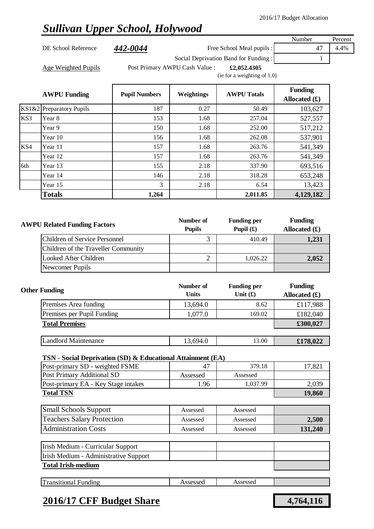## *Sullivan Upper School, Holywood*

DE School Reference  $\frac{442-0044}{4}$  Free School Meal pupils : 47 4.4%

Number Percent

Age Weighted Pupils **Filter Post Primary AWPU Cash Value** : **£2,052.4305** 

Social Deprivation Band for Funding : 1

(ie for a weighting of 1.0)

|     | <b>AWPU Funding</b>      | <b>Pupil Numbers</b> | Weightings | <b>AWPU Totals</b> | <b>Funding</b><br>Allocated $(f)$ |
|-----|--------------------------|----------------------|------------|--------------------|-----------------------------------|
|     | KS1&2 Preparatory Pupils | 187                  | 0.27       | 50.49              | 103,627                           |
| KS3 | Year 8                   | 153                  | 1.68       | 257.04             | 527,557                           |
|     | Year 9                   | 150                  | 1.68       | 252.00             | 517,212                           |
|     | Year 10                  | 156                  | 1.68       | 262.08             | 537,901                           |
| KS4 | Year 11                  | 157                  | 1.68       | 263.76             | 541,349                           |
|     | Year 12                  | 157                  | 1.68       | 263.76             | 541,349                           |
| 6th | Year 13                  | 155                  | 2.18       | 337.90             | 693,516                           |
|     | Year 14                  | 146                  | 2.18       | 318.28             | 653,248                           |
|     | Year 15                  | 3                    | 2.18       | 6.54               | 13,423                            |
|     | <b>Totals</b>            | 1,264                |            | 2,011.85           | 4,129,182                         |

| <b>AWPU Related Funding Factors</b> |                                     | Number of<br><b>Pupils</b> | <b>Funding per</b><br>Pupil $(\mathbf{f})$ | <b>Funding</b><br>Allocated $(f)$ |
|-------------------------------------|-------------------------------------|----------------------------|--------------------------------------------|-----------------------------------|
|                                     | Children of Service Personnel       |                            | 410.49                                     | 1,231                             |
|                                     | Children of the Traveller Community |                            |                                            |                                   |
|                                     | Looked After Children               |                            | 1.026.22                                   | 2,052                             |
|                                     | Newcomer Pupils                     |                            |                                            |                                   |

| <b>Other Funding</b>        | Number of<br><b>Units</b> | <b>Funding per</b><br>Unit $(f)$ | <b>Funding</b><br>Allocated $(f)$ |
|-----------------------------|---------------------------|----------------------------------|-----------------------------------|
| Premises Area funding       | 13,694.0                  | 8.62                             | £117,988                          |
| Premises per Pupil Funding  | 1,077.0                   | 169.02                           | £182,040                          |
| <b>Total Premises</b>       |                           |                                  | £300,027                          |
|                             |                           |                                  |                                   |
| <b>Landlord Maintenance</b> | 13,694.0                  | 13.00                            | £178,022                          |

### **TSN - Social Deprivation (SD) & Educational Attainment (EA)**

| Post-primary SD - weighted FSME     | 4 <sup>7</sup> | 379.18   | 17,82 <sub>1</sub> |
|-------------------------------------|----------------|----------|--------------------|
| Post Primary Additional SD          | Assessed       | Assessed |                    |
| Post-primary EA - Key Stage intakes | 1.96           | 1.037.99 | 2,039              |
| <b>Total TSN</b>                    | 19,860         |          |                    |

| <b>Small Schools Support</b>      | Assessed | Assessed |         |
|-----------------------------------|----------|----------|---------|
| <b>Teachers Salary Protection</b> | Assessed | Assessed | 2,500   |
| <b>Administration Costs</b>       | Assessed | Assessed | 131,240 |

| Irish Medium - Curricular Support     |  |  |
|---------------------------------------|--|--|
| Irish Medium - Administrative Support |  |  |
| <b>Total Irish-medium</b>             |  |  |

|--|

### **2016/17 CFF Budget Share 4,764,116**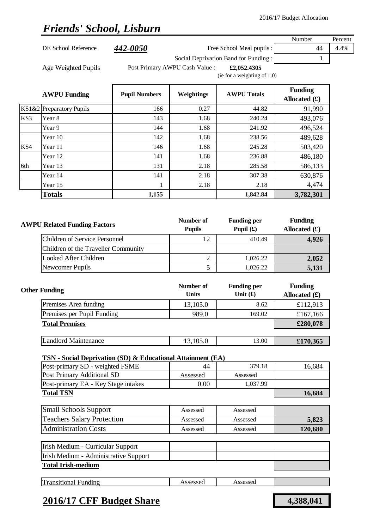## *Friends' School, Lisburn*

|       |                                                             |                      |                                |                                | Number          | Percent |
|-------|-------------------------------------------------------------|----------------------|--------------------------------|--------------------------------|-----------------|---------|
|       | DE School Reference                                         | 442-0050             |                                | Free School Meal pupils :      | 44              | 4.4%    |
|       |                                                             |                      | 1                              |                                |                 |         |
|       | Age Weighted Pupils                                         |                      | Post Primary AWPU Cash Value : | £2,052.4305                    |                 |         |
|       |                                                             |                      |                                | (ie for a weighting of $1.0$ ) |                 |         |
|       |                                                             |                      |                                |                                | <b>Funding</b>  |         |
|       | <b>AWPU Funding</b>                                         | <b>Pupil Numbers</b> | Weightings                     | <b>AWPU Totals</b>             | Allocated $(f)$ |         |
| KS1&2 | Preparatory Pupils                                          | 166                  | 0.27                           | 44.82                          | 91,990          |         |
| KS3   | Year 8                                                      | 143                  | 1.68                           | 240.24                         | 493,076         |         |
|       | Year 9                                                      | 144                  | 1.68                           | 241.92                         | 496,524         |         |
|       | Year 10                                                     | 142                  | 1.68                           | 238.56                         | 489,628         |         |
| KS4   | Year 11                                                     | 146                  | 1.68                           | 245.28                         | 503,420         |         |
|       | Year 12                                                     | 141                  | 1.68                           | 236.88                         | 486,180         |         |
| 6th   | Year 13                                                     | 131                  | 2.18                           | 285.58                         | 586,133         |         |
|       | Year 14                                                     | 141                  | 2.18                           | 307.38                         | 630,876         |         |
|       | Year 15                                                     | 1                    | 2.18                           | 2.18                           | 4,474           |         |
|       | <b>Totals</b>                                               | 1,155                |                                | 1,842.84                       | 3,782,301       |         |
|       |                                                             |                      |                                |                                |                 |         |
|       |                                                             |                      | Number of                      | <b>Funding per</b>             | <b>Funding</b>  |         |
|       | <b>AWPU Related Funding Factors</b>                         |                      | <b>Pupils</b>                  | Pupil $(f)$                    | Allocated $(f)$ |         |
|       | <b>Children of Service Personnel</b>                        |                      | 12                             | 410.49                         | 4,926           |         |
|       | Children of the Traveller Community                         |                      |                                |                                |                 |         |
|       | <b>Looked After Children</b>                                |                      | $\overline{c}$                 | 1,026.22                       | 2,052           |         |
|       | Newcomer Pupils                                             |                      | 5                              | 1,026.22                       | 5,131           |         |
|       |                                                             |                      |                                |                                |                 |         |
|       | <b>Other Funding</b>                                        |                      | Number of                      | <b>Funding per</b>             | <b>Funding</b>  |         |
|       |                                                             |                      | <b>Units</b>                   | Unit $(f)$                     | Allocated $(f)$ |         |
|       | Premises Area funding                                       |                      | 13,105.0                       | 8.62                           | £112,913        |         |
|       | Premises per Pupil Funding<br><b>Total Premises</b>         |                      | 989.0                          | 169.02                         | £167,166        |         |
|       |                                                             |                      |                                |                                | £280,078        |         |
|       | <b>Landlord Maintenance</b>                                 |                      | 13,105.0                       | 13.00                          | £170,365        |         |
|       |                                                             |                      |                                |                                |                 |         |
|       | TSN - Social Deprivation (SD) & Educational Attainment (EA) |                      |                                |                                |                 |         |
|       | Post-primary SD - weighted FSME                             |                      | 44                             | 379.18                         | 16,684          |         |
|       | Post Primary Additional SD                                  |                      | Assessed                       | Assessed                       |                 |         |
|       | Post-primary EA - Key Stage intakes<br><b>Total TSN</b>     |                      | 0.00                           | 1,037.99                       | 16,684          |         |
|       |                                                             |                      |                                |                                |                 |         |
|       | <b>Small Schools Support</b>                                |                      | Assessed                       | Assessed                       |                 |         |
|       | <b>Teachers Salary Protection</b>                           |                      | Assessed                       | Assessed                       | 5,823           |         |
|       | <b>Administration Costs</b>                                 |                      | Assessed                       | Assessed                       | 120,680         |         |
|       | Irish Medium - Curricular Support                           |                      |                                |                                |                 |         |
|       | Irish Medium - Administrative Support                       |                      |                                |                                |                 |         |
|       | <b>Total Irish-medium</b>                                   |                      |                                |                                |                 |         |
|       |                                                             |                      |                                |                                |                 |         |
|       | <b>Transitional Funding</b>                                 |                      | Assessed                       | Assessed                       |                 |         |

### **2016/17 CFF Budget Share 4,388,041**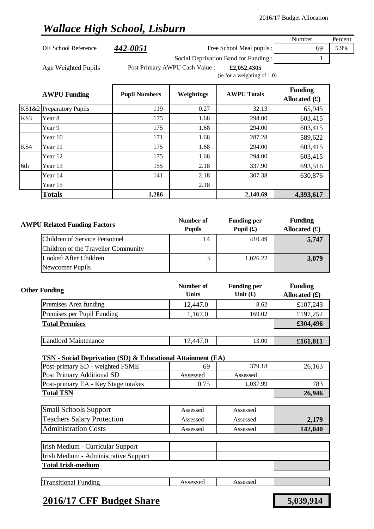# *Wallace High School, Lisburn*

| <b>AWPU Funding</b> | <b>Pupil Numbers</b> | <b>Weightings</b>              | <b>AWPU Totals</b>                            | <b>Funding</b><br>Allocated $(\pounds)$ |         |
|---------------------|----------------------|--------------------------------|-----------------------------------------------|-----------------------------------------|---------|
| Age Weighted Pupils |                      | Post Primary AWPU Cash Value : | £2,052,4305<br>(ie for a weighting of $1.0$ ) |                                         |         |
|                     |                      |                                | Social Deprivation Band for Funding:          |                                         |         |
| DE School Reference | 442-0051             |                                | Free School Meal pupils :                     | 69                                      | 5.9%    |
|                     |                      |                                |                                               | Number                                  | Percent |

|     |                          |       |      |          | $\frac{1}{2}$ . The state of $\frac{1}{2}$ |
|-----|--------------------------|-------|------|----------|--------------------------------------------|
|     | KS1&2 Preparatory Pupils | 119   | 0.27 | 32.13    | 65,945                                     |
| KS3 | Year 8                   | 175   | 1.68 | 294.00   | 603,415                                    |
|     | Year 9                   | 175   | 1.68 | 294.00   | 603,415                                    |
|     | Year 10                  | 171   | 1.68 | 287.28   | 589,622                                    |
| KS4 | Year 11                  | 175   | 1.68 | 294.00   | 603,415                                    |
|     | Year 12                  | 175   | 1.68 | 294.00   | 603,415                                    |
| 6th | Year 13                  | 155   | 2.18 | 337.90   | 693,516                                    |
|     | Year 14                  | 141   | 2.18 | 307.38   | 630,876                                    |
|     | Year 15                  |       | 2.18 |          |                                            |
|     | <b>Totals</b>            | 1,286 |      | 2,140.69 | 4,393,617                                  |

| <b>AWPU Related Funding Factors</b> | Number of<br><b>Pupils</b> | <b>Funding per</b><br>Pupil $(f)$ | <b>Funding</b><br>Allocated $(f)$ |
|-------------------------------------|----------------------------|-----------------------------------|-----------------------------------|
| Children of Service Personnel       | 14                         | 410.49                            | 5,747                             |
| Children of the Traveller Community |                            |                                   |                                   |
| Looked After Children               |                            | 1.026.22                          | 3,079                             |
| Newcomer Pupils                     |                            |                                   |                                   |

| <b>Other Funding</b>        | Number of<br><b>Units</b> | <b>Funding per</b><br>Unit $(f)$ | <b>Funding</b><br>Allocated $(f)$ |
|-----------------------------|---------------------------|----------------------------------|-----------------------------------|
| Premises Area funding       | 12,447.0                  | 8.62                             | £107,243                          |
| Premises per Pupil Funding  | 1,167.0                   | 169.02                           | £197,252                          |
| <b>Total Premises</b>       |                           |                                  | £304,496                          |
|                             |                           |                                  |                                   |
| <b>Landlord Maintenance</b> | 12,447.0                  | 13.00                            | £161,811                          |

#### **TSN - Social Deprivation (SD) & Educational Attainment (EA)**

| Post-primary SD - weighted FSME     | 69       | 379.18   | 26,163 |
|-------------------------------------|----------|----------|--------|
| Post Primary Additional SD          | Assessed | Assessed |        |
| Post-primary EA - Key Stage intakes | $0.75\,$ | .037.99  | 783    |
| <b>Total TSN</b>                    | 26,946   |          |        |

| <b>Small Schools Support</b>      | Assessed | Assessed |         |
|-----------------------------------|----------|----------|---------|
| <b>Teachers Salary Protection</b> | Assessed | Assessed | 2,179   |
| <b>Administration Costs</b>       | Assessed | Assessed | 142,040 |

| Irish Medium - Curricular Support     |  |  |
|---------------------------------------|--|--|
| Irish Medium - Administrative Support |  |  |
| <b>Total Irish-medium</b>             |  |  |

|--|

## **2016/17 CFF Budget Share 5,039,914**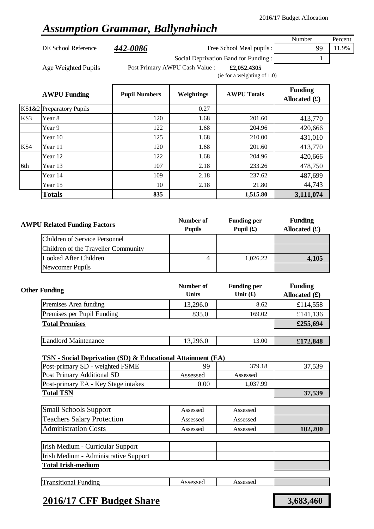## *Assumption Grammar, Ballynahinch*

DE School Reference **442-0086** Free School Meal pupils : 99 11.9%

Number Percent

Social Deprivation Band for Funding : 1

Age Weighted Pupils **Filter Post Primary AWPU Cash Value** : **£2,052.4305** 

(ie for a weighting of 1.0)

|     | <b>AWPU Funding</b>      | <b>Pupil Numbers</b> | Weightings | <b>AWPU Totals</b> | <b>Funding</b><br>Allocated $(f)$ |
|-----|--------------------------|----------------------|------------|--------------------|-----------------------------------|
|     | KS1&2 Preparatory Pupils |                      | 0.27       |                    |                                   |
| KS3 | Year 8                   | 120                  | 1.68       | 201.60             | 413,770                           |
|     | Year 9                   | 122                  | 1.68       | 204.96             | 420,666                           |
|     | Year 10                  | 125                  | 1.68       | 210.00             | 431,010                           |
| KS4 | Year 11                  | 120                  | 1.68       | 201.60             | 413,770                           |
|     | Year 12                  | 122                  | 1.68       | 204.96             | 420,666                           |
| 6th | Year 13                  | 107                  | 2.18       | 233.26             | 478,750                           |
|     | Year 14                  | 109                  | 2.18       | 237.62             | 487,699                           |
|     | Year 15                  | 10                   | 2.18       | 21.80              | 44,743                            |
|     | <b>Totals</b>            | 835                  |            | 1,515.80           | 3,111,074                         |

| <b>AWPU Related Funding Factors</b> | Number of<br><b>Pupils</b> | <b>Funding per</b><br>Pupil $(f)$ | <b>Funding</b><br>Allocated $(f)$ |
|-------------------------------------|----------------------------|-----------------------------------|-----------------------------------|
| Children of Service Personnel       |                            |                                   |                                   |
| Children of the Traveller Community |                            |                                   |                                   |
| Looked After Children               |                            | 1.026.22                          | 4,105                             |
| Newcomer Pupils                     |                            |                                   |                                   |

| <b>Other Funding</b>        | Number of<br><b>Units</b> | <b>Funding per</b><br>Unit $(f)$ | <b>Funding</b><br>Allocated $(f)$ |
|-----------------------------|---------------------------|----------------------------------|-----------------------------------|
| Premises Area funding       | 13,296.0                  | 8.62                             | £114,558                          |
| Premises per Pupil Funding  | 835.0                     | 169.02                           | £141,136                          |
| <b>Total Premises</b>       |                           |                                  | £255,694                          |
|                             |                           |                                  |                                   |
| <b>Landlord Maintenance</b> | 13,296.0                  | 13.00                            | £172,848                          |

### **TSN - Social Deprivation (SD) & Educational Attainment (EA)**

| Post-primary SD - weighted FSME     | 99       | 379.18   | 37.539 |
|-------------------------------------|----------|----------|--------|
| Post Primary Additional SD          | Assessed | Assessed |        |
| Post-primary EA - Key Stage intakes | $0.00\,$ | 1.037.99 |        |
| <b>Total TSN</b>                    |          |          | 37,539 |

| <b>Small Schools Support</b>      | Assessed | Assessed |         |
|-----------------------------------|----------|----------|---------|
| <b>Teachers Salary Protection</b> | Assessed | Assessed |         |
| <b>Administration Costs</b>       | Assessed | Assessed | 102,200 |

| m<br>asitional '<br>∹undıng<br>. . | $\alpha$<br>$\sim$ | $rac{1}{2}$<br>7330330 <b>U</b><br>. |  |
|------------------------------------|--------------------|--------------------------------------|--|
|                                    |                    |                                      |  |

### **2016/17 CFF Budget Share 3,683,460**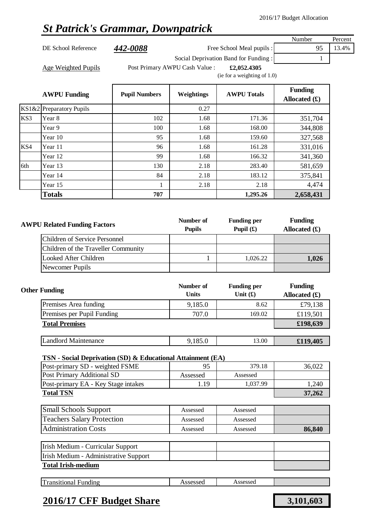## *St Patrick's Grammar, Downpatrick*

| DE School Reference | 442-0088 | Free School Meal pupils : |  | 95 13.4% |
|---------------------|----------|---------------------------|--|----------|
|---------------------|----------|---------------------------|--|----------|

Number Percent

Age Weighted Pupils **Filter Post Primary AWPU Cash Value** : **£2,052.4305** 

Social Deprivation Band for Funding : 1

(ie for a weighting of 1.0)

| <b>AWPU Funding</b>      | <b>Pupil Numbers</b> | Weightings | <b>AWPU Totals</b> | <b>Funding</b><br>Allocated $(f)$ |
|--------------------------|----------------------|------------|--------------------|-----------------------------------|
| KS1&2 Preparatory Pupils |                      | 0.27       |                    |                                   |
| KS3<br>Year 8            | 102                  | 1.68       | 171.36             | 351,704                           |
| Year 9                   | 100                  | 1.68       | 168.00             | 344,808                           |
| Year 10                  | 95                   | 1.68       | 159.60             | 327,568                           |
| KS4<br>Year 11           | 96                   | 1.68       | 161.28             | 331,016                           |
| Year 12                  | 99                   | 1.68       | 166.32             | 341,360                           |
| 6th<br>Year 13           | 130                  | 2.18       | 283.40             | 581,659                           |
| Year 14                  | 84                   | 2.18       | 183.12             | 375,841                           |
| Year 15                  | 1                    | 2.18       | 2.18               | 4,474                             |
| <b>Totals</b>            | 707                  |            | 1,295.26           | 2,658,431                         |
|                          |                      |            |                    |                                   |

| <b>AWPU Related Funding Factors</b> | Number of<br><b>Pupils</b> | <b>Funding per</b><br>Pupil $(\mathbf{f})$ | <b>Funding</b><br>Allocated $(f)$ |
|-------------------------------------|----------------------------|--------------------------------------------|-----------------------------------|
| Children of Service Personnel       |                            |                                            |                                   |
| Children of the Traveller Community |                            |                                            |                                   |
| Looked After Children               |                            | 1.026.22                                   | 1,026                             |
| Newcomer Pupils                     |                            |                                            |                                   |

| <b>Other Funding</b> |                             | Number of<br><b>Units</b> | <b>Funding per</b><br>Unit $(f)$ | <b>Funding</b><br>Allocated $(f)$ |
|----------------------|-----------------------------|---------------------------|----------------------------------|-----------------------------------|
|                      | Premises Area funding       | 9,185.0                   | 8.62                             | £79,138                           |
|                      | Premises per Pupil Funding  | 707.0                     | 169.02                           | £119,501                          |
|                      | <b>Total Premises</b>       |                           |                                  | £198,639                          |
|                      |                             |                           |                                  |                                   |
|                      | <b>Landlord Maintenance</b> | 9,185.0                   | 13.00                            | £119,405                          |

### **TSN - Social Deprivation (SD) & Educational Attainment (EA)**

| Post-primary SD - weighted FSME     |          | 379.18   | 36,022 |
|-------------------------------------|----------|----------|--------|
| Post Primary Additional SD          | Assessed | Assessed |        |
| Post-primary EA - Key Stage intakes | 1.19     | 1,037.99 | .240   |
| <b>Total TSN</b>                    | 37,262   |          |        |

| <b>Small Schools Support</b>      | Assessed | Assessed |        |
|-----------------------------------|----------|----------|--------|
| <b>Teachers Salary Protection</b> | Assessed | Assessed |        |
| <b>Administration Costs</b>       | Assessed | Assessed | 86,840 |

| Irish Medium - Curricular Support     |  |  |
|---------------------------------------|--|--|
| Irish Medium - Administrative Support |  |  |
| <b>Total Irish-medium</b>             |  |  |

|--|

### **2016/17 CFF Budget Share 3,101,603**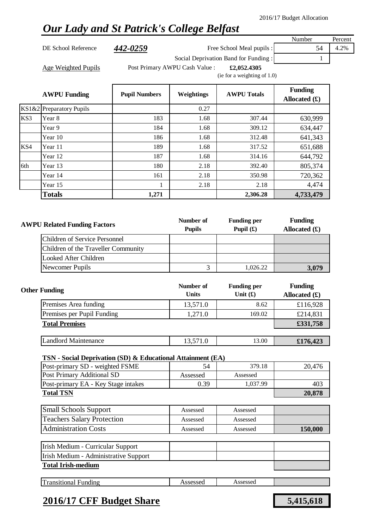## *Our Lady and St Patrick's College Belfast*

DE School Reference **442-0259** Free School Meal pupils : 54 4.2%

Number Percent

Social Deprivation Band for Funding : 1

Age Weighted Pupils **Filter Post Primary AWPU Cash Value** : **£2,052.4305** 

(ie for a weighting of 1.0)

|     | <b>AWPU Funding</b>      | <b>Pupil Numbers</b> | Weightings | <b>AWPU Totals</b> | <b>Funding</b><br>Allocated $(f)$ |
|-----|--------------------------|----------------------|------------|--------------------|-----------------------------------|
|     | KS1&2 Preparatory Pupils |                      | 0.27       |                    |                                   |
| KS3 | Year 8                   | 183                  | 1.68       | 307.44             | 630,999                           |
|     | Year 9                   | 184                  | 1.68       | 309.12             | 634,447                           |
|     | Year 10                  | 186                  | 1.68       | 312.48             | 641,343                           |
| KS4 | Year 11                  | 189                  | 1.68       | 317.52             | 651,688                           |
|     | Year 12                  | 187                  | 1.68       | 314.16             | 644,792                           |
| 6th | Year 13                  | 180                  | 2.18       | 392.40             | 805,374                           |
|     | Year 14                  | 161                  | 2.18       | 350.98             | 720,362                           |
|     | Year 15                  | 1                    | 2.18       | 2.18               | 4,474                             |
|     | <b>Totals</b>            | 1,271                |            | 2,306.28           | 4,733,479                         |

| <b>AWPU Related Funding Factors</b> | Number of<br><b>Pupils</b> | <b>Funding per</b><br>Pupil $(\mathbf{\hat{E}})$ | <b>Funding</b><br>Allocated $(f)$ |
|-------------------------------------|----------------------------|--------------------------------------------------|-----------------------------------|
| Children of Service Personnel       |                            |                                                  |                                   |
| Children of the Traveller Community |                            |                                                  |                                   |
| Looked After Children               |                            |                                                  |                                   |
| Newcomer Pupils                     |                            | 1.026.22                                         | 3,079                             |

| <b>Other Funding</b>        | Number of<br><b>Units</b> | <b>Funding per</b><br>Unit $(f)$ | <b>Funding</b><br>Allocated $(f)$ |
|-----------------------------|---------------------------|----------------------------------|-----------------------------------|
| Premises Area funding       | 13,571.0                  | 8.62                             | £116,928                          |
| Premises per Pupil Funding  | 1,271.0                   | 169.02                           | £214,831                          |
| <b>Total Premises</b>       |                           |                                  | £331,758                          |
|                             |                           |                                  |                                   |
| <b>Landlord Maintenance</b> | 13,571.0                  | 13.00                            | £176,423                          |

#### **TSN - Social Deprivation (SD) & Educational Attainment (EA)**

| Post-primary SD - weighted FSME     | 54       | 379.18   | 20,476 |
|-------------------------------------|----------|----------|--------|
| Post Primary Additional SD          | Assessed | Assessed |        |
| Post-primary EA - Key Stage intakes | 0.39     | 1,037.99 | 403    |
| <b>Total TSN</b>                    | 20,878   |          |        |

| <b>Small Schools Support</b>      | Assessed | Assessed |                |
|-----------------------------------|----------|----------|----------------|
| <b>Teachers Salary Protection</b> | Assessed | Assessed |                |
| <b>Administration Costs</b>       | Assessed | Assessed | <b>150,000</b> |

| Irish Medium - Curricular Support     |  |  |
|---------------------------------------|--|--|
| Irish Medium - Administrative Support |  |  |
| <b>Total Irish-medium</b>             |  |  |

|--|

### **2016/17 CFF Budget Share 5,415,618**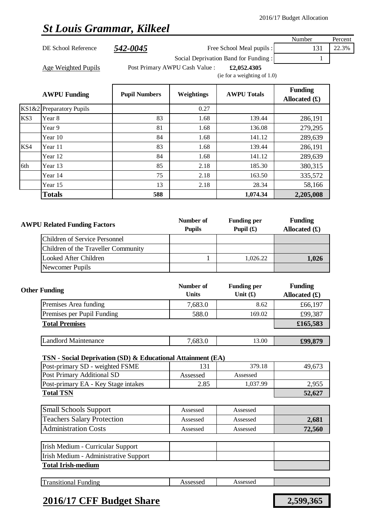## *St Louis Grammar, Kilkeel*

|     | De Louis Grammar, Rence e            |                      |                                |                                      |                                   |         |
|-----|--------------------------------------|----------------------|--------------------------------|--------------------------------------|-----------------------------------|---------|
|     |                                      |                      |                                |                                      | Number                            | Percent |
|     | DE School Reference                  | 542-0045             |                                | Free School Meal pupils :            | 131                               | 22.3%   |
|     |                                      |                      |                                | Social Deprivation Band for Funding: | 1                                 |         |
|     | Age Weighted Pupils                  |                      | Post Primary AWPU Cash Value : | £2,052.4305                          |                                   |         |
|     |                                      |                      |                                | (ie for a weighting of $1.0$ )       |                                   |         |
|     |                                      |                      |                                |                                      | <b>Funding</b>                    |         |
|     | <b>AWPU Funding</b>                  | <b>Pupil Numbers</b> | Weightings                     | <b>AWPU Totals</b>                   | Allocated $(f)$                   |         |
|     | KS1&2 Preparatory Pupils             |                      | 0.27                           |                                      |                                   |         |
| KS3 | Year 8                               | 83                   | 1.68                           | 139.44                               | 286,191                           |         |
|     | Year 9                               | 81                   | 1.68                           | 136.08                               | 279,295                           |         |
|     | Year 10                              | 84                   | 1.68                           | 141.12                               | 289,639                           |         |
| KS4 | Year 11                              | 83                   | 1.68                           | 139.44                               | 286,191                           |         |
|     | Year 12                              | 84                   | 1.68                           | 141.12                               | 289,639                           |         |
| 6th | Year 13                              | 85                   | 2.18                           | 185.30                               | 380,315                           |         |
|     | Year 14                              | 75                   | 2.18                           | 163.50                               | 335,572                           |         |
|     | Year 15                              | 13                   | 2.18                           | 28.34                                | 58,166                            |         |
|     | <b>Totals</b>                        | 588                  |                                | 1,074.34                             | 2,205,008                         |         |
|     |                                      |                      |                                |                                      |                                   |         |
|     | <b>AWPU Related Funding Factors</b>  |                      | Number of<br><b>Pupils</b>     | <b>Funding per</b><br>Pupil $(f)$    | <b>Funding</b><br>Allocated $(f)$ |         |
|     | <b>Children of Service Personnel</b> |                      |                                |                                      |                                   |         |
|     | Children of the Traveller Community  |                      |                                |                                      |                                   |         |
|     | Looked After Children                |                      | 1                              | 1,026.22                             | 1,026                             |         |
|     | Newcomer Pupils                      |                      |                                |                                      |                                   |         |

| <b>Other Funding</b>        | Number of<br><b>Units</b> | <b>Funding per</b><br>Unit $(f)$ | <b>Funding</b><br>Allocated $(f)$ |
|-----------------------------|---------------------------|----------------------------------|-----------------------------------|
| Premises Area funding       | 7,683.0                   | 8.62                             | £66,197                           |
| Premises per Pupil Funding  | 588.0                     | 169.02                           | £99,387                           |
| <b>Total Premises</b>       |                           |                                  | £165,583                          |
|                             |                           |                                  |                                   |
| <b>Landlord Maintenance</b> | 7,683.0                   | 13.00                            | £99,879                           |

### **TSN - Social Deprivation (SD) & Educational Attainment (EA)**

| Post-primary SD - weighted FSME     | 131      | 379.18   | 49.673 |
|-------------------------------------|----------|----------|--------|
| Post Primary Additional SD          | Assessed | Assessed |        |
| Post-primary EA - Key Stage intakes | 2.85     | 1.037.99 | 2,955  |
| <b>Total TSN</b>                    | 52,627   |          |        |

| <b>Small Schools Support</b>      | Assessed | Assessed |        |
|-----------------------------------|----------|----------|--------|
| <b>Teachers Salary Protection</b> | Assessed | Assessed | 2,681  |
| <b>Administration Costs</b>       | Assessed | Assessed | 72,560 |

| Irish Medium - Curricular Support     |  |  |
|---------------------------------------|--|--|
| Irish Medium - Administrative Support |  |  |
| <b>Total Irish-medium</b>             |  |  |

|  | Transitional<br>Funding | Assessed | Assessed |  |
|--|-------------------------|----------|----------|--|
|--|-------------------------|----------|----------|--|

### **2016/17 CFF Budget Share 2,599,365**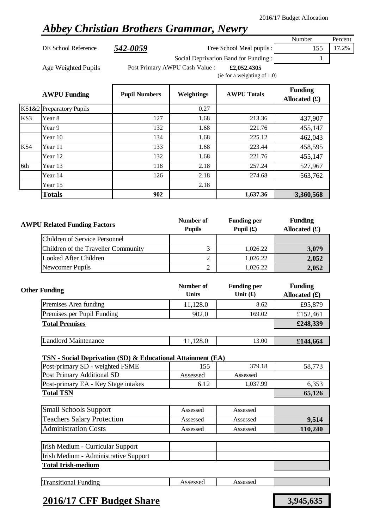## *Abbey Christian Brothers Grammar, Newry*

Number Percent DE School Reference **542-0059** Free School Meal pupils : 155 17.2% Social Deprivation Band for Funding : 1

Age Weighted Pupils **Filter Post Primary AWPU Cash Value** : **£2,052.4305** 

(ie for a weighting of 1.0)

|     | <b>AWPU Funding</b>      | <b>Pupil Numbers</b> | Weightings | <b>AWPU Totals</b> | <b>Funding</b><br>Allocated $(f)$ |
|-----|--------------------------|----------------------|------------|--------------------|-----------------------------------|
|     | KS1&2 Preparatory Pupils |                      | 0.27       |                    |                                   |
| KS3 | Year 8                   | 127                  | 1.68       | 213.36             | 437,907                           |
|     | Year 9                   | 132                  | 1.68       | 221.76             | 455,147                           |
|     | Year 10                  | 134                  | 1.68       | 225.12             | 462,043                           |
| KS4 | Year 11                  | 133                  | 1.68       | 223.44             | 458,595                           |
|     | Year 12                  | 132                  | 1.68       | 221.76             | 455,147                           |
| 6th | Year 13                  | 118                  | 2.18       | 257.24             | 527,967                           |
|     | Year 14                  | 126                  | 2.18       | 274.68             | 563,762                           |
|     | Year 15                  |                      | 2.18       |                    |                                   |
|     | <b>Totals</b>            | 902                  |            | 1,637.36           | 3,360,568                         |

| <b>AWPU Related Funding Factors</b> | Number of<br><b>Pupils</b> | <b>Funding per</b><br>Pupil $(f)$ | <b>Funding</b><br>Allocated $(f)$ |
|-------------------------------------|----------------------------|-----------------------------------|-----------------------------------|
| Children of Service Personnel       |                            |                                   |                                   |
| Children of the Traveller Community |                            | 1,026.22                          | 3,079                             |
| Looked After Children               |                            | 1,026.22                          | 2,052                             |
| Newcomer Pupils                     |                            | 1.026.22                          | 2,052                             |

| <b>Other Funding</b>        | Number of<br><b>Units</b> | <b>Funding per</b><br>Unit $(f)$ | <b>Funding</b><br>Allocated $(f)$ |
|-----------------------------|---------------------------|----------------------------------|-----------------------------------|
| Premises Area funding       | 11,128.0                  | 8.62                             | £95,879                           |
| Premises per Pupil Funding  | 902.0                     | 169.02                           | £152,461                          |
| <b>Total Premises</b>       |                           |                                  | £248,339                          |
|                             |                           |                                  |                                   |
| <b>Landlord Maintenance</b> | 11,128.0                  | 13.00                            | £144,664                          |

#### **TSN - Social Deprivation (SD) & Educational Attainment (EA)**

| Post-primary SD - weighted FSME     | 155      | 379.18   | 58.773 |
|-------------------------------------|----------|----------|--------|
| Post Primary Additional SD          | Assessed | Assessed |        |
| Post-primary EA - Key Stage intakes | 6.12     | 1.037.99 | 6.353  |
| <b>Total TSN</b>                    | 65,126   |          |        |

| <b>Small Schools Support</b>      | Assessed | Assessed |         |
|-----------------------------------|----------|----------|---------|
| <b>Teachers Salary Protection</b> | Assessed | Assessed | 9,514   |
| <b>Administration Costs</b>       | Assessed | Assessed | 110,240 |

| Irish Medium - Curricular Support     |  |  |
|---------------------------------------|--|--|
| Irish Medium - Administrative Support |  |  |
| <b>Total Irish-medium</b>             |  |  |

| $\mathbf{r}$<br>.ssessed<br>ccaccad<br>ransıtıona.<br>∹undıng<br>$\bf{l}$<br>-19909901<br>. |
|---------------------------------------------------------------------------------------------|
|---------------------------------------------------------------------------------------------|

### **2016/17 CFF Budget Share 3,945,635**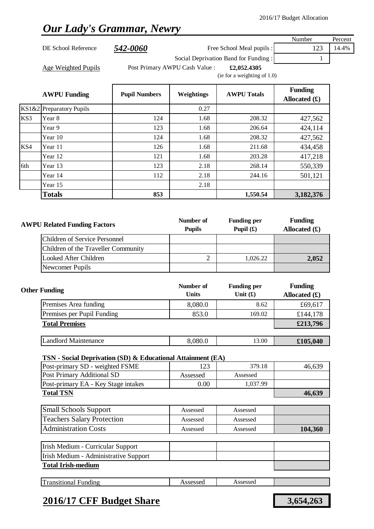### *Our Lady's Grammar, Newry*

|     |                          |                      |                                      |                           | Number                            | Percent |
|-----|--------------------------|----------------------|--------------------------------------|---------------------------|-----------------------------------|---------|
|     | DE School Reference      | 542-0060             |                                      | Free School Meal pupils : | 123                               | 14.4%   |
|     |                          |                      | Social Deprivation Band for Funding: |                           |                                   |         |
|     | Age Weighted Pupils      |                      | Post Primary AWPU Cash Value :       | £2,052.4305               |                                   |         |
|     |                          |                      | (ie for a weighting of $1.0$ )       |                           |                                   |         |
|     | <b>AWPU Funding</b>      | <b>Pupil Numbers</b> | Weightings                           | <b>AWPU Totals</b>        | <b>Funding</b><br>Allocated $(f)$ |         |
|     | KS1&2 Preparatory Pupils |                      | 0.27                                 |                           |                                   |         |
| KS3 | Year 8                   | 124                  | 1.68                                 | 208.32                    | 427,562                           |         |
|     | Year 9                   | 123                  | 1.68                                 | 206.64                    | 424,114                           |         |

Year 10 124 1.68 208.32 427,562

Year 12 121 1.68 203.28 417,218

Year 14 112 2.18 2.44.16 501,121

**Totals 853 1,550.54 3,182,376**

KS4 Year 11 126 1.68 211.68 434,458

6th Year 13 123 2.18 2.18 268.14 550,339

| <b>AWPU Related Funding Factors</b> | Number of<br><b>Pupils</b> | <b>Funding per</b><br>Pupil $(f)$ | <b>Funding</b><br>Allocated $(\pounds)$ |
|-------------------------------------|----------------------------|-----------------------------------|-----------------------------------------|
| Children of Service Personnel       |                            |                                   |                                         |
| Children of the Traveller Community |                            |                                   |                                         |
| Looked After Children               |                            | 1.026.22                          | 2,052                                   |
| Newcomer Pupils                     |                            |                                   |                                         |

| <b>Other Funding</b>        | Number of<br><b>Units</b> | <b>Funding per</b><br>Unit $(f)$ | <b>Funding</b><br>Allocated $(f)$ |
|-----------------------------|---------------------------|----------------------------------|-----------------------------------|
| Premises Area funding       | 8,080.0                   | 8.62                             | £69,617                           |
| Premises per Pupil Funding  | 853.0                     | 169.02                           | £144,178                          |
| <b>Total Premises</b>       |                           |                                  | £213,796                          |
|                             |                           |                                  |                                   |
| <b>Landlord Maintenance</b> | 8,080.0                   | 13.00                            | £105,040                          |

#### **TSN - Social Deprivation (SD) & Educational Attainment (EA)**

Year 15 2.18

| Post-primary SD - weighted FSME     | 123      | 379.18   | 46.639 |
|-------------------------------------|----------|----------|--------|
| Post Primary Additional SD          | Assessed | Assessed |        |
| Post-primary EA - Key Stage intakes | 0.00     | 1,037.99 |        |
| <b>Total TSN</b>                    | 46,639   |          |        |

| <b>Small Schools Support</b>      | Assessed | Assessed |         |
|-----------------------------------|----------|----------|---------|
| <b>Teachers Salary Protection</b> | Assessed | Assessed |         |
| <b>Administration Costs</b>       | Assessed | Assessed | 104,360 |

| Irish Medium - Curricular Support     |  |  |
|---------------------------------------|--|--|
| Irish Medium - Administrative Support |  |  |
| <b>Total Irish-medium</b>             |  |  |

| Im<br>Assessed<br>Assessed<br>`ransıtıonal<br>⊦undıng<br>- |
|------------------------------------------------------------|
|------------------------------------------------------------|

### **2016/17 CFF Budget Share 3,654,263**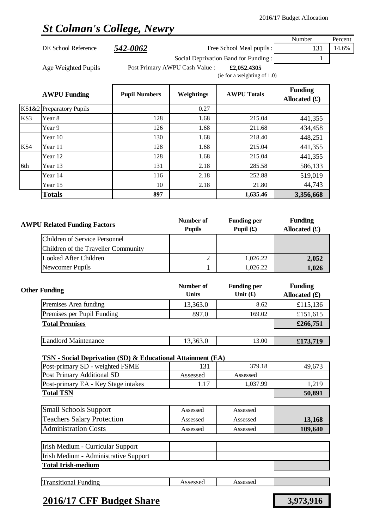# *St Colman's College, Newry*

|     |                                                                             |                      |                                |                                      | Number          | Percen |
|-----|-----------------------------------------------------------------------------|----------------------|--------------------------------|--------------------------------------|-----------------|--------|
|     | DE School Reference                                                         | <u>542-0062</u>      |                                | Free School Meal pupils :            | 131             | 14.6%  |
|     |                                                                             |                      |                                | Social Deprivation Band for Funding: | 1               |        |
|     | Age Weighted Pupils                                                         |                      | Post Primary AWPU Cash Value : | £2,052.4305                          |                 |        |
|     |                                                                             |                      |                                | (ie for a weighting of $1.0$ )       |                 |        |
|     | <b>AWPU Funding</b>                                                         | <b>Pupil Numbers</b> | Weightings                     | <b>AWPU Totals</b>                   | <b>Funding</b>  |        |
|     |                                                                             |                      |                                |                                      | Allocated $(f)$ |        |
| KS3 | KS1&2 Preparatory Pupils<br>Year 8                                          | 128                  | 0.27<br>1.68                   | 215.04                               |                 |        |
|     | Year 9                                                                      | 126                  | 1.68                           | 211.68                               | 441,355         |        |
|     | Year 10                                                                     | 130                  | 1.68                           | 218.40                               | 434,458         |        |
| KS4 | Year 11                                                                     | 128                  | 1.68                           | 215.04                               | 448,251         |        |
|     | Year 12                                                                     | 128                  | 1.68                           | 215.04                               | 441,355         |        |
| 6th | Year 13                                                                     | 131                  | 2.18                           | 285.58                               | 441,355         |        |
|     | Year 14                                                                     |                      |                                | 252.88                               | 586,133         |        |
|     |                                                                             | 116                  | 2.18                           |                                      | 519,019         |        |
|     | Year 15                                                                     | 10                   | 2.18                           | 21.80<br>1,635.46                    | 44,743          |        |
|     | <b>Totals</b>                                                               | 897                  |                                |                                      | 3,356,668       |        |
|     |                                                                             |                      |                                |                                      |                 |        |
|     |                                                                             |                      | Number of                      | <b>Funding per</b>                   | <b>Funding</b>  |        |
|     | <b>AWPU Related Funding Factors</b><br><b>Children of Service Personnel</b> |                      | <b>Pupils</b>                  | Pupil $(f)$                          | Allocated $(f)$ |        |
|     |                                                                             |                      |                                |                                      |                 |        |
|     | Children of the Traveller Community                                         |                      |                                |                                      |                 |        |
|     | <b>Looked After Children</b>                                                |                      | $\mathfrak{2}$                 | 1,026.22                             | 2,052           |        |
|     | Newcomer Pupils                                                             |                      | 1                              | 1,026.22                             | 1,026           |        |
|     |                                                                             |                      |                                |                                      |                 |        |
|     | <b>Other Funding</b>                                                        |                      | Number of                      | <b>Funding per</b>                   | <b>Funding</b>  |        |
|     |                                                                             |                      | <b>Units</b>                   | Unit $(f)$                           | Allocated $(f)$ |        |
|     | Premises Area funding                                                       |                      | 13,363.0                       | 8.62                                 | £115,136        |        |
|     | Premises per Pupil Funding                                                  |                      | 897.0                          | 169.02                               | £151,615        |        |
|     | <b>Total Premises</b>                                                       |                      |                                |                                      | £266,751        |        |
|     | <b>Landlord Maintenance</b>                                                 |                      | 13,363.0                       | 13.00                                | £173,719        |        |
|     |                                                                             |                      |                                |                                      |                 |        |
|     | TSN - Social Deprivation (SD) & Educational Attainment (EA)                 |                      |                                |                                      |                 |        |
|     | Post-primary SD - weighted FSME                                             |                      | 131                            | 379.18                               | 49,673          |        |
|     | Post Primary Additional SD                                                  |                      | Assessed                       | Assessed                             |                 |        |
|     | Post-primary EA - Key Stage intakes                                         |                      | 1.17                           | 1,037.99                             | 1,219           |        |
|     | <b>Total TSN</b>                                                            |                      |                                |                                      | 50,891          |        |
|     | <b>Small Schools Support</b>                                                |                      | Assessed                       | Assessed                             |                 |        |
|     | <b>Teachers Salary Protection</b>                                           |                      | Assessed                       | Assessed                             | 13,168          |        |
|     | <b>Administration Costs</b>                                                 |                      | Assessed                       | Assessed                             | 109,640         |        |
|     |                                                                             |                      |                                |                                      |                 |        |
|     | Irish Medium - Curricular Support                                           |                      |                                |                                      |                 |        |
|     | Irish Medium - Administrative Support<br><b>Total Irish-medium</b>          |                      |                                |                                      |                 |        |
|     |                                                                             |                      |                                |                                      |                 |        |
|     | <b>Transitional Funding</b>                                                 |                      | Assessed                       | Assessed                             |                 |        |

### **2016/17 CFF Budget Share 3,973,916**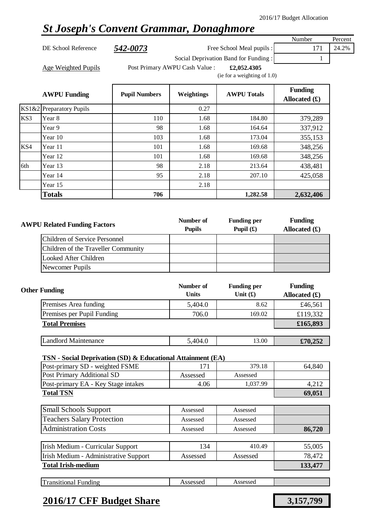### *St Joseph's Convent Grammar, Donaghmore*

DE School Reference **542-0073** Free School Meal pupils : 171 24.2% Social Deprivation Band for Funding : 1

Number Percent

Age Weighted Pupils **Filter Post Primary AWPU Cash Value** : **£2,052.4305** 

(ie for a weighting of 1.0)

|     | <b>AWPU Funding</b>         | <b>Pupil Numbers</b> | <b>Weightings</b> | <b>AWPU Totals</b> | <b>Funding</b><br>Allocated $(f)$ |
|-----|-----------------------------|----------------------|-------------------|--------------------|-----------------------------------|
|     | $KS1\&2$ Preparatory Pupils |                      | 0.27              |                    |                                   |
| KS3 | Year 8                      | 110                  | 1.68              | 184.80             | 379,289                           |
|     | Year 9                      | 98                   | 1.68              | 164.64             | 337,912                           |
|     | Year 10                     | 103                  | 1.68              | 173.04             | 355,153                           |
| KS4 | Year 11                     | 101                  | 1.68              | 169.68             | 348,256                           |
|     | Year 12                     | 101                  | 1.68              | 169.68             | 348,256                           |
| 6th | Year 13                     | 98                   | 2.18              | 213.64             | 438,481                           |
|     | Year 14                     | 95                   | 2.18              | 207.10             | 425,058                           |
|     | Year 15                     |                      | 2.18              |                    |                                   |
|     | <b>Totals</b>               | 706                  |                   | 1,282.58           | 2,632,406                         |

| <b>AWPU Related Funding Factors</b> |                                     | Number of<br><b>Pupils</b> | <b>Funding per</b><br>Pupil $(\mathbf{\hat{E}})$ | <b>Funding</b><br>Allocated $(f)$ |
|-------------------------------------|-------------------------------------|----------------------------|--------------------------------------------------|-----------------------------------|
|                                     | Children of Service Personnel       |                            |                                                  |                                   |
|                                     | Children of the Traveller Community |                            |                                                  |                                   |
|                                     | Looked After Children               |                            |                                                  |                                   |
|                                     | Newcomer Pupils                     |                            |                                                  |                                   |

| <b>Other Funding</b>        | Number of<br><b>Units</b> | <b>Funding per</b><br>Unit $(f)$ | <b>Funding</b><br>Allocated $(f)$ |
|-----------------------------|---------------------------|----------------------------------|-----------------------------------|
| Premises Area funding       | 5,404.0                   | 8.62                             | £46,561                           |
| Premises per Pupil Funding  | 706.0                     | 169.02                           | £119,332                          |
| <b>Total Premises</b>       |                           |                                  | £165,893                          |
|                             |                           |                                  |                                   |
| <b>Landlord Maintenance</b> | 5,404.0                   | 13.00                            | £70,252                           |

#### **TSN - Social Deprivation (SD) & Educational Attainment (EA)**

| Post-primary SD - weighted FSME     | 17       | 379.18   | 64,840 |
|-------------------------------------|----------|----------|--------|
| Post Primary Additional SD          | Assessed | Assessed |        |
| Post-primary EA - Key Stage intakes | 4.06     | 1.037.99 |        |
| <b>Total TSN</b>                    |          |          | 69,051 |
|                                     |          |          |        |

| Assessed | Assessed |        |
|----------|----------|--------|
| Assessed | Assessed |        |
| Assessed | Assessed | 86.720 |
|          |          |        |

| Irish Medium - Curricular Support     | 134      | 410.49   | 55,005  |
|---------------------------------------|----------|----------|---------|
| Irish Medium - Administrative Support | Assessed | Assessed | 78.472  |
| <b>Total Irish-medium</b>             |          |          | 133,477 |

| ᠇᠇<br>--<br>----<br>unding<br>жы | $\mathbf{r}$<br>n a | .<br>w. |  |
|----------------------------------|---------------------|---------|--|
|                                  |                     |         |  |

### **2016/17 CFF Budget Share 3,157,799**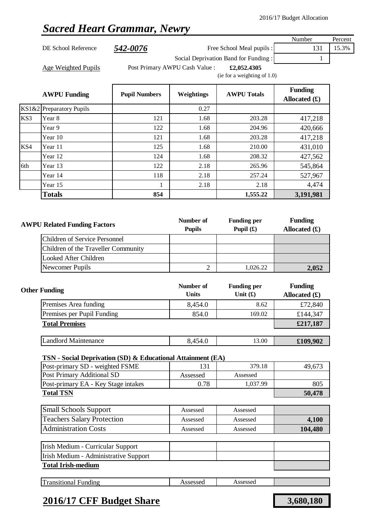## *Sacred Heart Grammar, Newry*

| <b>AWPU Funding</b> | <b>Pupil Numbers</b> | <b>Weightings</b>              | <b>AWPU Totals</b>                            | <b>Funding</b><br>$\mathbf{A} \mathbf{B}$ $\mathbf{A} \mathbf{B}$ $\mathbf{A} \mathbf{A}$ |         |
|---------------------|----------------------|--------------------------------|-----------------------------------------------|-------------------------------------------------------------------------------------------|---------|
| Age Weighted Pupils |                      | Post Primary AWPU Cash Value : | £2,052.4305<br>(ie for a weighting of $1.0$ ) |                                                                                           |         |
|                     |                      |                                | Social Deprivation Band for Funding:          |                                                                                           |         |
| DE School Reference | 542-0076             |                                | Free School Meal pupils :                     | 131                                                                                       | 15.3%   |
|                     |                      |                                |                                               | Number                                                                                    | Percent |

|     | $\mathbf{A}$ is $\mathbf{V}$ . The $\mathbf{I}$ | т ири тушноств | $\mathbf{v}$ , $\mathbf{u}$ , $\mathbf{u}$ , $\mathbf{u}$ , $\mathbf{u}$ | AULU TURB | Allocated $(f)$ |
|-----|-------------------------------------------------|----------------|--------------------------------------------------------------------------|-----------|-----------------|
|     | KS1&2 Preparatory Pupils                        |                | 0.27                                                                     |           |                 |
| KS3 | Year 8                                          | 121            | 1.68                                                                     | 203.28    | 417,218         |
|     | Year 9                                          | 122            | 1.68                                                                     | 204.96    | 420,666         |
|     | Year 10                                         | 121            | 1.68                                                                     | 203.28    | 417,218         |
| KS4 | Year 11                                         | 125            | 1.68                                                                     | 210.00    | 431,010         |
|     | Year 12                                         | 124            | 1.68                                                                     | 208.32    | 427,562         |
| 6th | Year 13                                         | 122            | 2.18                                                                     | 265.96    | 545,864         |
|     | Year 14                                         | 118            | 2.18                                                                     | 257.24    | 527,967         |
|     | Year 15                                         | 1              | 2.18                                                                     | 2.18      | 4,474           |
|     | <b>Totals</b>                                   | 854            |                                                                          | 1,555.22  | 3,191,981       |

| <b>AWPU Related Funding Factors</b> |                                      | Number of<br><b>Pupils</b> | <b>Funding per</b><br>Pupil $(\mathbf{\pounds})$ | <b>Funding</b><br>Allocated $(f)$ |
|-------------------------------------|--------------------------------------|----------------------------|--------------------------------------------------|-----------------------------------|
|                                     | <b>Children of Service Personnel</b> |                            |                                                  |                                   |
|                                     | Children of the Traveller Community  |                            |                                                  |                                   |
|                                     | Looked After Children                |                            |                                                  |                                   |
|                                     | Newcomer Pupils                      |                            | 1.026.22                                         | 2,052                             |

| <b>Other Funding</b>        | Number of<br><b>Units</b> | <b>Funding per</b><br>Unit $(f)$ | <b>Funding</b><br>Allocated $(f)$ |
|-----------------------------|---------------------------|----------------------------------|-----------------------------------|
| Premises Area funding       | 8,454.0                   | 8.62                             | £72,840                           |
| Premises per Pupil Funding  | 854.0                     | 169.02                           | £144,347                          |
| <b>Total Premises</b>       |                           |                                  | £217,187                          |
|                             |                           |                                  |                                   |
| <b>Landlord Maintenance</b> | 8,454.0                   | 13.00                            | £109,902                          |

### **TSN - Social Deprivation (SD) & Educational Attainment (EA)**

| Post-primary SD - weighted FSME     | 131        | 379.18   | 49.673 |
|-------------------------------------|------------|----------|--------|
| <b>Post Primary Additional SD</b>   | Assessed   | Assessed |        |
| Post-primary EA - Key Stage intakes | $\rm 0.78$ | 1,037.99 | 805    |
| <b>Total TSN</b>                    |            |          | 50,478 |

| <b>Small Schools Support</b>      | Assessed | Assessed |         |
|-----------------------------------|----------|----------|---------|
| <b>Teachers Salary Protection</b> | Assessed | Assessed | 4,100   |
| <b>Administration Costs</b>       | Assessed | Assessed | 104,480 |

| Irish Medium - Curricular Support     |  |  |  |
|---------------------------------------|--|--|--|
| Irish Medium - Administrative Support |  |  |  |
| <b>Total Irish-medium</b>             |  |  |  |

| <b>Transitional Funding</b> | Assessed<br>Assessed |  |
|-----------------------------|----------------------|--|
|-----------------------------|----------------------|--|

### **2016/17 CFF Budget Share 3,680,180**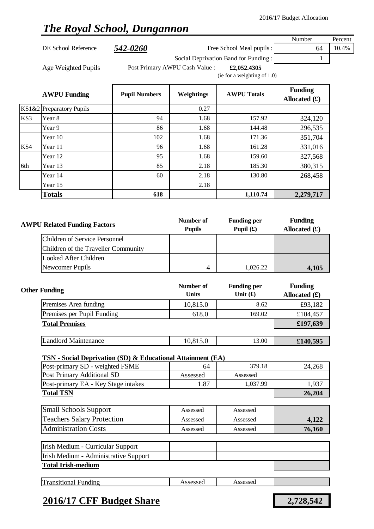## *The Royal School, Dungannon*

|                     |          |                                |                                       | Number  | Percent |
|---------------------|----------|--------------------------------|---------------------------------------|---------|---------|
| DE School Reference | 542-0260 |                                | Free School Meal pupils :             | 64      | 10.4%   |
|                     |          |                                | Social Deprivation Band for Funding : |         |         |
| Age Weighted Pupils |          | Post Primary AWPU Cash Value : | £2,052.4305                           |         |         |
|                     |          |                                | (ie for a weighting of $1.0$ )        |         |         |
|                     |          |                                |                                       | Funding |         |

|     | <b>AWPU Funding</b>      | <b>Pupil Numbers</b> | <b>Weightings</b> | <b>AWPU Totals</b> | <b>Funding</b><br>Allocated $(f)$ |
|-----|--------------------------|----------------------|-------------------|--------------------|-----------------------------------|
|     | KS1&2 Preparatory Pupils |                      | 0.27              |                    |                                   |
| KS3 | Year 8                   | 94                   | 1.68              | 157.92             | 324,120                           |
|     | Year 9                   | 86                   | 1.68              | 144.48             | 296,535                           |
|     | Year 10                  | 102                  | 1.68              | 171.36             | 351,704                           |
| KS4 | Year 11                  | 96                   | 1.68              | 161.28             | 331,016                           |
|     | Year 12                  | 95                   | 1.68              | 159.60             | 327,568                           |
| 6th | Year 13                  | 85                   | 2.18              | 185.30             | 380,315                           |
|     | Year 14                  | 60                   | 2.18              | 130.80             | 268,458                           |
|     | Year 15                  |                      | 2.18              |                    |                                   |
|     | <b>Totals</b>            | 618                  |                   | 1,110.74           | 2,279,717                         |

| <b>AWPU Related Funding Factors</b> | Number of<br><b>Pupils</b> | <b>Funding per</b><br>Pupil $(f)$ | <b>Funding</b><br>Allocated $(f)$ |
|-------------------------------------|----------------------------|-----------------------------------|-----------------------------------|
| Children of Service Personnel       |                            |                                   |                                   |
| Children of the Traveller Community |                            |                                   |                                   |
| Looked After Children               |                            |                                   |                                   |
| Newcomer Pupils                     |                            | 1.026.22                          | 4,105                             |

| <b>Other Funding</b>        | Number of<br><b>Units</b> | <b>Funding per</b><br>Unit $(f)$ | <b>Funding</b><br>Allocated $(f)$ |
|-----------------------------|---------------------------|----------------------------------|-----------------------------------|
| Premises Area funding       | 10,815.0                  | 8.62                             | £93,182                           |
| Premises per Pupil Funding  | 618.0                     | 169.02                           | £104,457                          |
| <b>Total Premises</b>       |                           |                                  | £197,639                          |
|                             |                           |                                  |                                   |
| <b>Landlord Maintenance</b> | 10,815.0                  | 13.00                            | £140,595                          |

### **TSN - Social Deprivation (SD) & Educational Attainment (EA)**

| Post-primary SD - weighted FSME     | 64       | 379.18   | 24,268 |
|-------------------------------------|----------|----------|--------|
| Post Primary Additional SD          | Assessed | Assessed |        |
| Post-primary EA - Key Stage intakes | 1.87     | 1,037.99 | 1,937  |
| <b>Total TSN</b>                    |          |          | 26,204 |

| <b>Small Schools Support</b>      | Assessed | Assessed |        |
|-----------------------------------|----------|----------|--------|
| <b>Teachers Salary Protection</b> | Assessed | Assessed | 4,122  |
| <b>Administration Costs</b>       | Assessed | Assessed | 76,160 |

| Irish Medium - Curricular Support     |  |  |
|---------------------------------------|--|--|
| Irish Medium - Administrative Support |  |  |
| <b>Total Irish-medium</b>             |  |  |

|--|

### **2016/17 CFF Budget Share 2,728,542**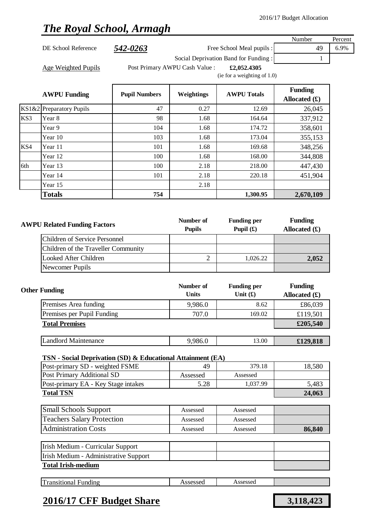## *The Royal School, Armagh*

|     |                                                               |                      |                                |                                      | Number                                           | Percent |
|-----|---------------------------------------------------------------|----------------------|--------------------------------|--------------------------------------|--------------------------------------------------|---------|
|     | DE School Reference                                           | 542-0263             |                                | Free School Meal pupils :            | 49                                               | 6.9%    |
|     |                                                               |                      |                                | Social Deprivation Band for Funding: | 1                                                |         |
|     | Age Weighted Pupils                                           |                      | Post Primary AWPU Cash Value : | £2,052.4305                          |                                                  |         |
|     |                                                               |                      |                                | (ie for a weighting of 1.0)          |                                                  |         |
|     | <b>AWPU Funding</b>                                           | <b>Pupil Numbers</b> | Weightings                     | <b>AWPU Totals</b>                   | <b>Funding</b><br>Allocated $(f)$                |         |
|     | KS1&2 Preparatory Pupils                                      | 47                   | 0.27                           | 12.69                                | 26,045                                           |         |
| KS3 | Year 8                                                        | 98                   | 1.68                           | 164.64                               | 337,912                                          |         |
|     | Year 9                                                        | 104                  | 1.68                           | 174.72                               | 358,601                                          |         |
|     | Year 10                                                       | 103                  | 1.68                           | 173.04                               | 355,153                                          |         |
| KS4 | Year 11                                                       | 101                  | 1.68                           | 169.68                               | 348,256                                          |         |
|     | Year 12                                                       | 100                  | 1.68                           | 168.00                               | 344,808                                          |         |
| 6th | Year 13                                                       | 100                  | 2.18                           | 218.00                               | 447,430                                          |         |
|     | Year 14                                                       | 101                  | 2.18                           | 220.18                               | 451,904                                          |         |
|     | Year 15                                                       |                      | 2.18                           |                                      |                                                  |         |
|     | <b>Totals</b>                                                 | 754                  |                                | 1,300.95                             | 2,670,109                                        |         |
|     | <b>AWPU Related Funding Factors</b>                           |                      | Number of<br><b>Pupils</b>     | <b>Funding per</b><br>Pupil $(f)$    | <b>Funding</b><br>Allocated $(f)$                |         |
|     | <b>Children of Service Personnel</b>                          |                      |                                |                                      |                                                  |         |
|     | Children of the Traveller Community                           |                      |                                |                                      |                                                  |         |
|     | <b>Looked After Children</b>                                  |                      | $\overline{2}$                 | 1,026.22                             | 2,052                                            |         |
|     | Newcomer Pupils                                               |                      |                                |                                      |                                                  |         |
|     | <b>Other Funding</b>                                          |                      | Number of<br><b>Units</b>      | <b>Funding per</b><br>Unit $(f)$     | <b>Funding</b><br>Allocated $(\mathbf{\pounds})$ |         |
|     | Premises Area funding                                         |                      | 9,986.0                        | 8.62                                 | £86,039                                          |         |
|     | Premises per Pupil Funding                                    |                      | 707.0                          | 169.02                               | £119,501                                         |         |
|     | <b>Total Premises</b>                                         |                      |                                |                                      | £205,540                                         |         |
|     | <b>Landlord Maintenance</b>                                   |                      | 9,986.0                        | 13.00                                | £129,818                                         |         |
|     |                                                               |                      |                                |                                      |                                                  |         |
|     | TSN - Social Deprivation (SD) & Educational Attainment (EA)   |                      |                                |                                      |                                                  |         |
|     | Post-primary SD - weighted FSME<br>Post Primary Additional SD |                      | 49                             | 379.18<br>Assessed                   | 18,580                                           |         |
|     | Post-primary EA - Key Stage intakes                           |                      | Assessed<br>5.28               | 1,037.99                             | 5,483                                            |         |
|     | <b>Total TSN</b>                                              |                      |                                |                                      | 24,063                                           |         |
|     |                                                               |                      |                                |                                      |                                                  |         |
|     | <b>Small Schools Support</b>                                  |                      | Assessed                       | Assessed                             |                                                  |         |
|     | <b>Teachers Salary Protection</b>                             |                      | Assessed                       | Assessed                             |                                                  |         |
|     | <b>Administration Costs</b>                                   |                      | Assessed                       | Assessed                             | 86,840                                           |         |
|     | Irish Medium - Curricular Support                             |                      |                                |                                      |                                                  |         |
|     | Irish Medium - Administrative Support                         |                      |                                |                                      |                                                  |         |
|     | <b>Total Irish-medium</b>                                     |                      |                                |                                      |                                                  |         |
|     | <b>Transitional Funding</b>                                   |                      | Assessed                       | Assessed                             |                                                  |         |
|     |                                                               |                      |                                |                                      |                                                  |         |
|     |                                                               |                      |                                |                                      |                                                  |         |

### **2016/17 CFF Budget Share 3,118,423**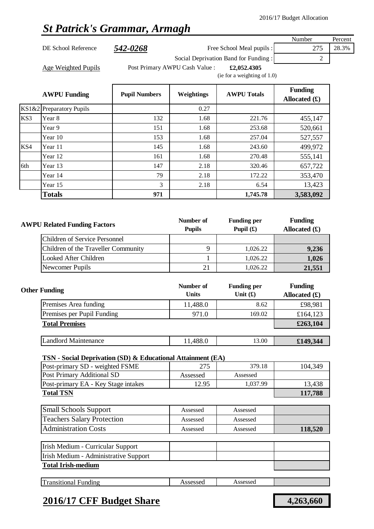Percent

# *St Patrick's Grammar, Armagh*

|                     |          |                                               | Number | Percent |
|---------------------|----------|-----------------------------------------------|--------|---------|
| DE School Reference | 542-0268 | Free School Meal pupils :                     | 275    | 28.3%   |
|                     |          | Social Deprivation Band for Funding:          |        |         |
| Age Weighted Pupils |          | Post Primary AWPU Cash Value :<br>£2,052,4305 |        |         |
|                     |          | (ie for a weighting of $1.0$ )                |        |         |

|     | <b>AWPU Funding</b>      | <b>Pupil Numbers</b> | <b>Weightings</b> | <b>AWPU Totals</b> | <b>Funding</b><br>Allocated $(f)$ |
|-----|--------------------------|----------------------|-------------------|--------------------|-----------------------------------|
|     | KS1&2 Preparatory Pupils |                      | 0.27              |                    |                                   |
| KS3 | Year 8                   | 132                  | 1.68              | 221.76             | 455,147                           |
|     | Year 9                   | 151                  | 1.68              | 253.68             | 520,661                           |
|     | Year 10                  | 153                  | 1.68              | 257.04             | 527,557                           |
| KS4 | Year 11                  | 145                  | 1.68              | 243.60             | 499,972                           |
|     | Year 12                  | 161                  | 1.68              | 270.48             | 555,141                           |
| 6th | Year 13                  | 147                  | 2.18              | 320.46             | 657,722                           |
|     | Year 14                  | 79                   | 2.18              | 172.22             | 353,470                           |
|     | Year 15                  | 3                    | 2.18              | 6.54               | 13,423                            |
|     | <b>Totals</b>            | 971                  |                   | 1,745.78           | 3,583,092                         |

| <b>AWPU Related Funding Factors</b> |                                     | Number of<br><b>Pupils</b> | <b>Funding per</b><br>Pupil $(f)$ | <b>Funding</b><br>Allocated $(f)$ |
|-------------------------------------|-------------------------------------|----------------------------|-----------------------------------|-----------------------------------|
|                                     | Children of Service Personnel       |                            |                                   |                                   |
|                                     | Children of the Traveller Community |                            | 1,026.22                          | 9,236                             |
|                                     | Looked After Children               |                            | 1,026.22                          | 1,026                             |
|                                     | Newcomer Pupils                     | 21                         | 1.026.22                          | 21,551                            |

| <b>Other Funding</b>        | Number of<br><b>Units</b> | <b>Funding per</b><br>Unit $(f)$ | <b>Funding</b><br>Allocated $(f)$ |
|-----------------------------|---------------------------|----------------------------------|-----------------------------------|
| Premises Area funding       | 11,488.0                  | 8.62                             | £98,981                           |
| Premises per Pupil Funding  | 971.0                     | 169.02                           | £164,123                          |
| <b>Total Premises</b>       |                           |                                  | £263,104                          |
|                             |                           |                                  |                                   |
| <b>Landlord Maintenance</b> | 11,488.0                  | 13.00                            | £149,344                          |

### **TSN - Social Deprivation (SD) & Educational Attainment (EA)**

| Post-primary SD - weighted FSME     | 275      | 379.18   | 104,349 |
|-------------------------------------|----------|----------|---------|
| Post Primary Additional SD          | Assessed | Assessed |         |
| Post-primary EA - Key Stage intakes | 12.95    | 1.037.99 | 13,438  |
| <b>Total TSN</b>                    | 117,788  |          |         |

| <b>Small Schools Support</b>      | Assessed | Assessed |         |
|-----------------------------------|----------|----------|---------|
| <b>Teachers Salary Protection</b> | Assessed | Assessed |         |
| <b>Administration Costs</b>       | Assessed | Assessed | 118,520 |

| Irish Medium - Curricular Support     |  |  |
|---------------------------------------|--|--|
| Irish Medium - Administrative Support |  |  |
| <b>Total Irish-medium</b>             |  |  |

| $\mathbf{r}$<br>Assessed<br>Assessed<br>ransitional<br>Funding |
|----------------------------------------------------------------|
|----------------------------------------------------------------|

### **2016/17 CFF Budget Share 4,263,660**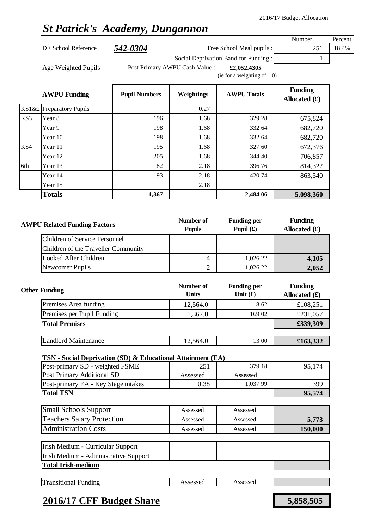## *St Patrick's Academy, Dungannon*

| DE School Reference | 542-0304 | Free School Meal pupils : | 18.4% |
|---------------------|----------|---------------------------|-------|
|                     |          |                           |       |

Number Percent

Social Deprivation Band for Funding : 1

Age Weighted Pupils **Filter Post Primary AWPU Cash Value** : **£2,052.4305** (ie for a weighting of 1.0)

|     | <b>AWPU Funding</b>      | <b>Pupil Numbers</b> | Weightings | <b>AWPU Totals</b> | <b>Funding</b><br>Allocated $(f)$ |
|-----|--------------------------|----------------------|------------|--------------------|-----------------------------------|
|     | KS1&2 Preparatory Pupils |                      | 0.27       |                    |                                   |
| KS3 | Year 8                   | 196                  | 1.68       | 329.28             | 675,824                           |
|     | Year 9                   | 198                  | 1.68       | 332.64             | 682,720                           |
|     | Year 10                  | 198                  | 1.68       | 332.64             | 682,720                           |
| KS4 | Year 11                  | 195                  | 1.68       | 327.60             | 672,376                           |
|     | Year 12                  | 205                  | 1.68       | 344.40             | 706,857                           |
| 6th | Year 13                  | 182                  | 2.18       | 396.76             | 814,322                           |
|     | Year 14                  | 193                  | 2.18       | 420.74             | 863,540                           |
|     | Year 15                  |                      | 2.18       |                    |                                   |
|     | <b>Totals</b>            | 1,367                |            | 2,484.06           | 5,098,360                         |

| <b>AWPU Related Funding Factors</b> | Number of<br><b>Pupils</b> | <b>Funding per</b><br>Pupil $(f)$ | <b>Funding</b><br>Allocated $(f)$ |
|-------------------------------------|----------------------------|-----------------------------------|-----------------------------------|
| Children of Service Personnel       |                            |                                   |                                   |
| Children of the Traveller Community |                            |                                   |                                   |
| Looked After Children               | 4                          | 1,026.22                          | 4,105                             |
| Newcomer Pupils                     |                            | 1.026.22                          | 2,052                             |

| <b>Other Funding</b>        | Number of<br><b>Units</b> | <b>Funding per</b><br>Unit $(f)$ | <b>Funding</b><br>Allocated $(f)$ |
|-----------------------------|---------------------------|----------------------------------|-----------------------------------|
| Premises Area funding       | 12,564.0                  | 8.62                             | £108,251                          |
| Premises per Pupil Funding  | 1,367.0                   | 169.02                           | £231,057                          |
| <b>Total Premises</b>       |                           |                                  | £339,309                          |
|                             |                           |                                  |                                   |
| <b>Landlord Maintenance</b> | 12,564.0                  | 13.00                            | £163,332                          |

### **TSN - Social Deprivation (SD) & Educational Attainment (EA)**

| Post-primary SD - weighted FSME     | 251      | 379.18   | 95.174 |
|-------------------------------------|----------|----------|--------|
| Post Primary Additional SD          | Assessed | Assessed |        |
| Post-primary EA - Key Stage intakes | 0.38     | 1.037.99 | 399    |
| <b>Total TSN</b>                    |          |          | 95,574 |

| <b>Small Schools Support</b>      | Assessed | Assessed |         |
|-----------------------------------|----------|----------|---------|
| <b>Teachers Salary Protection</b> | Assessed | Assessed | 5,773   |
| <b>Administration Costs</b>       | Assessed | Assessed | 150,000 |

| Irish Medium - Curricular Support     |  |  |
|---------------------------------------|--|--|
| Irish Medium - Administrative Support |  |  |
| <b>Total Irish-medium</b>             |  |  |

| Im<br>20000<br>ransitional<br>Assessed<br>∹undıng<br>scssu<br>. |
|-----------------------------------------------------------------|
|-----------------------------------------------------------------|

### **2016/17 CFF Budget Share 5,858,505**